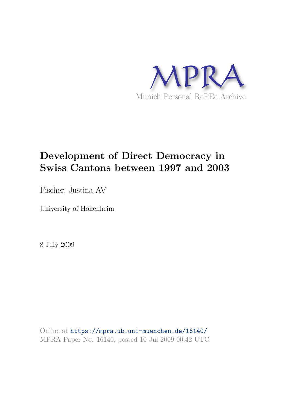

# **Development of Direct Democracy in Swiss Cantons between 1997 and 2003**

Fischer, Justina AV

University of Hohenheim

8 July 2009

Online at https://mpra.ub.uni-muenchen.de/16140/ MPRA Paper No. 16140, posted 10 Jul 2009 00:42 UTC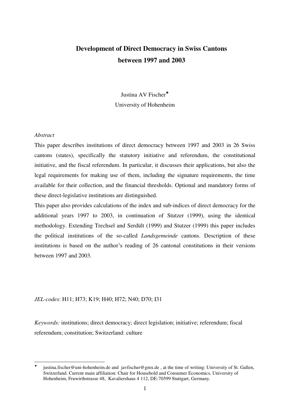## **Development of Direct Democracy in Swiss Cantons between 1997 and 2003**

Justina AV Fischer University of Hohenheim

#### *Abstract*

This paper describes institutions of direct democracy between 1997 and 2003 in 26 Swiss cantons (states), specifically the statutory initiative and referendum, the constitutional initiative, and the fiscal referendum. In particular, it discusses their applications, but also the legal requirements for making use of them, including the signature requirements, the time available for their collection, and the financial thresholds. Optional and mandatory forms of these direct-legislative institutions are distinguished.

This paper also provides calculations of the index and sub-indices of direct democracy for the additional years 1997 to 2003, in continuation of Stutzer (1999), using the identical methodology. Extending Trechsel and Serdült (1999) and Stutzer (1999) this paper includes the political institutions of the so-called *Landsgemeinde* cantons. Description of these institutions is based on the author"s reading of 26 cantonal constitutions in their versions between 1997 and 2003.

#### *JEL-codes*: H11; H73; K19; H40; H72; N40; D70; I31

*Keywords:* institutions; direct democracy; direct legislation; initiative; referendum; fiscal referendum; constitution; Switzerland: culture

<sup>-</sup> $\star$  justina.fischer@uni-hohenheim.de and javfischer@gmx.de , at the time of writing: University of St. Gallen, Switzerland. Current main affiliation: Chair for Household and Consumer Economics, University of Hohenheim, Fruwirthstrasse 48, Kavaliershaus 4 112, DE-70599 Stuttgart, Germany.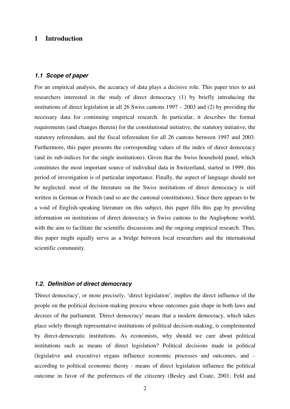## **1 Introduction**

#### *1.1 Scope of paper*

For an empirical analysis, the accuracy of data plays a decisive role. This paper tries to aid researchers interested in the study of direct democracy (1) by briefly introducing the institutions of direct legislation in all 26 Swiss cantons 1997 – 2003 and (2) by providing the necessary data for continuing empirical research. In particular, it describes the formal requirements (and changes therein) for the constitutional initiative, the statutory initiative, the statutory referendum, and the fiscal referendum for all 26 cantons between 1997 and 2003. Furthermore, this paper presents the corresponding values of the index of direct democracy (and its sub-indices for the single institutions). Given that the Swiss household panel, which constitutes the most important source of individual data in Switzerland, started in 1999, this period of investigation is of particular importance. Finally, the aspect of language should not be neglected: most of the literature on the Swiss institutions of direct democracy is still written in German or French (and so are the cantonal constitutions). Since there appears to be a void of English-speaking literature on this subject, this paper fills this gap by providing information on institutions of direct democracy in Swiss cantons to the Anglophone world, with the aim to facilitate the scientific discussions and the ongoing empirical research. Thus, this paper might equally serve as a bridge between local researchers and the international scientific community.

#### *1.2. Definition of direct democracy*

'Direct democracy', or more precisely, "direct legislation", implies the direct influence of the people on the political decision-making process whose outcomes gain shape in both laws and decrees of the parliament. 'Direct democracy' means that a modern democracy, which takes place solely through representative institutions of political decision-making, is complemented by direct-democratic institutions. As economists, why should we care about political institutions such as means of direct legislation? Political decisions made in political (legislative and executive) organs influence economic processes and outcomes, and – according to political economic theory - means of direct legislation influence the political outcome in favor of the preferences of the citizenry (Besley and Coate, 2001; Feld and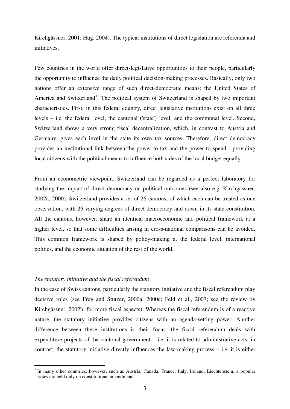Kirchgässner, 2001; Hug, 2004). The typical institutions of direct legislation are referenda and initiatives.

Few countries in the world offer direct-legislative opportunities to their people, particularly the opportunity to influence the daily political decision-making processes. Basically, only two nations offer an extensive range of such direct-democratic means: the United States of America and Switzerland<sup>1</sup>. The political system of Switzerland is shaped by two important characteristics. First, in this federal country, direct legislative institutions exist on all three levels – i.e. the federal level, the cantonal ('state') level, and the communal level. Second, Switzerland shows a very strong fiscal decentralization, which, in contrast to Austria and Germany, gives each level in the state its own tax sources. Therefore, direct democracy provides an institutional link between the power to tax and the power to spend - providing local citizens with the political means to influence both sides of the local budget equally.

From an econometric viewpoint, Switzerland can be regarded as a perfect laboratory for studying the impact of direct democracy on political outcomes (see also e.g. Kirchgässner, 2002a, 2000): Switzerland provides a set of 26 cantons, of which each can be treated as one observation, with 26 varying degrees of direct democracy laid down in its state constitution. All the cantons, however, share an identical macroeconomic and political framework at a higher level, so that some difficulties arising in cross-national comparisons can be avoided. This common framework is shaped by policy-making at the federal level, international politics, and the economic situation of the rest of the world.

#### *The statutory initiative and the fiscal referendum*

-

In the case of Swiss cantons, particularly the statutory initiative and the fiscal referendum play decisive roles (see Frey and Stutzer, 2000a, 2000c; Feld et al., 2007; see the review by Kirchgässner, 2002b, for more fiscal aspects). Whereas the fiscal referendum is of a reactive nature, the statutory initiative provides citizens with an agenda-setting power. Another difference between these institutions is their focus: the fiscal referendum deals with expenditure projects of the cantonal government  $-$  i.e. it is related to administrative acts; in contrast, the statutory initiative directly influences the law-making process – i.e. it is either

<sup>&</sup>lt;sup>1</sup> In many other countries, however, such as Austria, Canada, France, Italy, Ireland, Liechtenstein, a popular votes are held only on constitutional amendments.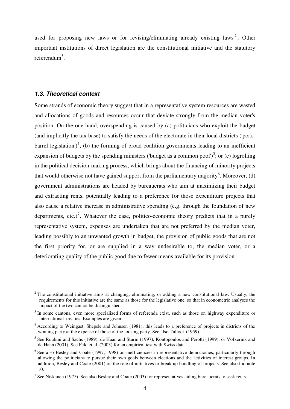used for proposing new laws or for revising/eliminating already existing laws<sup>2</sup>. Other important institutions of direct legislation are the constitutional initiative and the statutory referendum<sup>3</sup>.

#### *1.3. Theoretical context*

<u>.</u>

Some strands of economic theory suggest that in a representative system resources are wasted and allocations of goods and resources occur that deviate strongly from the median voter's position. On the one hand, overspending is caused by (a) politicians who exploit the budget (and implicitly the tax base) to satisfy the needs of the electorate in their local districts ('porkbarrel legislation')<sup>4</sup>; (b) the forming of broad coalition governments leading to an inefficient expansion of budgets by the spending ministers ('budget as a common pool')<sup>5</sup>; or (c) logrolling in the political decision-making process, which brings about the financing of minority projects that would otherwise not have gained support from the parliamentary majority<sup>6</sup>. Moreover, (d) government administrations are headed by bureaucrats who aim at maximizing their budget and extracting rents, potentially leading to a preference for those expenditure projects that also cause a relative increase in administrative spending (e.g. through the foundation of new departments, etc.)<sup>7</sup>. Whatever the case, politico-economic theory predicts that in a purely representative system, expenses are undertaken that are not preferred by the median voter, leading possibly to an unwanted growth in budget, the provision of public goods that are not the first priority for, or are supplied in a way undesirable to, the median voter, or a deteriorating quality of the public good due to fewer means available for its provision.

 $2$  The constitutional initiative aims at changing, eliminating, or adding a new constitutional law. Usually, the requirements for this initiative are the same as those for the legislative one, so that in econometric analyses the impact of the two cannot be distinguished.

<sup>&</sup>lt;sup>3</sup> In some cantons, even more specialized forms of referenda exist, such as those on highway expenditure or international treaties. Examples are given.

<sup>&</sup>lt;sup>4</sup> According to Weingast, Shepsle and Johnsen (1981), this leads to a preference of projects in districts of the winning party at the expense of those of the loosing party. See also Tullock (1959).

<sup>&</sup>lt;sup>5</sup> See Roubini and Sachs (1989), de Haan and Sturm (1997), Kontopoulos and Perotti (1999), or Volkerink and de Haan (2001). See Feld et al. (2003) for an empirical test with Swiss data.

<sup>&</sup>lt;sup>6</sup> See also Besley and Coate (1997, 1998) on inefficiencies in representative democracies, particularly through allowing the politicians to pursue their own goals between elections and the activities of interest groups. In addition, Besley and Coate (2001) on the role of initiatives to break up bundling of projects. See also footnote 10.

<sup>&</sup>lt;sup>7</sup> See Niskanen (1975). See also Besley and Coate (2003) for representatives aiding bureaucrats to seek rents.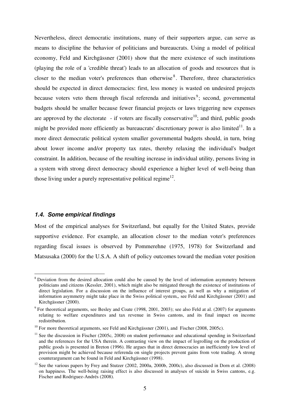Nevertheless, direct democratic institutions, many of their supporters argue, can serve as means to discipline the behavior of politicians and bureaucrats. Using a model of political economy, Feld and Kirchgässner (2001) show that the mere existence of such institutions (playing the role of a 'credible threat') leads to an allocation of goods and resources that is closer to the median voter's preferences than otherwise<sup>8</sup>. Therefore, three characteristics should be expected in direct democracies: first, less money is wasted on undesired projects because voters veto them through fiscal referenda and initiatives<sup>9</sup>; second, governmental budgets should be smaller because fewer financial projects or laws triggering new expenses are approved by the electorate - if voters are fiscally conservative<sup>10</sup>; and third, public goods might be provided more efficiently as bureaucrats' discretionary power is also limited<sup>11</sup>. In a more direct democratic political system smaller governmental budgets should, in turn, bring about lower income and/or property tax rates, thereby relaxing the individual's budget constraint. In addition, because of the resulting increase in individual utility, persons living in a system with strong direct democracy should experience a higher level of well-being than those living under a purely representative political regime<sup>12</sup>.

#### *1.4. Some empirical findings*

<u>.</u>

Most of the empirical analyses for Switzerland, but equally for the United States, provide supportive evidence. For example, an allocation closer to the median voter's preferences regarding fiscal issues is observed by Pommerehne (1975, 1978) for Switzerland and Matsusaka (2000) for the U.S.A. A shift of policy outcomes toward the median voter position

<sup>&</sup>lt;sup>8</sup> Deviation from the desired allocation could also be caused by the level of information asymmetry between politicians and citizens (Kessler, 2001), which might also be mitigated through the existence of institutions of direct legislation. For a discussion on the influence of interest groups, as well as why a mitigation of information asymmetry might take place in the Swiss political system,, see Feld and Kirchgässner (2001) and Kirchgässner (2000).

 $9$  For theoretical arguments, see Besley and Coate (1998, 2001, 2003); see also Feld at al. (2007) for arguments relating to welfare expenditures and tax revenue in Swiss cantons, and its final impact on income redistribution.

<sup>&</sup>lt;sup>10</sup> For more theoretical arguments, see Feld and Kirchgässner (2001), and Fischer (2008, 2005c).

 $11$  See the discussion in Fischer (2005c, 2008) on student performance and educational spending in Switzerland and the references for the USA therein. A contrasting view on the impact of logrolling on the production of public goods is presented in Breton (1996). He argues that in direct democracies an inefficiently low level of provision might be achieved because referenda on single projects prevent gains from vote trading. A strong counterargument can be found in Feld and Kirchgässner (1998).

 $12$  See the various papers by Frey and Stutzer (2002, 2000a, 2000b, 2000c), also discussed in Dorn et al. (2008) on happiness. The well-being raising effect is also discussed in analyses of suicide in Swiss cantons, e.g. Fischer and Rodriguez-Andrés (2008).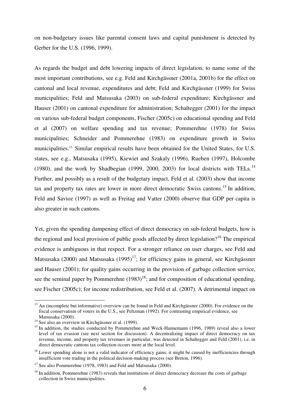on non-budgetary issues like parental consent laws and capital punishment is detected by Gerber for the U.S. (1996, 1999).

As regards the budget and debt lowering impacts of direct legislation, to name some of the most important contributions, see e.g. Feld and Kirchgässner (2001a, 2001b) for the effect on cantonal and local revenue, expenditures and debt; Feld and Kirchgässner (1999) for Swiss municipalities; Feld and Matsusaka (2003) on sub-federal expenditure; Kirchgässner and Hauser (2001) on cantonal expenditure for administration; Schaltegger (2001) for the impact on various sub-federal budget components, Fischer (2005c) on educational spending and Feld et al (2007) on welfare spending and tax revenue; Pommerehne (1978) for Swiss municipalities; Schneider and Pommerehne (1983) on expenditure growth in Swiss municipalities.<sup>13</sup> Similar empirical results have been obtained for the United States, for U.S. states, see e.g., Matsusaka (1995), Kiewiet and Szakaly (1996), Rueben (1997), Holcombe (1980), and the work by Shadbegian (1999, 2000, 2003) for local districts with TELs.<sup>14</sup> Further, and possibly as a result of the budgetary impact, Feld et al. (2003) show that income tax and property tax rates are lower in more direct democratic Swiss cantons.<sup>15</sup> In addition. Feld and Savioz (1997) as well as Freitag and Vatter (2000) observe that GDP per capita is also greater in such cantons.

Yet, given the spending dampening effect of direct democracy on sub-federal budgets, how is the regional and local provision of public goods affected by direct legislation?<sup>16</sup> The empirical evidence is ambiguous in that respect. For a stronger reliance on user charges, see Feld and Matsusaka (2000) and Matsusaka (1995)<sup>17</sup>; for efficiency gains in general, see Kirchgässner and Hauser (2001); for quality gains occurring in the provision of garbage collection service, see the seminal paper by Pommerehne  $(1983)^{18}$ ; and for composition of educational spending, see Fischer (2005c); for income redistribution, see Feld et al. (2007). A detrimental impact on

<sup>&</sup>lt;u>.</u> <sup>13</sup> An (incomplete but informative) overview can be found in Feld and Kirchgässner (2000). For evidence on the fiscal conservatism of voters in the U.S., see Peltzman (1992). For contrasting empirical evidence, see Matsusaka (2000).

<sup>&</sup>lt;sup>14</sup> See also an overview in Kirchgässner et al. (1999).

<sup>&</sup>lt;sup>15</sup> In addition, the studies conducted by Pommerehne and Weck-Hannemann (1996, 1989) reveal also a lower level of tax evasion (see next section for discussion). A decentralizing impact of direct democracy on tax revenue, income, and property tax revenues in particular, was detected in Schaltegger and Feld (2001), i.e. in direct democratic cantons tax collection occurs more at the local level.

 $16$  Lower spending alone is not a valid indicator of efficiency gains; it might be caused by inefficiencies through insufficient vote trading in the political decision-making process (see Breton, 1996).

 $17$  See also Pommerehne (1978, 1983) and Feld and Matsusaka (2000).

 $18$  In addition, Pommerehne (1983) reveals that institutions of direct democracy decrease the costs of garbage collection in Swiss municipalities.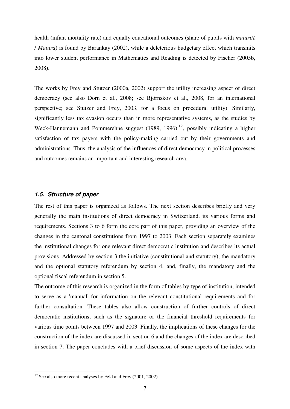health (infant mortality rate) and equally educational outcomes (share of pupils with *maturité* / *Matura*) is found by Barankay (2002), while a deleterious budgetary effect which transmits into lower student performance in Mathematics and Reading is detected by Fischer (2005b, 2008).

The works by Frey and Stutzer (2000a, 2002) support the utility increasing aspect of direct democracy (see also Dorn et al., 2008; see Bjørnskov et al., 2008, for an international perspective; see Stutzer and Frey, 2003, for a focus on procedural utility). Similarly, significantly less tax evasion occurs than in more representative systems, as the studies by Weck-Hannemann and Pommerehne suggest (1989, 1996)<sup>19</sup>, possibly indicating a higher satisfaction of tax payers with the policy-making carried out by their governments and administrations. Thus, the analysis of the influences of direct democracy in political processes and outcomes remains an important and interesting research area.

#### *1.5. Structure of paper*

The rest of this paper is organized as follows. The next section describes briefly and very generally the main institutions of direct democracy in Switzerland, its various forms and requirements. Sections 3 to 6 form the core part of this paper, providing an overview of the changes in the cantonal constitutions from 1997 to 2003. Each section separately examines the institutional changes for one relevant direct democratic institution and describes its actual provisions. Addressed by section 3 the initiative (constitutional and statutory), the mandatory and the optional statutory referendum by section 4, and, finally, the mandatory and the optional fiscal referendum in section 5.

The outcome of this research is organized in the form of tables by type of institution, intended to serve as a 'manual' for information on the relevant constitutional requirements and for further consultation. These tables also allow construction of further controls of direct democratic institutions, such as the signature or the financial threshold requirements for various time points between 1997 and 2003. Finally, the implications of these changes for the construction of the index are discussed in section 6 and the changes of the index are described in section 7. The paper concludes with a brief discussion of some aspects of the index with

1

<sup>&</sup>lt;sup>19</sup> See also more recent analyses by Feld and Frey (2001, 2002).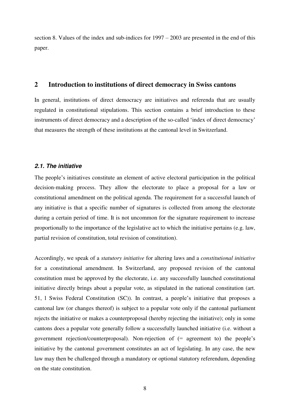section 8. Values of the index and sub-indices for 1997 – 2003 are presented in the end of this paper.

### **2 Introduction to institutions of direct democracy in Swiss cantons**

In general, institutions of direct democracy are initiatives and referenda that are usually regulated in constitutional stipulations. This section contains a brief introduction to these instruments of direct democracy and a description of the so-called 'index of direct democracy' that measures the strength of these institutions at the cantonal level in Switzerland.

#### *2.1. The initiative*

The people"s initiatives constitute an element of active electoral participation in the political decision-making process. They allow the electorate to place a proposal for a law or constitutional amendment on the political agenda. The requirement for a successful launch of any initiative is that a specific number of signatures is collected from among the electorate during a certain period of time. It is not uncommon for the signature requirement to increase proportionally to the importance of the legislative act to which the initiative pertains (e.g. law, partial revision of constitution, total revision of constitution).

Accordingly, we speak of a *statutory initiative* for altering laws and a *constitutional initiative* for a constitutional amendment. In Switzerland, any proposed revision of the cantonal constitution must be approved by the electorate, i.e. any successfully launched constitutional initiative directly brings about a popular vote, as stipulated in the national constitution (art. 51, l Swiss Federal Constitution (SC)). In contrast, a people"s initiative that proposes a cantonal law (or changes thereof) is subject to a popular vote only if the cantonal parliament rejects the initiative or makes a counterproposal (hereby rejecting the initiative); only in some cantons does a popular vote generally follow a successfully launched initiative (i.e. without a government rejection/counterproposal). Non-rejection of (= agreement to) the people"s initiative by the cantonal government constitutes an act of legislating. In any case, the new law may then be challenged through a mandatory or optional statutory referendum, depending on the state constitution.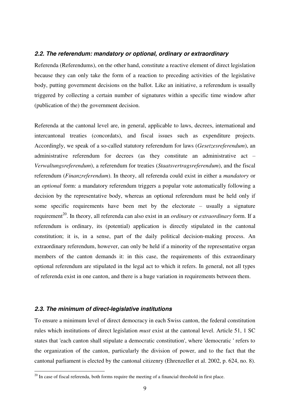#### *2.2. The referendum: mandatory or optional, ordinary or extraordinary*

Referenda (Referendums), on the other hand, constitute a reactive element of direct legislation because they can only take the form of a reaction to preceding activities of the legislative body, putting government decisions on the ballot. Like an initiative, a referendum is usually triggered by collecting a certain number of signatures within a specific time window after (publication of the) the government decision.

Referenda at the cantonal level are, in general, applicable to laws, decrees, international and intercantonal treaties (concordats), and fiscal issues such as expenditure projects. Accordingly, we speak of a so-called statutory referendum for laws (*Gesetzesreferendum*), an administrative referendum for decrees (as they constitute an administrative act – *Verwaltungsreferendum*), a referendum for treaties (*Staatsvertragsreferendum*), and the fiscal referendum (*Finanzreferendum*). In theory, all referenda could exist in either a *mandatory* or an *optional* form: a mandatory referendum triggers a popular vote automatically following a decision by the representative body, whereas an optional referendum must be held only if some specific requirements have been met by the electorate – usually a signature requirement<sup>20</sup>. In theory, all referenda can also exist in an *ordinary* or *extraordinary* form. If a referendum is ordinary, its (potential) application is directly stipulated in the cantonal constitution; it is, in a sense, part of the daily political decision-making process. An extraordinary referendum, however, can only be held if a minority of the representative organ members of the canton demands it: in this case, the requirements of this extraordinary optional referendum are stipulated in the legal act to which it refers. In general, not all types of referenda exist in one canton, and there is a huge variation in requirements between them.

#### *2.3. The minimum of direct-legislative institutions*

1

To ensure a minimum level of direct democracy in each Swiss canton, the federal constitution rules which institutions of direct legislation *must* exist at the cantonal level. Article 51, 1 SC states that 'each canton shall stipulate a democratic constitution', where 'democratic ' refers to the organization of the canton, particularly the division of power, and to the fact that the cantonal parliament is elected by the cantonal citizenry (Ehrenzeller et al. 2002, p. 624, no. 8).

 $20$  In case of fiscal referenda, both forms require the meeting of a financial threshold in first place.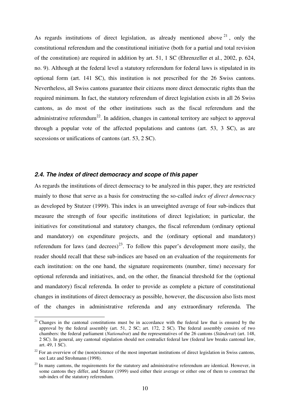As regards institutions of direct legislation, as already mentioned above  $2^1$ , only the constitutional referendum and the constitutional initiative (both for a partial and total revision of the constitution) are required in addition by art. 51, 1 SC (Ehrenzeller et al., 2002, p. 624, no. 9). Although at the federal level a statutory referendum for federal laws is stipulated in its optional form (art. 141 SC), this institution is not prescribed for the 26 Swiss cantons. Nevertheless, all Swiss cantons guarantee their citizens more direct democratic rights than the required minimum. In fact, the statutory referendum of direct legislation exists in all 26 Swiss cantons, as do most of the other institutions such as the fiscal referendum and the administrative referendum<sup>22</sup>. In addition, changes in cantonal territory are subject to approval through a popular vote of the affected populations and cantons (art. 53, 3 SC), as are secessions or unifications of cantons (art. 53, 2 SC).

#### *2.4. The index of direct democracy and scope of this paper*

<u>.</u>

As regards the institutions of direct democracy to be analyzed in this paper, they are restricted mainly to those that serve as a basis for constructing the so-called *index of direct democracy* as developed by Stutzer (1999). This index is an unweighted average of four sub-indices that measure the strength of four specific institutions of direct legislation; in particular, the initiatives for constitutional and statutory changes, the fiscal referendum (ordinary optional and mandatory) on expenditure projects, and the (ordinary optional and mandatory) referendum for laws (and decrees)<sup>23</sup>. To follow this paper's development more easily, the reader should recall that these sub-indices are based on an evaluation of the requirements for each institution: on the one hand, the signature requirements (number, time) necessary for optional referenda and initiatives, and, on the other, the financial threshold for the (optional and mandatory) fiscal referenda. In order to provide as complete a picture of constitutional changes in institutions of direct democracy as possible, however, the discussion also lists most of the changes in administrative referenda and any extraordinary referenda. The

<sup>&</sup>lt;sup>21</sup> Changes in the cantonal constitutions must be in accordance with the federal law that is ensured by the approval by the federal assembly (art. 51, 2 SC; art. 172, 2 SC). The federal assembly consists of two chambers: the federal parliament (*Nationalrat*) and the representatives of the 26 cantons (*Ständerat*) (art. 148, 2 SC). In general, any cantonal stipulation should not contradict federal law (federal law breaks cantonal law, art. 49, 1 SC).

 $22$  For an overview of the (non)existence of the most important institutions of direct legislation in Swiss cantons, see Lutz and Strohmann (1998).

 $23$  In many cantons, the requirements for the statutory and administrative referendum are identical. However, in some cantons they differ, and Stutzer (1999) used either their average or either one of them to construct the sub-index of the statutory referendum.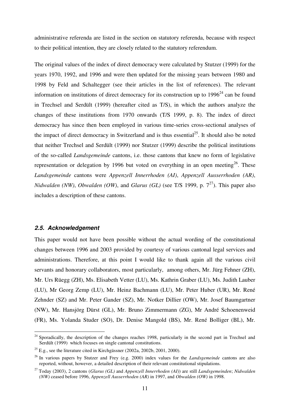administrative referenda are listed in the section on statutory referenda, because with respect to their political intention, they are closely related to the statutory referendum.

The original values of the index of direct democracy were calculated by Stutzer (1999) for the years 1970, 1992, and 1996 and were then updated for the missing years between 1980 and 1998 by Feld and Schaltegger (see their articles in the list of references). The relevant information on institutions of direct democracy for its construction up to  $1996<sup>24</sup>$  can be found in Trechsel and Serdült (1999) (hereafter cited as T/S), in which the authors analyze the changes of these institutions from 1970 onwards (T/S 1999, p. 8). The index of direct democracy has since then been employed in various time-series cross-sectional analyses of the impact of direct democracy in Switzerland and is thus essential<sup>25</sup>. It should also be noted that neither Trechsel and Serdült (1999) nor Stutzer (1999) describe the political institutions of the so-called *Landsgemeinde* cantons, i.e. those cantons that knew no form of legislative representation or delegation by 1996 but voted on everything in an open meeting<sup>26</sup>. These *Landsgemeinde* cantons were *Appenzell Innerrhoden (AI)*, *Appenzell Ausserrhoden (AR)*, *Nidwalden (NW), Obwalden (OW), and <i>Glarus (GL)* (see T/S 1999, p.  $7^{27}$ ). This paper also includes a description of these cantons.

#### *2.5. Acknowledgement*

<u>.</u>

This paper would not have been possible without the actual wording of the constitutional changes between 1996 and 2003 provided by courtesy of various cantonal legal services and administrations. Therefore, at this point I would like to thank again all the various civil servants and honorary collaborators, most particularly, among others, Mr. Jürg Fehner (ZH), Mr. Urs Rüegg (ZH), Ms. Elisabeth Vetter (LU), Ms. Kathrin Graber (LU), Ms. Judith Lauber (LU), Mr Georg Zemp (LU), Mr. Heinz Bachmann (LU), Mr. Peter Huber (UR), Mr. René Zehnder (SZ) and Mr. Peter Gander (SZ), Mr. Notker Dillier (OW), Mr. Josef Baumgartner (NW), Mr. Hansjörg Dürst (GL), Mr. Bruno Zimmermann (ZG), Mr André Schoenenweid (FR), Ms. Yolanda Studer (SO), Dr. Denise Mangold (BS), Mr. René Bolliger (BL), Mr.

<sup>&</sup>lt;sup>24</sup> Sporadically, the description of the changes reaches 1998, particularly in the second part in Trechsel and Serdült (1999) which focuses on single cantonal constitutions.

<sup>&</sup>lt;sup>25</sup> E.g., see the literature cited in Kirchgässner (2002a, 2002b, 2001, 2000).

<sup>26</sup> In various papers by Stutzer and Frey (e.g. 2000) index values for the *Landsgemeinde* cantons are also reported, without, however, a detailed description of their relevant constitutional stipulations.

<sup>27</sup> Today (2003), 2 cantons (*Glarus (GL)* and *Appenzell Innerrhoden (AI)*) are still *Landsgemeinden*; *Nidwalden (NW)* ceased before 1996, *Appenzell Ausserrhoden (AR)* in 1997, and *Obwalden (OW)* in 1998.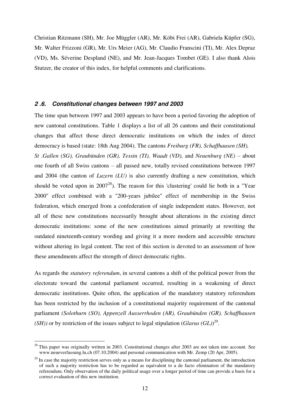Christian Ritzmann (SH), Mr. Joe Müggler (AR), Mr. Köbi Frei (AR), Gabriela Küpfer (SG), Mr. Walter Frizzoni (GR), Mr. Urs Meier (AG), Mr. Claudio Franscini (TI), Mr. Alex Depraz (VD), Ms. Séverine Despland (NE), and Mr. Jean-Jacques Tombet (GE). I also thank Alois Stutzer, the creator of this index, for helpful comments and clarifications.

#### *2 .6. Constitutional changes between 1997 and 2003*

The time span between 1997 and 2003 appears to have been a period favoring the adoption of new cantonal constitutions. Table 1 displays a list of all 26 cantons and their constitutional changes that affect those direct democratic institutions on which the index of direct democracy is based (state: 18th Aug 2004). The cantons *Freiburg (FR), Schaffhausen (SH), St .Gallen (SG), Graubünden (GR), Tessin (TI), Waadt (VD),* and *Neuenburg (NE)* – about one fourth of all Swiss cantons – all passed new, totally revised constitutions between 1997 and 2004 (the canton of *Luzern (LU)* is also currently drafting a new constitution, which should be voted upon in  $2007^{28}$ ). The reason for this 'clustering' could lie both in a "Year" 2000" effect combined with a "200-years jubilee" effect of membership in the Swiss federation, which emerged from a confederation of single independent states. However, not all of these new constitutions necessarily brought about alterations in the existing direct democratic institutions: some of the new constitutions aimed primarily at rewriting the outdated nineteenth-century wording and giving it a more modern and accessible structure without altering its legal content. The rest of this section is devoted to an assessment of how these amendments affect the strength of direct democratic rights.

As regards the *statutory referendum*, in several cantons a shift of the political power from the electorate toward the cantonal parliament occurred, resulting in a weakening of direct democratic institutions. Quite often, the application of the mandatory statutory referendum has been restricted by the inclusion of a constitutional majority requirement of the cantonal parliament *(Solothurn (SO), Appenzell Ausserrhoden (AR), Graubünden (GR), Schaffhausen (SH))* or by restriction of the issues subject to legal stipulation  $(Glarus (GL))^{29}$ .

-

 $2<sup>28</sup>$  This paper was originally written in 2003. Constitutional changes after 2003 are not taken into account. See www.neueverfassung.lu.ch (07.10.2004) and personal communication with Mr. Zemp (20 Apr, 2005).

 $^{29}$  In case the majority restriction serves only as a means for disciplining the cantonal parliament, the introduction of such a majority restriction has to be regarded as equivalent to a de facto elimination of the mandatory referendum. Only observation of the daily political usage over a longer period of time can provide a basis for a correct evaluation of this new institution.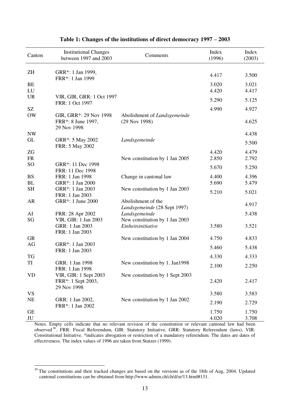| Canton                | <b>Institutional Changes</b><br>between 1997 and 2003       | Comments                                           | Index<br>(1996) | Index<br>(2003) |
|-----------------------|-------------------------------------------------------------|----------------------------------------------------|-----------------|-----------------|
| ZH                    | GRR*: 1 Jan 1999,                                           |                                                    |                 |                 |
|                       | FRR*: 1 Jan 1999                                            |                                                    | 4.417           | 3.500           |
| <b>BE</b>             |                                                             |                                                    | 3.020           | 3.021           |
| LU                    |                                                             |                                                    | 4.420           | 4.417           |
| <b>UR</b>             | VIR, GIR, GRR: 1 Oct 1997<br>FRR: 1 Oct 1997                |                                                    | 5.290           | 5.125           |
| SZ                    |                                                             |                                                    | 4.990           | 4.927           |
| <b>OW</b>             | GIR, GRR*: 29 Nov 1998<br>FRR*: 8 June 1997,<br>29 Nov 1998 | Abolishment of Landsgemeinde<br>(29 Nov 1998)      |                 | 4.625           |
| <b>NW</b>             |                                                             |                                                    |                 | 4.438           |
| GL                    | GRR*: 5 May 2002<br>FRR: 5 May 2002                         | Landsgemeinde                                      |                 | 5.500           |
| ZG                    |                                                             |                                                    | 4.420           | 4.479           |
| <b>FR</b>             |                                                             | New constitution by 1 Jan 2005                     | 2.850           | 2.792           |
| SO <sub>1</sub>       | GRR*: 11 Dec 1998<br>FRR: 11 Dec 1998                       |                                                    | 5.670           | 5.250           |
| <b>BS</b>             | FRR: 1 Jan 1998                                             | Change in cantonal law                             | 4.400           | 4.396           |
| BL                    | GRR*: 1 Jan 2000                                            |                                                    | 5.690           | 5.479           |
| <b>SH</b>             | GRR*: 1 Jan 2003<br>FRR: 1 Jan 2003                         | New constitution by 1 Jan 2003                     | 5.210           | 5.021           |
| AR                    | GRR*: 1 June 2000                                           | Abolishment of the<br>Landsgemeinde (28 Sept 1997) |                 | 4.917           |
| AI                    | FRR: 28 Apr 2002                                            | Landsgemeinde                                      |                 | 5.438           |
| SG                    | VIR, GIR: 1 Jan 2003                                        | New constitution by 1 Jan 2003                     |                 |                 |
|                       | GRR: 1 Jan 2003<br>FRR: 1 Jan 2003                          | Einheitsinitiative                                 | 3.580           | 3.521           |
| <b>GR</b>             |                                                             | New constitution by 1 Jan 2004                     | 4.750           | 4.833           |
| AG                    | GRR*: 1 Jan 2003<br>FRR: 1 Jan 2003                         |                                                    | 5.460           | 5.438           |
| <b>TG</b>             |                                                             |                                                    | 4.330           | 4.333           |
| TI                    | GRR: 1 Jan 1998<br>FRR: 1 Jan 1998                          | New constitution by 1. Jan1998                     | 2.100           | 2.250           |
| <b>VD</b>             | VIR, GIR: 1 Sept 2003<br>FRR*: 1 Sept 2003,<br>29 Nov 1998  | New constitution by 1 Sept 2003                    | 2.420           | 2.417           |
| <b>VS</b>             |                                                             |                                                    | 3.580           | 3.583           |
| <b>NE</b>             | GRR: 1 Jan 2002,<br>FRR*: 1 Jan 2002                        | New constitution by 1 Jan 2002                     | 2.190           | 2.729           |
| <b>GE</b><br>$\rm JU$ |                                                             |                                                    | 1.750<br>4.020  | 1.750<br>3.708  |

## **Table 1: Changes of the institutions of direct democracy 1997 – 2003**

Notes. Empty cells indicate that no relevant revision of the constitution or relevant cantonal law had been observed<sup>30</sup> . FRR: Fiscal Referendum, GIR: Statutory Initiative, GRR: Statutory Referendum (laws), VIR: Constitutional Initiative. \*indicates abrogation or restriction of a mandatory referendum. The dates are dates of effectiveness. The index values of 1996 are taken from Stutzer (1999).

-

<sup>&</sup>lt;sup>30</sup> The constitutions and their tracked changes are based on the versions as of the 18th of Aug, 2004. Updated cantonal constitutions can be obtained from http://www.admin.ch/ch/d/sr/13.html#131.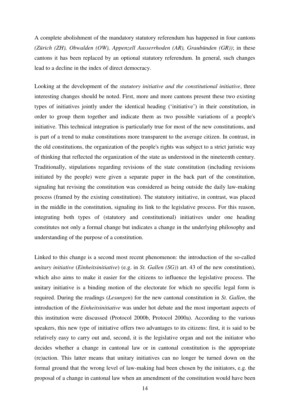A complete abolishment of the mandatory statutory referendum has happened in four cantons *(Zürich (ZH), Obwalden (OW), Appenzell Ausserrhoden (AR), Graubünden (GR))*; in these cantons it has been replaced by an optional statutory referendum. In general, such changes lead to a decline in the index of direct democracy.

Looking at the development of the *statutory initiative and the constitutional initiative*, three interesting changes should be noted. First, more and more cantons present these two existing types of initiatives jointly under the identical heading ("initiative") in their constitution, in order to group them together and indicate them as two possible variations of a people's initiative. This technical integration is particularly true for most of the new constitutions, and is part of a trend to make constitutions more transparent to the average citizen. In contrast, in the old constitutions, the organization of the people's rights was subject to a strict juristic way of thinking that reflected the organization of the state as understood in the nineteenth century. Traditionally, stipulations regarding revisions of the state constitution (including revisions initiated by the people) were given a separate paper in the back part of the constitution, signaling hat revising the constitution was considered as being outside the daily law-making process (framed by the existing constitution). The statutory initiative, in contrast, was placed in the middle in the constitution, signaling its link to the legislative process. For this reason, integrating both types of (statutory and constitutional) initiatives under one heading constitutes not only a formal change but indicates a change in the underlying philosophy and understanding of the purpose of a constitution.

Linked to this change is a second most recent phenomenon: the introduction of the so-called *unitary initiative* (*Einheitsinitiative*) (e.g. in *St. Gallen (SG)*) art. 43 of the new constitution), which also aims to make it easier for the citizens to influence the legislative process. The unitary initiative is a binding motion of the electorate for which no specific legal form is required. During the readings (*Lesungen*) for the new cantonal constitution in *St. Gallen*, the introduction of the *Einheitsinitiative* was under hot debate and the most important aspects of this institution were discussed (Protocol 2000b, Protocol 2000a). According to the various speakers, this new type of initiative offers two advantages to its citizens: first, it is said to be relatively easy to carry out and, second, it is the legislative organ and not the initiator who decides whether a change in cantonal law or in cantonal constitution is the appropriate (re)action. This latter means that unitary initiatives can no longer be turned down on the formal ground that the wrong level of law-making had been chosen by the initiators, e.g. the proposal of a change in cantonal law when an amendment of the constitution would have been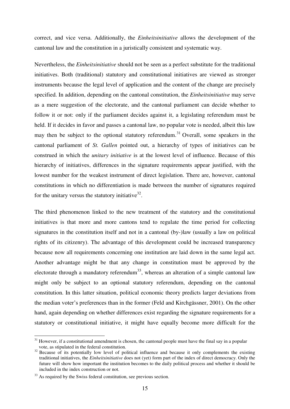correct, and vice versa. Additionally, the *Einheitsinitiative* allows the development of the cantonal law and the constitution in a juristically consistent and systematic way.

Nevertheless, the *Einheitsinitiative* should not be seen as a perfect substitute for the traditional initiatives. Both (traditional) statutory and constitutional initiatives are viewed as stronger instruments because the legal level of application and the content of the change are precisely specified. In addition, depending on the cantonal constitution, the *Einheitsinitiative* may serve as a mere suggestion of the electorate, and the cantonal parliament can decide whether to follow it or not: only if the parliament decides against it, a legislating referendum must be held. If it decides in favor and passes a cantonal law, no popular vote is needed, albeit this law may then be subject to the optional statutory referendum.<sup>31</sup> Overall, some speakers in the cantonal parliament of *St. Gallen* pointed out, a hierarchy of types of initiatives can be construed in which the *unitary initiative* is at the lowest level of influence. Because of this hierarchy of initiatives, differences in the signature requirements appear justified, with the lowest number for the weakest instrument of direct legislation. There are, however, cantonal constitutions in which no differentiation is made between the number of signatures required for the unitary versus the statutory initiative<sup>32</sup>.

The third phenomenon linked to the new treatment of the statutory and the constitutional initiatives is that more and more cantons tend to regulate the time period for collecting signatures in the constitution itself and not in a cantonal (by-)law (usually a law on political rights of its citizenry). The advantage of this development could be increased transparency because now all requirements concerning one institution are laid down in the same legal act. Another advantage might be that any change in constitution must be approved by the electorate through a mandatory referendum<sup>33</sup>, whereas an alteration of a simple cantonal law might only be subject to an optional statutory referendum, depending on the cantonal constitution. In this latter situation, political economic theory predicts larger deviations from the median voter"s preferences than in the former (Feld and Kirchgässner, 2001). On the other hand, again depending on whether differences exist regarding the signature requirements for a statutory or constitutional initiative, it might have equally become more difficult for the

-

<sup>&</sup>lt;sup>31</sup> However, if a constitutional amendment is chosen, the cantonal people must have the final say in a popular vote, as stipulated in the federal constitution.

<sup>&</sup>lt;sup>32</sup> Because of its potentially low level of political influence and because it only complements the existing traditional initiatives, the *Einheitsinitiative* does not (yet) form part of the index of direct democracy. Only the future will show how important the institution becomes to the daily political process and whether it should be included in the index construction or not.

<sup>&</sup>lt;sup>33</sup> As required by the Swiss federal constitution, see previous section.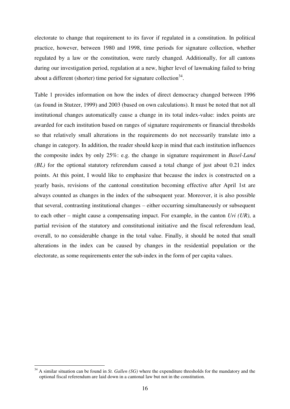electorate to change that requirement to its favor if regulated in a constitution. In political practice, however, between 1980 and 1998, time periods for signature collection, whether regulated by a law or the constitution, were rarely changed. Additionally, for all cantons during our investigation period, regulation at a new, higher level of lawmaking failed to bring about a different (shorter) time period for signature collection<sup>34</sup>.

Table 1 provides information on how the index of direct democracy changed between 1996 (as found in Stutzer, 1999) and 2003 (based on own calculations). It must be noted that not all institutional changes automatically cause a change in its total index-value: index points are awarded for each institution based on ranges of signature requirements or financial thresholds so that relatively small alterations in the requirements do not necessarily translate into a change in category. In addition, the reader should keep in mind that each institution influences the composite index by only 25%: e.g. the change in signature requirement in *Basel-Land (BL)* for the optional statutory referendum caused a total change of just about 0.21 index points. At this point, I would like to emphasize that because the index is constructed on a yearly basis, revisions of the cantonal constitution becoming effective after April 1st are always counted as changes in the index of the subsequent year. Moreover, it is also possible that several, contrasting institutional changes – either occurring simultaneously or subsequent to each other – might cause a compensating impact. For example, in the canton *Uri (UR)*, a partial revision of the statutory and constitutional initiative and the fiscal referendum lead, overall, to no considerable change in the total value. Finally, it should be noted that small alterations in the index can be caused by changes in the residential population or the electorate, as some requirements enter the sub-index in the form of per capita values.

-

<sup>34</sup> A similar situation can be found in *St. Gallen (SG)* where the expenditure thresholds for the mandatory and the optional fiscal referendum are laid down in a cantonal law but not in the constitution.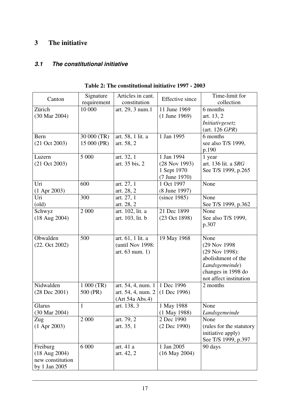## **3 The initiative**

## *3.1 The constitutional initiative*

|                          | Signature    | Articles in cant.  |                        | Time-limit for                   |
|--------------------------|--------------|--------------------|------------------------|----------------------------------|
| Canton                   | requirement  | constitution       | <b>Effective</b> since | collection                       |
| Zürich                   | 10 000       | art. 29, 3 num.1   | 11 June 1969           | 6 months                         |
| (30 Mar 2004)            |              |                    | $(1$ June 1969)        | art. 13, 2                       |
|                          |              |                    |                        | Initiativgesetz                  |
|                          |              |                    |                        | $(\text{art. } 126 \text{ GPR})$ |
| Bern                     | 30 000 (TR)  | art. 58, 1 lit. a  | 1 Jan 1995             | 6 months                         |
| $(21 \text{ Oct } 2003)$ | 15 000 (PR)  | art. 58, 2         |                        | see also T/S 1999,               |
|                          |              |                    |                        | p.190                            |
| Luzern                   | 5 000        | art. 32, 1         | 1 Jan 1994             | 1 year                           |
| $(21 \text{ Oct } 2003)$ |              | art. 35 bis, 2     | $(28$ Nov 1993)        | art. 136 lit. a SRG              |
|                          |              |                    | 1 Sept 1970            | See T/S 1999, p.265              |
|                          |              |                    | (7 June 1970)          |                                  |
| Uri                      | 600          | art. 27, 1         | 1 Oct 1997             | None                             |
| $(1$ Apr 2003)           |              | art. 28, 2         | (8 June 1997)          |                                  |
| Uri                      | 300          | art. 27, 1         | (since 1985)           | None                             |
| $\text{(old)}$           |              | art. 28, 2         |                        | See T/S 1999, p.362              |
| Schwyz                   | 2 000        | art. 102, lit. a   | 21 Dec 1899            | None                             |
| $(18 \text{ Aug } 2004)$ |              | art. 103, lit. b   | (23 Oct 1898)          | See also T/S 1999,               |
|                          |              |                    |                        | p.307                            |
| Obwalden                 | 500          | art. 61, 1 lit. a  | 19 May 1968            | None                             |
| (22. Oct 2002)           |              | (until Nov 1998:   |                        | (29 Nov 1998)                    |
|                          |              | art. 63 num. 1)    |                        | (29 Nov 1998):                   |
|                          |              |                    |                        | abolishment of the               |
|                          |              |                    |                        | Landsgemeinde)                   |
|                          |              |                    |                        | changes in 1998 do               |
|                          |              |                    |                        | not affect institution           |
| Nidwalden                | 1 000 (TR)   | art. 54, 4, num. 1 | 1 Dec 1996             | 2 months                         |
| $(28$ Dec $2001)$        | 500 (PR)     | art. 54, 4, num. 2 | $(1$ Dec 1996)         |                                  |
|                          |              | (Art 54a Abs.4)    |                        |                                  |
| Glarus                   | $\mathbf{1}$ | art. 138, 3        | 1 May 1988             | None                             |
| $(30 \text{ Mar } 2004)$ |              |                    | $(1$ May 1988)         | Landsgemeinde                    |
| Zug                      | 2 000        | art. 79, 2         | 2 Dec 1990             | None                             |
| $(1$ Apr 2003)           |              | art. 35, 1         | (2 Dec 1990)           | (rules for the statutory         |
|                          |              |                    |                        | initiative apply)                |
|                          |              |                    |                        | See T/S 1999, p.397              |
| Freiburg                 | 6 000        | art. 41 a          | 1 Jan 2005             | 90 days                          |
| $(18 \text{ Aug } 2004)$ |              | art. 42, 2         | $(16$ May 2004)        |                                  |
| new constitution         |              |                    |                        |                                  |
| by 1 Jan 2005            |              |                    |                        |                                  |

**Table 2: The constitutional initiative 1997 - 2003**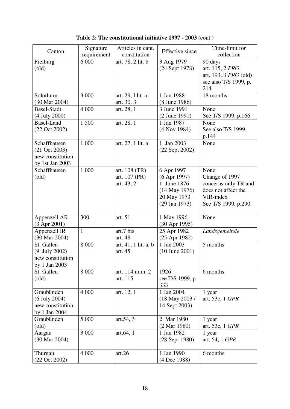| Canton                                                                          | Signature<br>requirement | Articles in cant.<br>constitution            | <b>Effective</b> since                                                                              | Time-limit for<br>collection                                                                              |
|---------------------------------------------------------------------------------|--------------------------|----------------------------------------------|-----------------------------------------------------------------------------------------------------|-----------------------------------------------------------------------------------------------------------|
| Freiburg<br>$\text{(old)}$                                                      | 6 000                    | art. 78, 2 lit. b                            | 3 Aug 1979<br>(24 Sept 1978)                                                                        | 90 days<br>art. 115, 2 PRG<br>art. 193, 3 <i>PRG</i> (old)<br>see also T/S 1999, p.<br>214                |
| Solothurn<br>(30 Mar 2004)                                                      | 3 000                    | art. 29, I lit. a;<br>art. 30, 3             | 1 Jan 1988<br>(8 June 1986)                                                                         | 18 months                                                                                                 |
| <b>Basel-Stadt</b><br>(4 July 2000)                                             | 4 0 0 0                  | art. 28, 1                                   | 3 June 1991<br>$(2$ June 1991)                                                                      | None<br>See T/S 1999, p.166                                                                               |
| <b>Basel-Land</b><br>(22 Oct 2002)                                              | 1 500                    | art. 28, 1                                   | 1 Jan 1987<br>(4 Nov 1984)                                                                          | None<br>See also T/S 1999,<br>p.144                                                                       |
| Schaffhausen<br>$(21 \text{ Oct } 2003)$<br>new constitution<br>by 1st Jan 2003 | 1 000                    | art. 27, 1 lit. a                            | 1 Jan 2003<br>(22 Sept 2002)                                                                        | None                                                                                                      |
| Schaffhausen<br>$\text{(old)}$                                                  | 1 000                    | art. 108 (TR)<br>art. 107 (PR)<br>art. 43, 2 | 6 Apr 1997<br>$(6$ Apr 1997)<br>1. June 1876<br>$(14$ May 1976)<br>20 May 1973<br>$(29$ Jan $1973)$ | None<br>Change of 1997<br>concerns only TR and<br>does not affect the<br>VIR-index<br>See T/S 1999, p.290 |
| Appenzell AR<br>$(3$ Apr 2001)                                                  | 300                      | art. 51                                      | 1 May 1996<br>(30 Apr 1995)                                                                         | None                                                                                                      |
| Appenzell IR<br>(30 Mar 2004)                                                   | $\mathbf{1}$             | art.7 bis<br>art. 48                         | 25 Apr 1982<br>(25 Apr 1982)                                                                        | Landsgemeinde                                                                                             |
| St. Gallen<br>(9 July 2002)<br>new constitution<br>by 1 Jan 2003                | 8 0 0 0                  | art. 41, 1 lit. a, b<br>art. 45              | 1 Jan 2003<br>$(10$ June $2001)$                                                                    | 5 months                                                                                                  |
| St. Gallen<br>$\text{(old)}$                                                    | 8 0 0 0                  | art. 114 num. 2<br>art. 115                  | 1926<br>see T/S 1999, p.<br>333                                                                     | 6 months                                                                                                  |
| Graubünden<br>$(6$ July 2004)<br>new constitution<br>by 1 Jan 2004              | 4 0 0 0                  | art. 12, 1                                   | 1 Jan 2004<br>(18 May 2003 /<br>14 Sept 2003)                                                       | 1 year<br>art. 53c, 1 GPR                                                                                 |
| Graubünden<br>$\text{(old)}$                                                    | 5 000                    | art.54, 3                                    | 2 Mar 1980<br>$(2 \text{ Mar } 1980)$                                                               | 1 year<br>art. 53c, 1 GPR                                                                                 |
| Aargau<br>$(30 \text{ Mar } 2004)$                                              | 3 0 0 0                  | art.64, 1                                    | 1 Jan 1982<br>(28 Sept 1980)                                                                        | 1 year<br>art. 54, 1 GPR                                                                                  |
| Thurgau<br>$(22 \text{ Oct } 2002)$                                             | 4 0 0 0                  | art.26                                       | 1 Jan 1990<br>(4 Dec 1988)                                                                          | 6 months                                                                                                  |

**Table 2: The constitutional initiative 1997 - 2003** (cont.)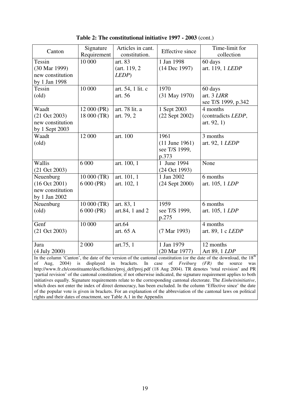| Canton                                                                                                                    | Signature   | Articles in cant. | <b>Effective</b> since | Time-limit for                                                                                                                  |
|---------------------------------------------------------------------------------------------------------------------------|-------------|-------------------|------------------------|---------------------------------------------------------------------------------------------------------------------------------|
|                                                                                                                           | Requirement | constitution.     |                        | collection                                                                                                                      |
| Tessin                                                                                                                    | 10 000      | art. 83           | 1 Jan 1998             | 60 days                                                                                                                         |
| (30 Mar 1999)                                                                                                             |             | (art. 119, 2)     | (14 Dec 1997)          | art. 119, 1 <i>LEDP</i>                                                                                                         |
| new constitution                                                                                                          |             | LEDP)             |                        |                                                                                                                                 |
| by 1 Jan 1998                                                                                                             |             |                   |                        |                                                                                                                                 |
| Tessin                                                                                                                    | 10 000      | art. 54, 1 lit. c | 1970                   | 60 days                                                                                                                         |
| $\text{(old)}$                                                                                                            |             | art. 56           | (31 May 1970)          | art. 3 LIRR                                                                                                                     |
|                                                                                                                           |             |                   |                        | see T/S 1999, p.342                                                                                                             |
| Waadt                                                                                                                     | 12 000 (PR) | art. 78 lit. a    | 1 Sept 2003            | 4 months                                                                                                                        |
| $(21 \text{ Oct } 2003)$                                                                                                  | 18 000 (TR) | art. 79, 2        | $(22$ Sept $2002)$     | (contradicts LEDP,                                                                                                              |
| new constitution                                                                                                          |             |                   |                        | art. $92, 1)$                                                                                                                   |
| by 1 Sept 2003                                                                                                            |             |                   |                        |                                                                                                                                 |
| Waadt                                                                                                                     | 12 000      | art. 100          | 1961                   | 3 months                                                                                                                        |
| $\text{(old)}$                                                                                                            |             |                   | $(11$ June 1961)       | art. 92, 1 LEDP                                                                                                                 |
|                                                                                                                           |             |                   | see T/S 1999,          |                                                                                                                                 |
|                                                                                                                           |             |                   | p.373                  |                                                                                                                                 |
| Wallis                                                                                                                    | 6 000       | art. 100, 1       | 1 June 1994            | None                                                                                                                            |
| $(21 \text{ Oct } 2003)$                                                                                                  |             |                   | (24 Oct 1993)          |                                                                                                                                 |
| Neuenburg                                                                                                                 | 10 000 (TR) | art. 101, 1       | 1 Jan 2002             | 6 months                                                                                                                        |
| (16 Oct 2001)                                                                                                             | 6 000 (PR)  | art. 102, 1       | $(24$ Sept $2000)$     | art. 105, 1 <i>LDP</i>                                                                                                          |
| new constitution                                                                                                          |             |                   |                        |                                                                                                                                 |
| by 1 Jan 2002                                                                                                             |             |                   |                        |                                                                                                                                 |
| Neuenburg                                                                                                                 | 10 000 (TR) | art. 83, 1        | 1959                   | 6 months                                                                                                                        |
| $\text{(old)}$                                                                                                            | 6 000 (PR)  | art.84, 1 and 2   | see T/S 1999,          | art. 105, 1 <i>LDP</i>                                                                                                          |
|                                                                                                                           |             |                   | p.275                  |                                                                                                                                 |
| Genf                                                                                                                      | 10 000      | art.64            |                        | 4 months                                                                                                                        |
| $(21 \text{ Oct } 2003)$                                                                                                  |             | art. 65 A         | (7 Mar 1993)           | art. 89, 1 c <i>LEDP</i>                                                                                                        |
|                                                                                                                           |             |                   |                        |                                                                                                                                 |
| Jura                                                                                                                      | 2 000       | art.75, 1         | 1 Jan 1979             | 12 months                                                                                                                       |
| (4 July 2000)                                                                                                             |             |                   | (20 Mar 1977)          | Art 89, 1 <i>LDP</i>                                                                                                            |
|                                                                                                                           |             |                   |                        | In the column 'Canton', the date of the version of the cantonal constitution (or the date of the download, the 18 <sup>th</sup> |
| 2004)<br>is<br>of<br>Aug,<br>displayed<br>in<br>brackets.<br>In<br>of<br>Freiburg<br>(FR)<br>the<br>case<br>source<br>was |             |                   |                        |                                                                                                                                 |

**Table 2: The constitutional initiative 1997 - 2003** (cont.)

of Aug, 2004) is displayed in brackets. In case of *Freiburg (FR)* the source was http://www.fr.ch/constituante/doc/fichiers/proj\_def/proj.pdf (18 Aug 2004). TR denotes "total revision" and PR 'partial revision' of the cantonal constitution; if not otherwise indicated, the signature requirement applies to both initiatives equally. Signature requirements relate to the corresponding cantonal electorate. The *Einheitsinitiative*, which does not enter the index of direct democracy, has been excluded. In the column 'Effective since' the date of the popular vote is given in brackets. For an explanation of the abbreviation of the cantonal laws on political rights and their dates of enactment, see Table A.1 in the Appendix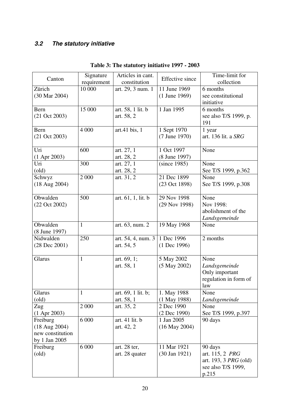## *3.2 The statutory initiative*

| Canton                     | Signature<br>requirement | Articles in cant.<br>constitution     | <b>Effective</b> since           | Time-limit for<br>collection                           |
|----------------------------|--------------------------|---------------------------------------|----------------------------------|--------------------------------------------------------|
| Zürich                     | 10 000                   | art. 29, 3 num. 1                     | 11 June 1969                     | 6 months                                               |
| (30 Mar 2004)              |                          |                                       | $(1$ June 1969)                  | see constitutional<br>initiative                       |
| Bern                       | 15 000                   | art. 58, 1 lit. b                     | 1 Jan 1995                       | 6 months                                               |
| $(21 \text{ Oct } 2003)$   |                          | art. 58, 2                            |                                  | see also T/S 1999, p.<br>191                           |
| Bern                       | 4 000                    | art.41 bis, 1                         | 1 Sept 1970                      | 1 year                                                 |
| $(21 \text{ Oct } 2003)$   |                          |                                       | (7 June 1970)                    | art. 136 lit. a SRG                                    |
| Uri                        | 600                      | art. 27, 1                            | 1 Oct 1997                       | None                                                   |
| $(1$ Apr 2003)             |                          | art. 28, 2                            | (8 June 1997)                    |                                                        |
| Uri                        | 300                      | art. 27, 1                            | (since 1985)                     | None                                                   |
| (old)<br>Schwyz            | 2 000                    | art. 28, 2<br>art. 31, $\overline{2}$ | 21 Dec 1899                      | See T/S 1999, p.362<br>None                            |
| $(18 \text{ Aug } 2004)$   |                          |                                       | (23 Oct 1898)                    | See T/S 1999, p.308                                    |
|                            |                          |                                       |                                  |                                                        |
| Obwalden                   | 500                      | art. 61, 1, lit. b                    | 29 Nov 1998                      | None                                                   |
| $(22 \text{ Oct } 2002)$   |                          |                                       | (29 Nov 1998)                    | Nov 1998:                                              |
|                            |                          |                                       |                                  | abolishment of the                                     |
|                            |                          |                                       |                                  | Landsgemeinde                                          |
| Obwalden                   | $\mathbf{1}$             | art. 63, num. 2                       | 19 May 1968                      | None                                                   |
| (8 June 1997)<br>Nidwalden | 250                      |                                       | $\overline{1}$ Dec 1996          | 2 months                                               |
| $(28$ Dec $2001)$          |                          | art. 54, 4, num. 3<br>art. 54, 5      | $(1$ Dec 1996)                   |                                                        |
|                            |                          |                                       |                                  |                                                        |
| Glarus                     | 1                        | art. $69, 1;$                         | 5 May 2002                       | None                                                   |
|                            |                          | art. 58, 1                            | $(5$ May 2002)                   | Landsgemeinde                                          |
|                            |                          |                                       |                                  | Only important                                         |
|                            |                          |                                       |                                  | regulation in form of<br>law                           |
| Glarus                     | $\mathbf{1}$             | art. 69, 1 lit. b;                    | 1. May 1988                      | None                                                   |
| $\text{(old)}$             |                          | art. 58, 1                            | $(1$ May 1988)                   | Landsgemeinde                                          |
| Zug                        | 2 0 0 0                  | art. 35, 2                            | 2 Dec 1990                       | None                                                   |
| $(1$ Apr 2003)             |                          |                                       | (2 Dec 1990)                     | See T/S 1999, p.397                                    |
| Freiburg                   | 6 0 0 0                  | art. 41 lit. b                        | 1 Jan 2005                       | 90 days                                                |
| $(18 \text{ Aug } 2004)$   |                          | art. 42, 2                            | $(16$ May 2004)                  |                                                        |
| new constitution           |                          |                                       |                                  |                                                        |
| by 1 Jan 2005              |                          |                                       |                                  |                                                        |
| Freiburg<br>$\text{(old)}$ | 6 000                    | art. 28 ter,                          | 11 Mar 1921<br>$(30$ Jan $1921)$ | 90 days                                                |
|                            |                          | art. 28 quater                        |                                  | art. 115, 2 <i>PRG</i><br>art. 193, 3 <i>PRG</i> (old) |
|                            |                          |                                       |                                  | see also T/S 1999,                                     |
|                            |                          |                                       |                                  | p.215                                                  |

## **Table 3: The statutory initiative 1997 - 2003**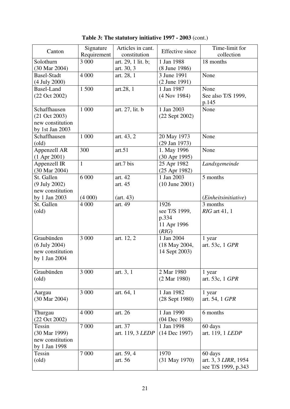| Canton                         | Signature<br>Requirement | Articles in cant.<br>constitution | <b>Effective</b> since       | Time-limit for<br>collection  |
|--------------------------------|--------------------------|-----------------------------------|------------------------------|-------------------------------|
| Solothurn                      | 3 000                    | art. 29, 1 lit. b;                | 1 Jan 1988                   | 18 months                     |
| (30 Mar 2004)                  |                          | art. 30, 3                        | (8 June 1986)                |                               |
| <b>Basel-Stadt</b>             | 4 0 0 0                  | art. 28, 1                        | 3 June 1991                  | None                          |
| (4 July 2000)                  |                          |                                   | (2 June 1991)                |                               |
| <b>Basel-Land</b>              | 1500                     | art.28, 1                         | 1 Jan 1987                   | None                          |
| (22 Oct 2002)                  |                          |                                   | (4 Nov 1984)                 | See also T/S 1999,            |
|                                |                          |                                   |                              | p.145                         |
| Schaffhausen                   | 1 000                    | art. 27, lit. b                   | 1 Jan 2003                   | None                          |
| $(21 \text{ Oct } 2003)$       |                          |                                   | (22 Sept 2002)               |                               |
| new constitution               |                          |                                   |                              |                               |
| by 1st Jan 2003                |                          |                                   |                              |                               |
| Schaffhausen                   | 1 000                    | art. 43, 2                        | 20 May 1973                  | None                          |
| $\text{(old)}$<br>Appenzell AR | 300                      | art.51                            | (29 Jan 1973)<br>1. May 1996 | None                          |
| $(1$ Apr 2001)                 |                          |                                   | (30 Apr 1995)                |                               |
| Appenzell IR                   | $\mathbf{1}$             | art.7 bis                         | 25 Apr 1982                  | Landsgemeinde                 |
| (30 Mar 2004)                  |                          |                                   | (25 Apr 1982)                |                               |
| St. Gallen                     | 6 000                    | art. 42                           | 1 Jan 2003                   | 5 months                      |
| (9 July 2002)                  |                          | art. 45                           | $(10$ June $2001)$           |                               |
| new constitution               |                          |                                   |                              |                               |
| by 1 Jan 2003                  | (4000)                   | (art. 43)                         |                              | ( <i>Einheitsinitiative</i> ) |
| St. Gallen                     | 4 000                    | art. 49                           | 1926                         | 3 months                      |
| $\text{(old)}$                 |                          |                                   | see T/S 1999,                | <i>RIG</i> art 41, 1          |
|                                |                          |                                   | p.334                        |                               |
|                                |                          |                                   | 11 Apr 1996                  |                               |
|                                |                          |                                   | (RIG)                        |                               |
| Graubünden                     | 3 000                    | art. 12, 2                        | 1 Jan 2004                   | 1 year                        |
| $(6$ July 2004)                |                          |                                   | (18 May 2004,                | art. 53c, 1 GPR               |
| new constitution               |                          |                                   | 14 Sept 2003)                |                               |
| by 1 Jan 2004                  |                          |                                   |                              |                               |
|                                |                          |                                   |                              |                               |
| Graubünden                     | 3 000                    | art. 3, 1                         | 2 Mar 1980                   | 1 year                        |
| $\text{(old)}$                 |                          |                                   | $(2 \text{ Mar } 1980)$      | art. 53c, 1 GPR               |
| Aargau                         | 3 000                    | art. 64, 1                        | 1 Jan 1982                   | 1 year                        |
| (30 Mar 2004)                  |                          |                                   | (28 Sept 1980)               | art. 54, 1 GPR                |
|                                |                          |                                   |                              |                               |
| Thurgau                        | 4 0 0 0                  | art. 26                           | 1 Jan 1990                   | 6 months                      |
| (22 Oct 2002)                  |                          |                                   | (04 Dec 1988)                |                               |
| Tessin                         | 7 0 0 0                  | art. 37                           | 1 Jan 1998                   | 60 days                       |
| (30 Mar 1999)                  |                          | art. 119, 3 <i>LEDP</i>           | $(14$ Dec 1997)              | art. 119, 1 <i>LEDP</i>       |
| new constitution               |                          |                                   |                              |                               |
| by 1 Jan 1998                  |                          |                                   |                              |                               |
| Tessin                         | 7 0 0 0                  | art. 59, 4                        | 1970                         | 60 days                       |
| $\text{(old)}$                 |                          | art. 56                           | (31 May 1970)                | art. 3, 3 LIRR, 1954          |
|                                |                          |                                   |                              | see T/S 1999, p.343           |

**Table 3: The statutory initiative 1997 - 2003** (cont.)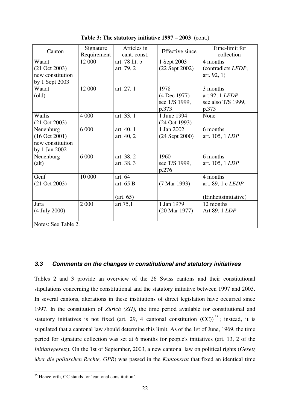| Canton                   | Signature           | Articles in    | <b>Effective</b> since   | Time-limit for           |  |  |
|--------------------------|---------------------|----------------|--------------------------|--------------------------|--|--|
|                          | Requirement         | cant. const.   |                          | collection               |  |  |
| Waadt                    | 12 000              | art. 78 lit. b | 1 Sept 2003              | 4 months                 |  |  |
| $(21 \text{ Oct } 2003)$ |                     | art. 79, 2     | $(22$ Sept $2002)$       | (contradicts LEDP,       |  |  |
| new constitution         |                     |                |                          | art. $92, 1)$            |  |  |
| by 1 Sept 2003           |                     |                |                          |                          |  |  |
| Waadt                    | 12 000              | art. 27, 1     | 1978                     | 3 months                 |  |  |
| $\text{(old)}$           |                     |                | (4 Dec 1977)             | art 92, 1 LEDP           |  |  |
|                          |                     |                | see T/S 1999,            | see also T/S 1999,       |  |  |
|                          |                     |                | p.373                    | p.373                    |  |  |
| Wallis                   | 4 0 0 0             | art. 33, 1     | 1 June 1994              | None                     |  |  |
| $(21 \text{ Oct } 2003)$ |                     |                | (24 Oct 1993)            |                          |  |  |
| Neuenburg                | 6 0 0 0             | art. 40, 1     | 1 Jan 2002               | 6 months                 |  |  |
| $(16$ Oct 2001)          |                     | art. 40, 2     | $(24$ Sept $2000)$       | art. 105, 1 <i>LDP</i>   |  |  |
| new constitution         |                     |                |                          |                          |  |  |
| by 1 Jan 2002            |                     |                |                          |                          |  |  |
| Neuenburg                | 6 000               | art. 38, 2     | 1960                     | 6 months                 |  |  |
| $\text{(alt)}$           |                     | art. 38. 3     | see T/S 1999,            | art. 105, 1 <i>LDP</i>   |  |  |
|                          |                     |                | p.276                    |                          |  |  |
| Genf                     | 10 000              | art. 64        |                          | 4 months                 |  |  |
| $(21 \text{ Oct } 2003)$ |                     | art. 65 B      | (7 Mar 1993)             | art. 89, 1 c <i>LEDP</i> |  |  |
|                          |                     |                |                          |                          |  |  |
|                          |                     | (art. 65)      |                          | (Einheitsinitiative)     |  |  |
| Jura                     | 2 0 0 0             | art. $75,1$    | 1 Jan 1979               | 12 months                |  |  |
| (4 July 2000)            |                     |                | $(20 \text{ Mar } 1977)$ | Art 89, 1 <i>LDP</i>     |  |  |
|                          |                     |                |                          |                          |  |  |
|                          | Notes: See Table 2. |                |                          |                          |  |  |

**Table 3: The statutory initiative 1997 – 2003** (cont.)

### *3.3 Comments on the changes in constitutional and statutory initiatives*

Tables 2 and 3 provide an overview of the 26 Swiss cantons and their constitutional stipulations concerning the constitutional and the statutory initiative between 1997 and 2003. In several cantons, alterations in these institutions of direct legislation have occurred since 1997. In the constitution of *Zürich (ZH)*, the time period available for constitutional and statutory initiatives is not fixed (art. 29, 4 cantonal constitution  $(CC)^{35}$ ; instead, it is stipulated that a cantonal law should determine this limit. As of the 1st of June, 1969, the time period for signature collection was set at 6 months for people's initiatives (art. 13, 2 of the *Initiativgesetz*). On the 1st of September, 2003, a new cantonal law on political rights (*Gesetz über die politischen Rechte, GPR*) was passed in the *Kantonsrat* that fixed an identical time

1

<sup>&</sup>lt;sup>35</sup> Henceforth, CC stands for 'cantonal constitution'.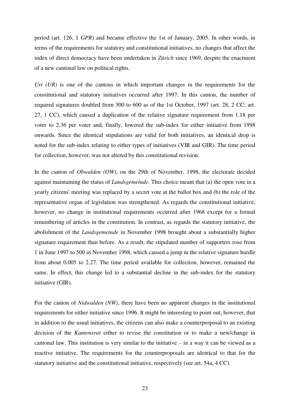period (art. 126, 1 *GPR*) and became effective the 1st of January, 2005. In other words, in terms of the requirements for statutory and constitutional initiatives, no changes that affect the index of direct democracy have been undertaken in *Zürich* since 1969, despite the enactment of a new cantonal law on political rights.

*Uri (UR)* is one of the cantons in which important changes in the requirements for the constitutional and statutory initiatives occurred after 1997. In this canton, the number of required signatures doubled from 300 to 600 as of the 1st October, 1997 (art. 28, 2 CC; art. 27, 1 CC), which caused a duplication of the relative signature requirement from 1.18 per voter to 2.36 per voter and, finally, lowered the sub-index for either initiative from 1998 onwards. Since the identical stipulations are valid for both initiatives, an identical drop is noted for the sub-index relating to either types of initiatives (VIR and GIR). The time period for collection, however, was not altered by this constitutional revision.

In the canton of *Obwalden (OW)*, on the 29th of November, 1998, the electorate decided against maintaining the status of *Landsgemeinde*. This choice meant that (a) the open vote in a yearly citizens' meeting was replaced by a secret vote at the ballot box and (b) the role of the representative organ of legislation was strengthened. As regards the constitutional initiative, however, no change in institutional requirements occurred after 1968 except for a formal renumbering of articles in the constitution. In contrast, as regards the statutory initiative, the abolishment of the *Landsgemeinde* in November 1998 brought about a substantially higher signature requirement than before. As a result, the stipulated number of supporters rose from 1 in June 1997 to 500 in November 1998, which caused a jump in the relative signature hurdle from about 0.005 to 2.27. The time period available for collection, however, remained the same. In effect, this change led to a substantial decline in the sub-index for the statutory initiative (GIR).

For the canton of *Nidwalden (NW)*, there have been no apparent changes in the institutional requirements for either initiative since 1996. It might be interesting to point out, however, that in addition to the usual initiatives, the citizens can also make a counterproposal to an existing decision of the *Kantonsrat* either to revise the constitution or to make a new/change in cantonal law. This institution is very similar to the initiative – in a way it can be viewed as a reactive initiative. The requirements for the counterproposals are identical to that for the statutory initiative and the constitutional initiative, respectively (see art. 54a, 4 CC).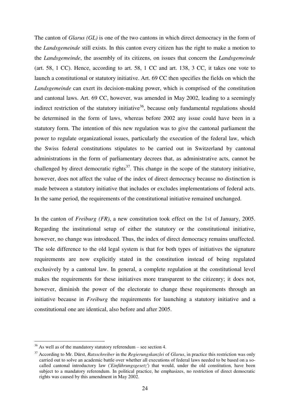The canton of *Glarus (GL)* is one of the two cantons in which direct democracy in the form of the *Landsgemeinde* still exists. In this canton every citizen has the right to make a motion to the *Landsgemeinde*, the assembly of its citizens, on issues that concern the *Landsgemeinde* (art. 58, 1 CC). Hence, according to art. 58, 1 CC and art. 138, 3 CC, it takes one vote to launch a constitutional or statutory initiative. Art. 69 CC then specifies the fields on which the *Landsgemeinde* can exert its decision-making power, which is comprised of the constitution and cantonal laws. Art. 69 CC, however, was amended in May 2002, leading to a seemingly indirect restriction of the statutory initiative<sup>36</sup>, because only fundamental regulations should be determined in the form of laws, whereas before 2002 any issue could have been in a statutory form. The intention of this new regulation was to give the cantonal parliament the power to regulate organizational issues, particularly the execution of the federal law, which the Swiss federal constitutions stipulates to be carried out in Switzerland by cantonal administrations in the form of parliamentary decrees that, as administrative acts, cannot be challenged by direct democratic rights<sup>37</sup>. This change in the scope of the statutory initiative, however, does not affect the value of the index of direct democracy because no distinction is made between a statutory initiative that includes or excludes implementations of federal acts. In the same period, the requirements of the constitutional initiative remained unchanged.

In the canton of *Freiburg (FR)*, a new constitution took effect on the 1st of January, 2005. Regarding the institutional setup of either the statutory or the constitutional initiative, however, no change was introduced. Thus, the index of direct democracy remains unaffected. The sole difference to the old legal system is that for both types of initiatives the signature requirements are now explicitly stated in the constitution instead of being regulated exclusively by a cantonal law. In general, a complete regulation at the constitutional level makes the requirements for these initiatives more transparent to the citizenry; it does not, however, diminish the power of the electorate to change these requirements through an initiative because in *Freiburg* the requirements for launching a statutory initiative and a constitutional one are identical, also before and after 2005.

-

 $36$  As well as of the mandatory statutory referendum – see section 4.

<sup>37</sup> According to Mr. Dürst, *Ratsschreiber* in the *Regierungskanzlei* of *Glarus*, in practice this restriction was only carried out to solve an academic battle over whether all executions of federal laws needed to be based on a socalled cantonal introductory law ('*Einführungsgesetz'*) that would, under the old constitution, have been subject to a mandatory referendum. In political practice, he emphasizes, no restriction of direct democratic rights was caused by this amendment in May 2002.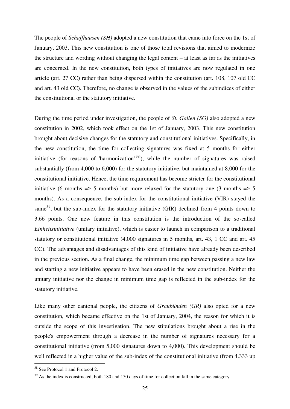The people of *Schaffhausen (SH)* adopted a new constitution that came into force on the 1st of January, 2003. This new constitution is one of those total revisions that aimed to modernize the structure and wording without changing the legal content – at least as far as the initiatives are concerned. In the new constitution, both types of initiatives are now regulated in one article (art. 27 CC) rather than being dispersed within the constitution (art. 108, 107 old CC and art. 43 old CC). Therefore, no change is observed in the values of the subindices of either the constitutional or the statutory initiative.

During the time period under investigation, the people of *St. Gallen (SG)* also adopted a new constitution in 2002, which took effect on the 1st of January, 2003. This new constitution brought about decisive changes for the statutory and constitutional initiatives. Specifically, in the new constitution, the time for collecting signatures was fixed at 5 months for either initiative (for reasons of 'harmonization'  $38$ ), while the number of signatures was raised substantially (from 4,000 to 6,000) for the statutory initiative, but maintained at 8,000 for the constitutional initiative. Hence, the time requirement has become stricter for the constitutional initiative (6 months  $\Rightarrow$  5 months) but more relaxed for the statutory one (3 months  $\Rightarrow$  5 months). As a consequence, the sub-index for the constitutional initiative (VIR) stayed the same<sup>39</sup>, but the sub-index for the statutory initiative (GIR) declined from 4 points down to 3.66 points. One new feature in this constitution is the introduction of the so-called *Einheitsinitiative* (unitary initiative), which is easier to launch in comparison to a traditional statutory or constitutional initiative (4,000 signatures in 5 months, art. 43, 1 CC and art. 45 CC). The advantages and disadvantages of this kind of initiative have already been described in the previous section. As a final change, the minimum time gap between passing a new law and starting a new initiative appears to have been erased in the new constitution. Neither the unitary initiative nor the change in minimum time gap is reflected in the sub-index for the statutory initiative.

Like many other cantonal people, the citizens of *Graubünden (GR)* also opted for a new constitution, which became effective on the 1st of January, 2004, the reason for which it is outside the scope of this investigation. The new stipulations brought about a rise in the people's empowerment through a decrease in the number of signatures necessary for a constitutional initiative (from 5,000 signatures down to 4,000). This development should be well reflected in a higher value of the sub-index of the constitutional initiative (from 4.333 up

<u>.</u>

<sup>&</sup>lt;sup>38</sup> See Protocol 1 and Protocol 2.

 $39$  As the index is constructed, both 180 and 150 days of time for collection fall in the same category.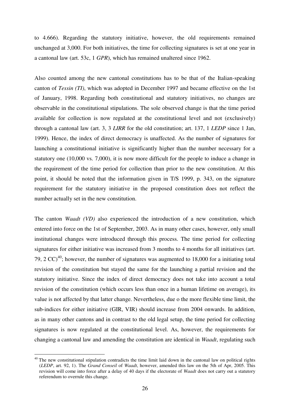to 4.666). Regarding the statutory initiative, however, the old requirements remained unchanged at 3,000. For both initiatives, the time for collecting signatures is set at one year in a cantonal law (art. 53c, 1 *GPR*), which has remained unaltered since 1962.

Also counted among the new cantonal constitutions has to be that of the Italian-speaking canton of *Tessin (TI)*, which was adopted in December 1997 and became effective on the 1st of January, 1998. Regarding both constitutional and statutory initiatives, no changes are observable in the constitutional stipulations. The sole observed change is that the time period available for collection is now regulated at the constitutional level and not (exclusively) through a cantonal law (art. 3, 3 *LIRR* for the old constitution; art. 137, 1 *LEDP* since 1 Jan, 1999). Hence, the index of direct democracy is unaffected. As the number of signatures for launching a constitutional initiative is significantly higher than the number necessary for a statutory one (10,000 vs. 7,000), it is now more difficult for the people to induce a change in the requirement of the time period for collection than prior to the new constitution. At this point, it should be noted that the information given in T/S 1999, p. 343, on the signature requirement for the statutory initiative in the proposed constitution does not reflect the number actually set in the new constitution.

The canton *Waadt (VD)* also experienced the introduction of a new constitution, which entered into force on the 1st of September, 2003. As in many other cases, however, only small institutional changes were introduced through this process. The time period for collecting signatures for either initiative was increased from 3 months to 4 months for all initiatives (art. 79, 2  $CC$ <sup>40</sup>; however, the number of signatures was augmented to 18,000 for a initiating total revision of the constitution but stayed the same for the launching a partial revision and the statutory initiative. Since the index of direct democracy does not take into account a total revision of the constitution (which occurs less than once in a human lifetime on average), its value is not affected by that latter change. Nevertheless, due o the more flexible time limit, the sub-indices for either initiative (GIR, VIR) should increase from 2004 onwards. In addition, as in many other cantons and in contrast to the old legal setup, the time period for collecting signatures is now regulated at the constitutional level. As, however, the requirements for changing a cantonal law and amending the constitution are identical in *Waadt*, regulating such

-

 $40$  The new constitutional stipulation contradicts the time limit laid down in the cantonal law on political rights (*LEDP*, art. 92, 1). The *Grand Conseil* of *Waadt*, however, amended this law on the 5th of Apr, 2005. This revision will come into force after a delay of 40 days if the electorate of *Waadt* does not carry out a statutory referendum to overrule this change.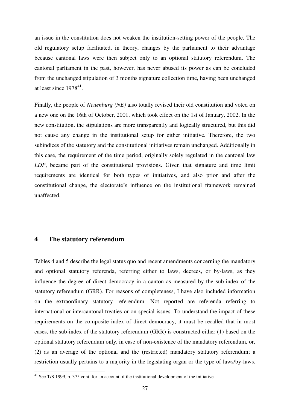an issue in the constitution does not weaken the institution-setting power of the people. The old regulatory setup facilitated, in theory, changes by the parliament to their advantage because cantonal laws were then subject only to an optional statutory referendum. The cantonal parliament in the past, however, has never abused its power as can be concluded from the unchanged stipulation of 3 months signature collection time, having been unchanged at least since  $1978^{41}$ .

Finally, the people of *Neuenburg (NE)* also totally revised their old constitution and voted on a new one on the 16th of October, 2001, which took effect on the 1st of January, 2002. In the new constitution, the stipulations are more transparently and logically structured, but this did not cause any change in the institutional setup for either initiative. Therefore, the two subindices of the statutory and the constitutional initiatives remain unchanged. Additionally in this case, the requirement of the time period, originally solely regulated in the cantonal law *LDP*, became part of the constitutional provisions. Given that signature and time limit requirements are identical for both types of initiatives, and also prior and after the constitutional change, the electorate"s influence on the institutional framework remained unaffected.

### **4 The statutory referendum**

1

Tables 4 and 5 describe the legal status quo and recent amendments concerning the mandatory and optional statutory referenda, referring either to laws, decrees, or by-laws, as they influence the degree of direct democracy in a canton as measured by the sub-index of the statutory referendum (GRR). For reasons of completeness, I have also included information on the extraordinary statutory referendum. Not reported are referenda referring to international or intercantonal treaties or on special issues. To understand the impact of these requirements on the composite index of direct democracy, it must be recalled that in most cases, the sub-index of the statutory referendum (GRR) is constructed either (1) based on the optional statutory referendum only, in case of non-existence of the mandatory referendum, or, (2) as an average of the optional and the (restricted) mandatory statutory referendum; a restriction usually pertains to a majority in the legislating organ or the type of laws/by-laws.

 $41$  See T/S 1999, p. 375 cont. for an account of the institutional development of the initiative.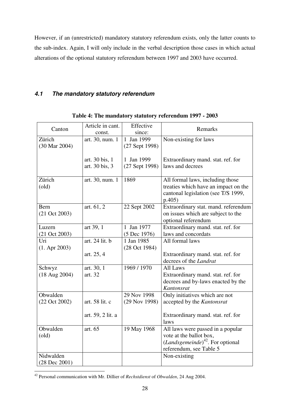However, if an (unrestricted) mandatory statutory referendum exists, only the latter counts to the sub-index. Again, I will only include in the verbal description those cases in which actual alterations of the optional statutory referendum between 1997 and 2003 have occurred.

## *4.1 The mandatory statutory referendum*

| Canton                             | Article in cant.<br>const.       | Effective<br>since:          | Remarks                                                                                                                                          |
|------------------------------------|----------------------------------|------------------------------|--------------------------------------------------------------------------------------------------------------------------------------------------|
| Zürich<br>(30 Mar 2004)            | art. 30, num. 1                  | 1 Jan 1999<br>(27 Sept 1998) | Non-existing for laws                                                                                                                            |
|                                    | art. 30 bis, 1<br>art. 30 bis, 3 | 1 Jan 1999<br>(27 Sept 1998) | Extraordinary mand. stat. ref. for<br>laws and decrees                                                                                           |
| Zürich<br>$\text{(old)}$           | art. 30, num. 1                  | 1869                         | All formal laws, including those<br>treaties which have an impact on the<br>cantonal legislation (see T/S 1999,<br>p.405)                        |
| Bern<br>$(21 \text{ Oct } 2003)$   | art. 61, 2                       | 22 Sept 2002                 | Extraordinary stat. mand. referendum<br>on issues which are subject to the<br>optional referendum                                                |
| Luzern<br>$(21 \text{ Oct } 2003)$ | art 39, 1                        | 1 Jan 1977<br>(5 Dec 1976)   | Extraordinary mand. stat. ref. for<br>laws and concordats                                                                                        |
| Uri<br>$(1.$ Apr 2003)             | art. 24 lit. b                   | 1 Jan 1985<br>(28 Oct 1984)  | All formal laws                                                                                                                                  |
|                                    | art. 25, 4                       |                              | Extraordinary mand. stat. ref. for<br>decrees of the Landrat                                                                                     |
| Schwyz<br>$(18 \text{ Aug } 2004)$ | art. 30, 1<br>art. 32            | 1969 / 1970                  | All Laws<br>Extraordinary mand. stat. ref. for<br>decrees and by-laws enacted by the<br>Kantonsrat                                               |
| Obwalden<br>(22 Oct 2002)          | art. 58 lit. c                   | 29 Nov 1998<br>(29 Nov 1998) | Only initiatives which are not<br>accepted by the Kantonsrat                                                                                     |
|                                    | art. 59, 2 lit. a                |                              | Extraordinary mand. stat. ref. for<br>laws                                                                                                       |
| Obwalden<br>$\text{(old)}$         | art. 65                          | 19 May 1968                  | All laws were passed in a popular<br>vote at the ballot box,<br>( <i>Landsgemeinde</i> ) <sup>42</sup> . For optional<br>referendum, see Table 5 |
| Nidwalden<br>$(28$ Dec $2001)$     |                                  |                              | Non-existing                                                                                                                                     |

**Table 4: The mandatory statutory referendum 1997 - 2003** 

<sup>1</sup> <sup>42</sup> Personal communication with Mr. Dillier of *Rechstdienst* of *Obwalden*, 24 Aug 2004.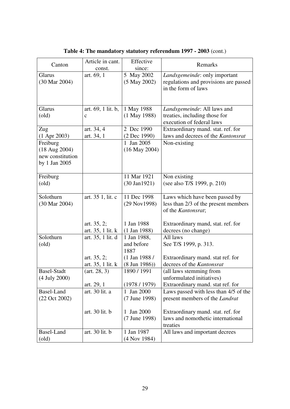| Canton                   | Article in cant.   | Effective               | Remarks                               |
|--------------------------|--------------------|-------------------------|---------------------------------------|
|                          | const.             | since:                  |                                       |
| Glarus                   | art. 69, 1         | 5 May 2002              | Landsgemeinde: only important         |
| (30 Mar 2004)            |                    | $(5$ May 2002)          | regulations and provisions are passed |
|                          |                    |                         | in the form of laws                   |
|                          |                    |                         |                                       |
|                          |                    |                         |                                       |
| Glarus                   | art. 69, 1 lit. b, | 1 May 1988              | Landsgemeinde: All laws and           |
| $\text{(old)}$           | $\mathbf c$        | $(1$ May 1988)          | treaties, including those for         |
|                          |                    |                         | execution of federal laws             |
| Zug                      | art. 34, 4         | 2 Dec 1990              | Extraordinary mand. stat. ref. for    |
| $(1$ Apr 2003)           | art. 34, 1         | (2 Dec 1990)            | laws and decrees of the Kantonsrat    |
| Freiburg                 |                    | 1 Jan 2005              | Non-existing                          |
| $(18 \text{ Aug } 2004)$ |                    | $(16$ May 2004)         |                                       |
| new constitution         |                    |                         |                                       |
| by 1 Jan 2005            |                    |                         |                                       |
|                          |                    |                         |                                       |
| Freiburg                 |                    | 11 Mar 1921             | Non existing                          |
| $\text{(old)}$           |                    | $(30 \text{ Jan} 1921)$ | (see also T/S 1999, p. 210)           |
|                          |                    |                         |                                       |
| Solothurn                | art. 35 1, lit. c  | 11 Dec 1998             | Laws which have been passed by        |
| (30 Mar 2004)            |                    | (29 Nov1998)            | less than 2/3 of the present members  |
|                          |                    |                         | of the Kantonsrat;                    |
|                          |                    |                         |                                       |
|                          | art. $35, 2;$      | 1 Jan 1988              | Extraordinary mand, stat. ref. for    |
|                          | art. 35, 1 lit. k  | $(1$ Jan 1988)          | decrees (no change)                   |
| Solothurn                | art. 35, 1 lit. d  | 1 Jan 1988,             | All laws                              |
| $\text{(old)}$           |                    | and before              | See T/S 1999, p. 313.                 |
|                          |                    | 1887                    |                                       |
|                          | art. $35, 2;$      | $(1$ Jan 1988 /         | Extraordinary mand. stat ref. for     |
|                          | art. 35, 1 lit. k  | $(8 \text{ Jun } 1986)$ | decrees of the Kantonsrat             |
| <b>Basel-Stadt</b>       | (art. 28, 3)       | 1890 / 1991             | (all laws stemming from               |
| (4 July 2000)            |                    |                         | unformulated initiatives)             |
|                          | art. 29, 1         | (1978/1979)             | Extraordinary mand. stat ref. for     |
| Basel-Land               | art. 30 lit. a     | 1 Jan 2000              | Laws passed with less than 4/5 of the |
| (22 Oct 2002)            |                    | (7 June 1998)           | present members of the Landrat        |
|                          |                    |                         |                                       |
|                          | art. 30 lit. b     | 1 Jan 2000              | Extraordinary mand. stat. ref. for    |
|                          |                    | (7 June 1998)           | laws and nomothetic international     |
|                          |                    |                         | treaties                              |
| Basel-Land               | art. 30 lit. b     | 1 Jan 1987              | All laws and important decrees        |
| $\text{(old)}$           |                    | $(4$ Nov 1984)          |                                       |

**Table 4: The mandatory statutory referendum 1997 - 2003** (cont.)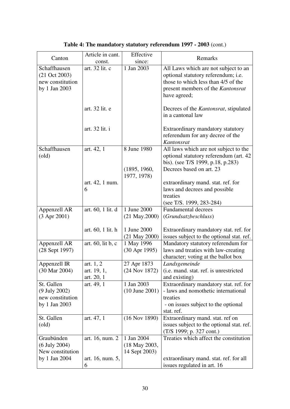|                                          | Article in cant.           | Effective                    | Remarks                                                               |
|------------------------------------------|----------------------------|------------------------------|-----------------------------------------------------------------------|
| Canton                                   | const.                     | since:                       |                                                                       |
| Schaffhausen                             | art. 32 lit. c             | 1 Jan 2003                   | All Laws which are not subject to an                                  |
| $(21 \text{ Oct } 2003)$                 |                            |                              | optional statutory referendum; i.e.                                   |
| new constitution                         |                            |                              | those to which less than 4/5 of the                                   |
| by 1 Jan 2003                            |                            |                              | present members of the Kantonsrat                                     |
|                                          |                            |                              | have agreed;                                                          |
|                                          |                            |                              |                                                                       |
|                                          | art. 32 lit. e             |                              | Decrees of the <i>Kantonsrat</i> , stipulated                         |
|                                          |                            |                              | in a cantonal law                                                     |
|                                          |                            |                              |                                                                       |
|                                          | art. 32 lit. i             |                              | Extraordinary mandatory statutory<br>referendum for any decree of the |
|                                          |                            |                              | Kantonsrat                                                            |
| Schaffhausen                             | art. 42, 1                 | 8 June 1980                  | All laws which are not subject to the                                 |
| $\text{(old)}$                           |                            |                              | optional statutory referendum (art. 42)                               |
|                                          |                            |                              | bis). (see T/S 1999, p.18, p.283)                                     |
|                                          |                            | (1895, 1960,                 | Decrees based on art. 23                                              |
|                                          |                            | 1977, 1978)                  |                                                                       |
|                                          | art. 42, 1 num.            |                              | extraordinary mand. stat. ref. for                                    |
|                                          | 6                          |                              | laws and decrees and possible                                         |
|                                          |                            |                              | treaties                                                              |
|                                          |                            |                              | (see T/S. 1999, 283-284)                                              |
| Appenzell AR                             | art. 60, 1 lit. d          | 1 June 2000                  | <b>Fundamental decrees</b>                                            |
| $(3$ Apr 2001)                           |                            | $(21$ May. $2000)$           | (Grundsatzbeschluss)                                                  |
|                                          |                            |                              |                                                                       |
|                                          | art. 60, 1 lit. h          | 1 June 2000                  | Extraordinary mandatory stat. ref. for                                |
|                                          |                            | $(21$ May $2000)$            | issues subject to the optional stat. ref.                             |
| Appenzell AR                             | art. $60$ , lit b, c       | 1 May 1996                   | Mandatory statutory referendum for                                    |
| (28 Sept 1997)                           |                            | $(30$ Apr 1995)              | laws and treaties with law-creating                                   |
|                                          |                            |                              | character; voting at the ballot box                                   |
| Appenzell IR<br>$(30 \text{ Mar } 2004)$ | art. $1, 2$<br>art. 19, 1, | 27 Apr 1873<br>(24 Nov 1872) | Landsgemeinde<br>(i.e. mand. stat. ref. is unrestricted               |
|                                          | art. 20, 1                 |                              | and existing)                                                         |
| St. Gallen                               | art. 49, 1                 | 1 Jan 2003                   | Extraordinary mandatory stat. ref. for                                |
| (9 July 2002)                            |                            | $(10$ June $2001)$           | - laws and nomothetic international                                   |
| new constitution                         |                            |                              | treaties                                                              |
| by 1 Jan 2003                            |                            |                              | - on issues subject to the optional                                   |
|                                          |                            |                              | stat. ref.                                                            |
| St. Gallen                               | art. 47, 1                 | $(16$ Nov 1890)              | Extraordinary mand. stat. ref on                                      |
| $\text{(old)}$                           |                            |                              | issues subject to the optional stat. ref.                             |
|                                          |                            |                              | (T/S 1999; p. 327 cont.)                                              |
| Graubünden                               | art. 16, num. 2            | 1 Jan 2004                   | Treaties which affect the constitution                                |
| $(6$ July 2004)                          |                            | (18 May 2003,                |                                                                       |
| New constitution                         |                            | 14 Sept 2003)                |                                                                       |
| by 1 Jan 2004                            | art. 16, num. 5,           |                              | extraordinary mand. stat. ref. for all                                |
|                                          | 6                          |                              | issues regulated in art. 16                                           |

**Table 4: The mandatory statutory referendum 1997 - 2003** (cont.)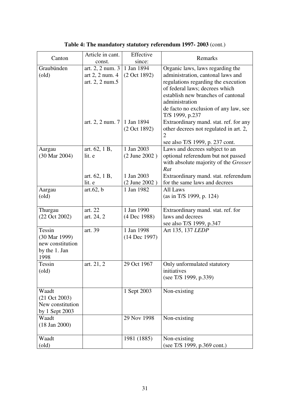| Article in cant. | Effective                                                                                                                                      | Remarks                                                                                                                                                                                                                                |
|------------------|------------------------------------------------------------------------------------------------------------------------------------------------|----------------------------------------------------------------------------------------------------------------------------------------------------------------------------------------------------------------------------------------|
| const.           |                                                                                                                                                |                                                                                                                                                                                                                                        |
|                  |                                                                                                                                                | Organic laws, laws regarding the                                                                                                                                                                                                       |
|                  |                                                                                                                                                | administration, cantonal laws and                                                                                                                                                                                                      |
|                  |                                                                                                                                                | regulations regarding the execution                                                                                                                                                                                                    |
|                  |                                                                                                                                                | of federal laws; decrees which                                                                                                                                                                                                         |
|                  |                                                                                                                                                | establish new branches of cantonal                                                                                                                                                                                                     |
|                  |                                                                                                                                                | administration                                                                                                                                                                                                                         |
|                  |                                                                                                                                                | de facto no exclusion of any law, see                                                                                                                                                                                                  |
|                  |                                                                                                                                                | T/S 1999, p.237                                                                                                                                                                                                                        |
|                  |                                                                                                                                                | Extraordinary mand. stat. ref. for any                                                                                                                                                                                                 |
|                  |                                                                                                                                                | other decrees not regulated in art. 2,<br>$\overline{2}$                                                                                                                                                                               |
|                  |                                                                                                                                                | see also T/S 1999, p. 237 cont.                                                                                                                                                                                                        |
|                  |                                                                                                                                                | Laws and decrees subject to an                                                                                                                                                                                                         |
|                  |                                                                                                                                                | optional referendum but not passed                                                                                                                                                                                                     |
|                  |                                                                                                                                                | with absolute majority of the Grosser                                                                                                                                                                                                  |
|                  |                                                                                                                                                | Rat                                                                                                                                                                                                                                    |
|                  |                                                                                                                                                | Extraordinary mand. stat. referendum                                                                                                                                                                                                   |
|                  |                                                                                                                                                | for the same laws and decrees                                                                                                                                                                                                          |
|                  |                                                                                                                                                | All Laws                                                                                                                                                                                                                               |
|                  |                                                                                                                                                | (as in T/S 1999, p. 124)                                                                                                                                                                                                               |
|                  |                                                                                                                                                |                                                                                                                                                                                                                                        |
| art. 22          | 1 Jan 1990                                                                                                                                     | Extraordinary mand. stat. ref. for                                                                                                                                                                                                     |
| art. 24, 2       | (4 Dec 1988)                                                                                                                                   | laws and decrees                                                                                                                                                                                                                       |
|                  |                                                                                                                                                | see also T/S 1999, p.347                                                                                                                                                                                                               |
| art. 39          | 1 Jan 1998                                                                                                                                     | Art 135, 137 LEDP                                                                                                                                                                                                                      |
|                  | (14 Dec 1997)                                                                                                                                  |                                                                                                                                                                                                                                        |
|                  |                                                                                                                                                |                                                                                                                                                                                                                                        |
|                  |                                                                                                                                                |                                                                                                                                                                                                                                        |
|                  |                                                                                                                                                |                                                                                                                                                                                                                                        |
|                  |                                                                                                                                                | Only unformulated statutory                                                                                                                                                                                                            |
|                  |                                                                                                                                                | initiatives                                                                                                                                                                                                                            |
|                  |                                                                                                                                                | (see T/S 1999, p.339)                                                                                                                                                                                                                  |
|                  |                                                                                                                                                |                                                                                                                                                                                                                                        |
|                  |                                                                                                                                                | Non-existing                                                                                                                                                                                                                           |
|                  |                                                                                                                                                |                                                                                                                                                                                                                                        |
|                  |                                                                                                                                                |                                                                                                                                                                                                                                        |
|                  |                                                                                                                                                | Non-existing                                                                                                                                                                                                                           |
|                  |                                                                                                                                                |                                                                                                                                                                                                                                        |
|                  |                                                                                                                                                |                                                                                                                                                                                                                                        |
|                  |                                                                                                                                                | Non-existing                                                                                                                                                                                                                           |
|                  |                                                                                                                                                | (see T/S 1999, p.369 cont.)                                                                                                                                                                                                            |
|                  | art. 2, 2 num. 3<br>art $2$ , $2$ num. $4$<br>art. 2, 2 num.5<br>art. 62, 1 B,<br>lit. e<br>art. 62, 1 B,<br>lit. e<br>art.62, b<br>art. 21, 2 | since:<br>1 Jan 1894<br>(2 Oct 1892)<br>art. 2, 2 num. $7 \mid 1$ Jan 1894<br>(2 Oct 1892)<br>1 Jan 2003<br>(2 June 2002)<br>1 Jan 2003<br>$(2$ June $2002)$<br>1 Jan 1982<br>29 Oct 1967<br>1 Sept 2003<br>29 Nov 1998<br>1981 (1885) |

**Table 4: The mandatory statutory referendum 1997- 2003** (cont.)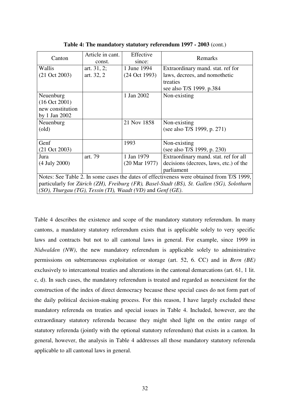| Canton                                                                                    | Article in cant.<br>const. | Effective<br>since:      | Remarks                                |  |
|-------------------------------------------------------------------------------------------|----------------------------|--------------------------|----------------------------------------|--|
| Wallis                                                                                    | art. $31, 2;$              | 1 June 1994              | Extraordinary mand. stat. ref for      |  |
| $(21 \text{ Oct } 2003)$                                                                  | art. 32, 2                 | (24 Oct 1993)            | laws, decrees, and nomothetic          |  |
|                                                                                           |                            |                          | treaties                               |  |
|                                                                                           |                            |                          | see also T/S 1999. p.384               |  |
| Neuenburg                                                                                 |                            | 1 Jan 2002               | Non-existing                           |  |
| (16 Oct 2001)                                                                             |                            |                          |                                        |  |
| new constitution                                                                          |                            |                          |                                        |  |
| by 1 Jan 2002                                                                             |                            |                          |                                        |  |
| Neuenburg                                                                                 |                            | 21 Nov 1858              | Non-existing                           |  |
| $\text{(old)}$                                                                            |                            |                          | (see also T/S 1999, p. 271)            |  |
|                                                                                           |                            |                          |                                        |  |
| Genf                                                                                      |                            | 1993                     | Non-existing                           |  |
| $(21 \text{ Oct } 2003)$                                                                  |                            |                          | (see also T/S 1999, p. 230)            |  |
| Jura                                                                                      | art. 79                    | 1 Jan 1979               | Extraordinary mand. stat. ref for all  |  |
| $(4$ July 2000)                                                                           |                            | $(20 \text{ Mar } 1977)$ | decisions (decrees, laws, etc.) of the |  |
|                                                                                           |                            |                          | parliament                             |  |
| Notes: See Table 2. In some cases the dates of effectiveness were obtained from T/S 1999, |                            |                          |                                        |  |
| particularly for Zürich (ZH), Freiburg (FR), Basel-Stadt (BS), St. Gallen (SG), Solothurn |                            |                          |                                        |  |
| $(SO)$ , Thurgau (TG), Tessin (TI), Waadt (VD) and Genf (GE).                             |                            |                          |                                        |  |

**Table 4: The mandatory statutory referendum 1997 - 2003** (cont.)

Table 4 describes the existence and scope of the mandatory statutory referendum. In many cantons, a mandatory statutory referendum exists that is applicable solely to very specific laws and contracts but not to all cantonal laws in general. For example, since 1999 in *Nidwalden (NW)*, the new mandatory referendum is applicable solely to administrative permissions on subterraneous exploitation or storage (art. 52, 6. CC) and in *Bern (BE)* exclusively to intercantonal treaties and alterations in the cantonal demarcations (art. 61, 1 lit. c, d). In such cases, the mandatory referendum is treated and regarded as nonexistent for the construction of the index of direct democracy because these special cases do not form part of the daily political decision-making process. For this reason, I have largely excluded these mandatory referenda on treaties and special issues in Table 4. Included, however, are the extraordinary statutory referenda because they might shed light on the entire range of statutory referenda (jointly with the optional statutory referendum) that exists in a canton. In general, however, the analysis in Table 4 addresses all those mandatory statutory referenda applicable to all cantonal laws in general.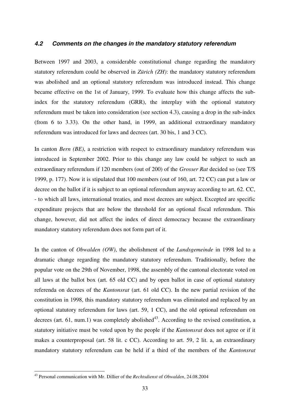### *4.2 Comments on the changes in the mandatory statutory referendum*

Between 1997 and 2003, a considerable constitutional change regarding the mandatory statutory referendum could be observed in *Zürich (ZH)*: the mandatory statutory referendum was abolished and an optional statutory referendum was introduced instead. This change became effective on the 1st of January, 1999. To evaluate how this change affects the subindex for the statutory referendum (GRR), the interplay with the optional statutory referendum must be taken into consideration (see section 4.3), causing a drop in the sub-index (from 6 to 3.33). On the other hand, in 1999, an additional extraordinary mandatory referendum was introduced for laws and decrees (art. 30 bis, 1 and 3 CC).

In canton *Bern (BE)*, a restriction with respect to extraordinary mandatory referendum was introduced in September 2002. Prior to this change any law could be subject to such an extraordinary referendum if 120 members (out of 200) of the *Grosser Rat* decided so (see T/S 1999, p. 177). Now it is stipulated that 100 members (out of 160, art. 72 CC) can put a law or decree on the ballot if it is subject to an optional referendum anyway according to art. 62. CC, - to which all laws, international treaties, and most decrees are subject. Excepted are specific expenditure projects that are below the threshold for an optional fiscal referendum. This change, however, did not affect the index of direct democracy because the extraordinary mandatory statutory referendum does not form part of it.

In the canton of *Obwalden (OW)*, the abolishment of the *Landsgemeinde* in 1998 led to a dramatic change regarding the mandatory statutory referendum. Traditionally, before the popular vote on the 29th of November, 1998, the assembly of the cantonal electorate voted on all laws at the ballot box (art. 65 old CC) and by open ballot in case of optional statutory referenda on decrees of the *Kantonsrat* (art. 61 old CC). In the new partial revision of the constitution in 1998, this mandatory statutory referendum was eliminated and replaced by an optional statutory referendum for laws (art. 59, 1 CC), and the old optional referendum on decrees (art. 61, num.1) was completely abolished<sup>43</sup>. According to the revised constitution, a statutory initiative must be voted upon by the people if the *Kantonsrat* does not agree or if it makes a counterproposal (art. 58 lit. c CC). According to art. 59, 2 lit. a, an extraordinary mandatory statutory referendum can be held if a third of the members of the *Kantonsrat*

1

<sup>43</sup> Personal communication with Mr. Dillier of the *Rechtsdienst* of *Obwalden*, 24.08.2004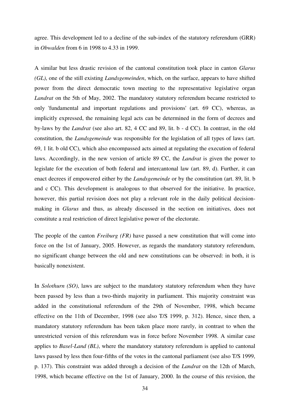agree. This development led to a decline of the sub-index of the statutory referendum (GRR) in *Obwalden* from 6 in 1998 to 4.33 in 1999.

A similar but less drastic revision of the cantonal constitution took place in canton *Glarus (GL)*, one of the still existing *Landsgemeinden*, which, on the surface, appears to have shifted power from the direct democratic town meeting to the representative legislative organ *Landrat* on the 5th of May, 2002. The mandatory statutory referendum became restricted to only 'fundamental and important regulations and provisions' (art. 69 CC), whereas, as implicitly expressed, the remaining legal acts can be determined in the form of decrees and by-laws by the *Landrat* (see also art. 82, 4 CC and 89, lit. b - d CC). In contrast, in the old constitution, the *Landsgemeinde* was responsible for the legislation of all types of laws (art. 69, 1 lit. b old CC), which also encompassed acts aimed at regulating the execution of federal laws. Accordingly, in the new version of article 89 CC, the *Landrat* is given the power to legislate for the execution of both federal and intercantonal law (art. 89, d). Further, it can enact decrees if empowered either by the *Landsgemeinde* or by the constitution (art. 89, lit. b and c CC). This development is analogous to that observed for the initiative. In practice, however, this partial revision does not play a relevant role in the daily political decisionmaking in *Glarus* and thus, as already discussed in the section on initiatives, does not constitute a real restriction of direct legislative power of the electorate.

The people of the canton *Freiburg (FR)* have passed a new constitution that will come into force on the 1st of January, 2005. However, as regards the mandatory statutory referendum, no significant change between the old and new constitutions can be observed: in both, it is basically nonexistent.

In *Solothurn (SO)*, laws are subject to the mandatory statutory referendum when they have been passed by less than a two-thirds majority in parliament. This majority constraint was added in the constitutional referendum of the 29th of November, 1998, which became effective on the 11th of December, 1998 (see also T/S 1999, p. 312). Hence, since then, a mandatory statutory referendum has been taken place more rarely, in contrast to when the unrestricted version of this referendum was in force before November 1998. A similar case applies to *Basel-Land (BL)*, where the mandatory statutory referendum is applied to cantonal laws passed by less then four-fifths of the votes in the cantonal parliament (see also T/S 1999, p. 137). This constraint was added through a decision of the *Landrat* on the 12th of March, 1998, which became effective on the 1st of January, 2000. In the course of this revision, the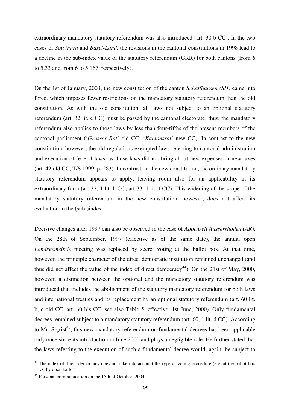extraordinary mandatory statutory referendum was also introduced (art. 30 b CC). In the two cases of *Solothurn* and *Basel-Land*, the revisions in the cantonal constitutions in 1998 lead to a decline in the sub-index value of the statutory referendum (GRR) for both cantons (from 6 to 5.33 and from 6 to 5.167, respectively).

On the 1st of January, 2003, the new constitution of the canton *Schaffhausen (SH)* came into force, which imposes fewer restrictions on the mandatory statutory referendum than the old constitution. As with the old constitution, all laws not subject to an optional statutory referendum (art. 32 lit. c CC) must be passed by the cantonal electorate; thus, the mandatory referendum also applies to those laws by less than four-fifths of the present members of the cantonal parliament ("*Grosser Rat*" old CC; "*Kantonsrat*" new CC). In contrast to the new constitution, however, the old regulations exempted laws referring to cantonal administration and execution of federal laws, as those laws did not bring about new expenses or new taxes (art. 42 old CC, T/S 1999, p. 283). In contrast, in the new constitution, the ordinary mandatory statutory referendum appears to apply, leaving room also for an applicability in its extraordinary form (art 32, 1 lit. h CC; art 33, 1 lit. f CC). This widening of the scope of the mandatory statutory referendum in the new constitution, however, does not affect its evaluation in the (sub-)index.

Decisive changes after 1997 can also be observed in the case of *Appenzell Ausserrhoden (AR)*. On the 28th of September, 1997 (effective as of the same date), the annual open *Landsgemeinde* meeting was replaced by secret voting at the ballot box. At that time, however, the principle character of the direct democratic institution remained unchanged (and thus did not affect the value of the index of direct democracy<sup>44</sup>). On the 21st of May, 2000, however, a distinction between the optional and the mandatory statutory referendum was introduced that includes the abolishment of the statutory mandatory referendum for both laws and international treaties and its replacement by an optional statutory referendum (art. 60 lit. b, c old CC, art. 60 bis CC, see also Table 5, effective: 1st June, 2000). Only fundamental decrees remained subject to a mandatory statutory referendum (art. 60, 1 lit. d CC). According to Mr. Sigrist<sup>45</sup>, this new mandatory referendum on fundamental decrees has been applicable only once since its introduction in June 2000 and plays a negligible role. He further stated that the laws referring to the execution of such a fundamental decree would, again, be subject to

<u>.</u>

 $44$  The index of direct democracy does not take into account the type of voting procedure (e.g. at the ballot box vs. by open ballot).

<sup>45</sup> Personal communication on the 15th of October, 2004.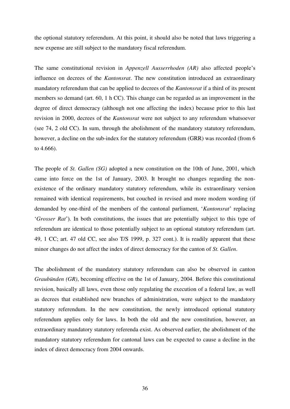the optional statutory referendum. At this point, it should also be noted that laws triggering a new expense are still subject to the mandatory fiscal referendum.

The same constitutional revision in *Appenzell Ausserrhoden (AR)* also affected people"s influence on decrees of the *Kantonsrat*. The new constitution introduced an extraordinary mandatory referendum that can be applied to decrees of the *Kantonsrat* if a third of its present members so demand (art. 60, 1 h CC). This change can be regarded as an improvement in the degree of direct democracy (although not one affecting the index) because prior to this last revision in 2000, decrees of the *Kantonsrat* were not subject to any referendum whatsoever (see 74, 2 old CC). In sum, through the abolishment of the mandatory statutory referendum, however, a decline on the sub-index for the statutory referendum (GRR) was recorded (from 6 to 4.666).

The people of *St. Gallen (SG)* adopted a new constitution on the 10th of June, 2001, which came into force on the 1st of January, 2003. It brought no changes regarding the nonexistence of the ordinary mandatory statutory referendum, while its extraordinary version remained with identical requirements, but couched in revised and more modern wording (if demanded by one-third of the members of the cantonal parliament, '*Kantonsrat*' replacing "*Grosser Rat*"). In both constitutions, the issues that are potentially subject to this type of referendum are identical to those potentially subject to an optional statutory referendum (art. 49, 1 CC; art. 47 old CC, see also T/S 1999, p. 327 cont.). It is readily apparent that these minor changes do not affect the index of direct democracy for the canton of *St. Gallen*.

The abolishment of the mandatory statutory referendum can also be observed in canton *Graubünden (GR)*, becoming effective on the 1st of January, 2004. Before this constitutional revision, basically all laws, even those only regulating the execution of a federal law, as well as decrees that established new branches of administration, were subject to the mandatory statutory referendum. In the new constitution, the newly introduced optional statutory referendum applies only for laws. In both the old and the new constitution, however, an extraordinary mandatory statutory referenda exist. As observed earlier, the abolishment of the mandatory statutory referendum for cantonal laws can be expected to cause a decline in the index of direct democracy from 2004 onwards.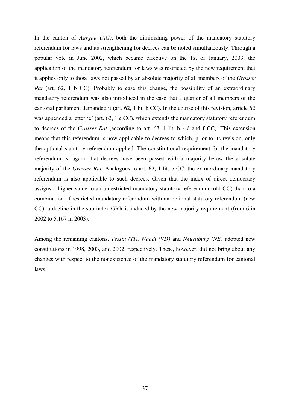In the canton of *Aargau (AG)*, both the diminishing power of the mandatory statutory referendum for laws and its strengthening for decrees can be noted simultaneously. Through a popular vote in June 2002, which became effective on the 1st of January, 2003, the application of the mandatory referendum for laws was restricted by the new requirement that it applies only to those laws not passed by an absolute majority of all members of the *Grosser Rat* (art. 62, 1 b CC). Probably to ease this change, the possibility of an extraordinary mandatory referendum was also introduced in the case that a quarter of all members of the cantonal parliament demanded it (art. 62, 1 lit. b CC). In the course of this revision, article 62 was appended a letter 'e' (art. 62, 1 e CC), which extends the mandatory statutory referendum to decrees of the *Grosser Rat* (according to art. 63, 1 lit. b - d and f CC). This extension means that this referendum is now applicable to decrees to which, prior to its revision, only the optional statutory referendum applied. The constitutional requirement for the mandatory referendum is, again, that decrees have been passed with a majority below the absolute majority of the *Grosser Rat*. Analogous to art. 62, 1 lit. b CC, the extraordinary mandatory referendum is also applicable to such decrees. Given that the index of direct democracy assigns a higher value to an unrestricted mandatory statutory referendum (old CC) than to a combination of restricted mandatory referendum with an optional statutory referendum (new CC), a decline in the sub-index GRR is induced by the new majority requirement (from 6 in 2002 to 5.167 in 2003).

Among the remaining cantons, *Tessin (TI)*, *Waadt (VD)* and *Neuenburg (NE)* adopted new constitutions in 1998, 2003, and 2002, respectively. These, however, did not bring about any changes with respect to the nonexistence of the mandatory statutory referendum for cantonal laws.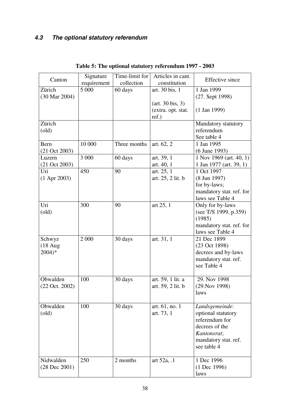# *4.3 The optional statutory referendum*

| Canton                    | Signature<br>requirement | Time-limit for<br>collection | Articles in cant.<br>constitution  | <b>Effective</b> since   |
|---------------------------|--------------------------|------------------------------|------------------------------------|--------------------------|
| Zürich                    | 5 000                    | 60 days                      | art. 30 bis, 1                     | 1 Jan 1999               |
| (30 Mar 2004)             |                          |                              |                                    | $(27.$ Sept 1998)        |
|                           |                          |                              | $(\text{art. } 30 \text{ bis}, 3)$ |                          |
|                           |                          |                              | (extra. opt. stat.                 | $(1$ Jan 1999)           |
|                           |                          |                              | ref.)                              |                          |
| Zürich                    |                          |                              |                                    | Mandatory statutory      |
| $\text{(old)}$            |                          |                              |                                    | referendum               |
|                           |                          |                              |                                    | See table 4              |
| Bern                      | 10 000                   | Three months                 | art. 62, 2                         | 1 Jan 1995               |
| $(21 \text{ Oct } 2003)$  |                          |                              |                                    | (6 June 1993)            |
| Luzern                    | 3 000                    | 60 days                      | art. 39, 1                         | 1 Nov 1969 (art. 40, 1)  |
| $(21 \text{ Oct } 2003)$  |                          |                              | art. 40, 1                         | 1 Jan 1977 (art. 39, 1)  |
| Uri                       | 450                      | 90                           | art. 25, 1                         | 1 Oct 1997               |
| $(1$ Apr 2003)            |                          |                              | art. 25, 2 lit. b                  | $(8 \text{ Jun } 1997)$  |
|                           |                          |                              |                                    | for by-laws;             |
|                           |                          |                              |                                    | mandatory stat. ref. for |
|                           |                          |                              |                                    | laws see Table 4         |
| Uri                       | 300                      | 90                           | art 25, 1                          | Only for by-laws         |
| $\text{(old)}$            |                          |                              |                                    | (see T/S 1999, p.359)    |
|                           |                          |                              |                                    | (1985)                   |
|                           |                          |                              |                                    | mandatory stat. ref. for |
|                           |                          |                              |                                    | laws see Table 4         |
| Schwyz                    | 2 000                    | 30 days                      | art. 31, 1                         | 21 Dec 1899              |
| $(18 \text{ Aug})$        |                          |                              |                                    | (23 Oct 1898)            |
| $2004)*$                  |                          |                              |                                    | decrees and by-laws      |
|                           |                          |                              |                                    | mandatory stat. ref.     |
|                           |                          |                              |                                    | see Table 4              |
|                           |                          |                              |                                    |                          |
| Obwalden                  | 100                      | 30 days                      | art. 59, 1 lit. a                  | 29. Nov 1998             |
| $(22 \text{ Oct. } 2002)$ |                          |                              | art. 59, 2 lit. b                  | $(29. \text{Nov } 1998)$ |
|                           |                          |                              |                                    | laws                     |
|                           |                          |                              |                                    |                          |
| Obwalden                  | 100                      | 30 days                      | art. 61, no. 1                     | Landsgemeinde:           |
| $\text{(old)}$            |                          |                              | art. 73, 1                         | optional statutory       |
|                           |                          |                              |                                    | referendum for           |
|                           |                          |                              |                                    | decrees of the           |
|                           |                          |                              |                                    | Kantonsrat;              |
|                           |                          |                              |                                    | mandatory stat. ref.     |
|                           |                          |                              |                                    | see table 4              |
|                           |                          |                              |                                    |                          |
| Nidwalden                 | 250                      | 2 months                     | art 52a, .1                        | 1 Dec 1996               |
| $(28$ Dec $2001)$         |                          |                              |                                    | $(1$ Dec 1996)           |
|                           |                          |                              |                                    | laws                     |

## **Table 5: The optional statutory referendum 1997 - 2003**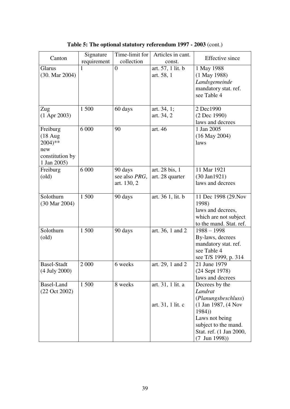| Canton               | Signature   | Time-limit for | Articles in cant. | <b>Effective</b> since  |
|----------------------|-------------|----------------|-------------------|-------------------------|
|                      | requirement | collection     | const.            |                         |
| Glarus               | 1           | $\overline{0}$ | art. 57, 1 lit. b | 1 May 1988              |
| (30. Mar 2004)       |             |                | art. 58, 1        | (1 May 1988)            |
|                      |             |                |                   | Landsgemeinde           |
|                      |             |                |                   | mandatory stat. ref.    |
|                      |             |                |                   | see Table 4             |
|                      |             |                |                   |                         |
| Zug                  | 1500        | 60 days        | art. 34, 1;       | 2 Dec1990               |
| $(1$ Apr 2003)       |             |                | art. 34, 2        | (2 Dec 1990)            |
|                      |             |                |                   | laws and decrees        |
| Freiburg             | 6 0 0 0     | 90             | art. 46           | 1 Jan 2005              |
| $(18 \text{ Aug})$   |             |                |                   | $(16$ May 2004)         |
| $2004$ <sup>**</sup> |             |                |                   | laws                    |
| new                  |             |                |                   |                         |
| constitution by      |             |                |                   |                         |
| 1 Jan 2005)          |             |                |                   |                         |
| Freiburg             | 6 0 0 0     | 90 days        | art. 28 bis, 1    | 11 Mar 1921             |
| $\text{(old)}$       |             | see also PRG,  | art. 28 quarter   | (30 Jan1921)            |
|                      |             | art. 130, 2    |                   | laws and decrees        |
|                      |             |                |                   |                         |
| Solothurn            | 1 500       | 90 days        | art. 36 1, lit. b | 11 Dec 1998 (29. Nov    |
| (30 Mar 2004)        |             |                |                   | 1998)                   |
|                      |             |                |                   | laws and decrees,       |
|                      |             |                |                   | which are not subject   |
|                      |             |                |                   | to the mand. Stat. ref. |
| Solothurn            | 1500        | 90 days        | art. 36, 1 and 2  | $1988 - 1998$           |
| $\text{(old)}$       |             |                |                   | By-laws, decrees        |
|                      |             |                |                   | mandatory stat. ref.    |
|                      |             |                |                   | see Table 4             |
|                      |             |                |                   | see T/S 1999, p. 314    |
| <b>Basel-Stadt</b>   | 2 0 0 0     | 6 weeks        | art. 29, 1 and 2  | 21 June 1979            |
| (4 July 2000)        |             |                |                   | (24 Sept 1978)          |
|                      |             |                |                   | laws and decrees        |
| Basel-Land           | 1 500       | 8 weeks        | art. 31, 1 lit. a | Decrees by the          |
| (22 Oct 2002)        |             |                |                   | Landrat                 |
|                      |             |                |                   | (Planungsbeschluss)     |
|                      |             |                | art. 31, 1 lit. c | (1 Jan 1987, (4 Nov     |
|                      |             |                |                   | 1984)                   |
|                      |             |                |                   | Laws not being          |
|                      |             |                |                   | subject to the mand.    |
|                      |             |                |                   | Stat. ref. (1 Jan 2000, |
|                      |             |                |                   | $(7 \text{ Jun } 1998)$ |

**Table 5: The optional statutory referendum 1997 - 2003** (cont.)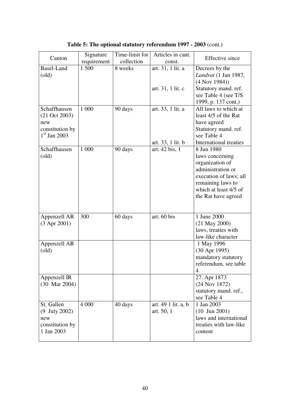| Canton                   | Signature   | Time-limit for | Articles in cant.   | <b>Effective</b> since                      |
|--------------------------|-------------|----------------|---------------------|---------------------------------------------|
|                          | requirement | collection     | const.              |                                             |
| <b>Basel-Land</b>        | 1 500       | 8 weeks        | art. 31, 1 lit. a   | Decrees by the                              |
| $\text{(old)}$           |             |                |                     | <i>Landrat</i> (1 Jan 1987,                 |
|                          |             |                |                     | $(4$ Nov 1984))                             |
|                          |             |                | art. 31, 1 lit. c   | Statutory mand. ref.                        |
|                          |             |                |                     | see Table 4 (see T/S                        |
| Schaffhausen             | 1 000       | 90 days        | art. 33, 1 lit. a   | 1999, p. 137 cont.)<br>All laws to which at |
| $(21 \text{ Oct } 2003)$ |             |                |                     | least 4/5 of the Rat                        |
| new                      |             |                |                     | have agreed                                 |
| constitution by          |             |                |                     | Statutory mand. ref.                        |
| $1st$ Jan 2003           |             |                |                     | see Table 4                                 |
|                          |             |                | art. 33, 1 lit. b   | International treaties                      |
| Schaffhausen             | 1 000       | 90 days        | art. 42 bis, 1      | 8 Jun 1980                                  |
| $\text{(old)}$           |             |                |                     | laws concerning                             |
|                          |             |                |                     | organization of                             |
|                          |             |                |                     | administration or                           |
|                          |             |                |                     | execution of laws; all                      |
|                          |             |                |                     | remaining laws to<br>which at least 4/5 of  |
|                          |             |                |                     | the Rat have agreed                         |
|                          |             |                |                     |                                             |
|                          |             |                |                     |                                             |
| Appenzell AR             | 300         | 60 days        | art. 60 bis         | 1 June 2000                                 |
| $(3$ Apr 2001)           |             |                |                     | $(21$ May $2000)$                           |
|                          |             |                |                     | laws, treaties with                         |
|                          |             |                |                     | law-like character                          |
| Appenzell AR             |             |                |                     | 1 May 1996                                  |
| $\text{(old)}$           |             |                |                     | $(30$ Apr 1995)                             |
|                          |             |                |                     | mandatory statutory                         |
|                          |             |                |                     | referendum, see table<br>4                  |
| Appenzell IR             |             |                |                     | 27. Apr 1873                                |
| $(30 \text{ Mar } 2004)$ |             |                |                     | (24 Nov 1872)                               |
|                          |             |                |                     | statutory mand. ref.,                       |
|                          |             |                |                     | see Table 4                                 |
| St. Gallen               | 4 0 0 0     | 40 days        | art. 49 1 lit. a, b | 1 Jan 2003                                  |
| $(9$ July 2002)          |             |                | art. 50, 1          | $(10$ Jun 2001)                             |
| new                      |             |                |                     | laws and international                      |
| constitution by          |             |                |                     | treaties with law-like                      |
| 1 Jan 2003               |             |                |                     | content                                     |
|                          |             |                |                     |                                             |

**Table 5: The optional statutory referendum 1997 - 2003** (cont.)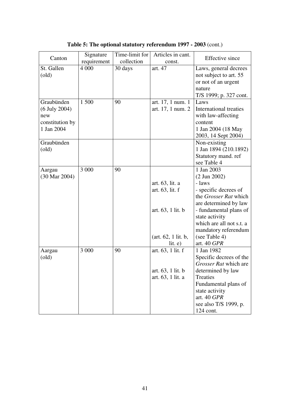|                 | Signature   | Time-limit for | Articles in cant.   | <b>Effective</b> since        |
|-----------------|-------------|----------------|---------------------|-------------------------------|
| Canton          | requirement | collection     | const.              |                               |
| St. Gallen      | 4 0 0 0     | 30 days        | art. 47             | Laws, general decrees         |
| $\text{(old)}$  |             |                |                     | not subject to art. 55        |
|                 |             |                |                     | or not of an urgent           |
|                 |             |                |                     | nature                        |
|                 |             |                |                     | T/S 1999; p. 327 cont.        |
| Graubünden      | 1 500       | 90             | art. 17, 1 num. 1   | Laws                          |
| $(6$ July 2004) |             |                | art. 17, 1 num. 2   | <b>International treaties</b> |
| new             |             |                |                     | with law-affecting            |
| constitution by |             |                |                     | content                       |
| 1 Jan 2004      |             |                |                     | 1 Jan 2004 (18 May            |
|                 |             |                |                     | 2003, 14 Sept 2004)           |
| Graubünden      |             |                |                     | Non-existing                  |
| $\text{(old)}$  |             |                |                     | 1 Jan 1894 (210.1892)         |
|                 |             |                |                     | Statutory mand. ref           |
|                 |             |                |                     | see Table 4                   |
| Aargau          | 3 000       | 90             |                     | 1 Jan 2003                    |
| (30 Mar 2004)   |             |                |                     | $(2 \text{ Jun } 2002)$       |
|                 |             |                | art. 63, lit. a     | - laws                        |
|                 |             |                | art. 63, lit. f     | - specific decrees of         |
|                 |             |                |                     | the Grosser Rat which         |
|                 |             |                |                     | are determined by law         |
|                 |             |                | art. 63, 1 lit. b   | - fundamental plans of        |
|                 |             |                |                     | state activity                |
|                 |             |                |                     | which are all not s.t. a      |
|                 |             |                |                     | mandatory referendum          |
|                 |             |                | (art. 62, 1 lit. b, | (see Table 4)                 |
|                 |             |                | lit. e)             | art. 40 GPR                   |
| Aargau          | 3 0 0 0     | 90             | art. 63, 1 lit. f   | 1 Jan 1982                    |
| $\text{(old)}$  |             |                |                     | Specific decrees of the       |
|                 |             |                |                     | Grosser Rat which are         |
|                 |             |                | art. 63, 1 lit. b   | determined by law             |
|                 |             |                | art. 63, 1 lit. a   | Treaties                      |
|                 |             |                |                     | Fundamental plans of          |
|                 |             |                |                     | state activity                |
|                 |             |                |                     | art. 40 GPR                   |
|                 |             |                |                     | see also T/S 1999, p.         |
|                 |             |                |                     | 124 cont.                     |

**Table 5: The optional statutory referendum 1997 - 2003** (cont.)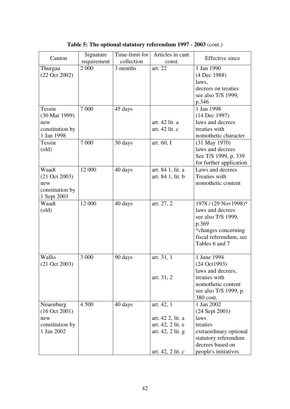| Canton                   | Signature   | Time-limit for | Articles in cant. | <b>Effective</b> since      |
|--------------------------|-------------|----------------|-------------------|-----------------------------|
|                          | requirement | collection     | const.            |                             |
| Thurgau                  | 2 000       | 3 months       | art. 22           | 1 Jan 1990                  |
| (22 Oct 2002)            |             |                |                   | (4 Dec 1988)                |
|                          |             |                |                   | laws,                       |
|                          |             |                |                   | decrees on treaties         |
|                          |             |                |                   | see also T/S 1999,          |
|                          | 7 000       |                |                   | p.346<br>1 Jan 1998         |
| Tessin<br>(30 Mar 1999)  |             | 45 days        |                   | (14 Dec 1997)               |
| new                      |             |                | art. 42 lit. a    | laws and decrees            |
| constitution by          |             |                | art. 42 lit. c    | treaties with               |
| 1 Jan 1998               |             |                |                   | nomothetic character        |
| Tessin                   | 7 0 0 0     | 30 days        | art. 60, I        | $(31$ May 1970)             |
| $\text{(old)}$           |             |                |                   | laws and decrees            |
|                          |             |                |                   | See T/S 1999, p. 339        |
|                          |             |                |                   | for further application     |
| Waadt                    | 12 000      | 40 days        | art. 84 1, lit. a | Laws and decrees            |
| $(21 \text{ Oct } 2003)$ |             |                | art. 84 1, lit. b | Treaties with               |
| new                      |             |                |                   | nomothetic content          |
| constitution by          |             |                |                   |                             |
| 1 Sept 2003              |             |                |                   |                             |
| Waadt                    | 12 000      | 40 days        | art. 27, 2        | 1978 / (29 Nov1998)*        |
| $\text{(old)}$           |             |                |                   | laws and decrees            |
|                          |             |                |                   | see also T/S 1999,<br>p.369 |
|                          |             |                |                   | *changes concerning         |
|                          |             |                |                   | fiscal referendum, see      |
|                          |             |                |                   | Tables 6 and 7              |
|                          |             |                |                   |                             |
| Wallis                   | 3 000       | 90 days        | art. 31, 1        | 1 June 1994                 |
| (21 Oct 2003)            |             |                |                   | (24 Oct1993)                |
|                          |             |                |                   | laws and decrees,           |
|                          |             |                | art. 31, 2        | treaties with               |
|                          |             |                |                   | nomothetic content          |
|                          |             |                |                   | see also T/S 1999, p.       |
|                          |             |                |                   | 380 cont.                   |
| Neuenburg                | 4 500       | 40 days        | art. 42, 1        | 1 Jan 2002                  |
| (16 Oct 2001)<br>new     |             |                | art. 42 2, lit. a | $(24$ Sept $2001)$<br>laws  |
| constitution by          |             |                | art. 42, 2 lit. e | treaties                    |
| 1 Jan 2002               |             |                | art. 42, 2 lit. g | extraordinary optional      |
|                          |             |                |                   | statutory referendum        |
|                          |             |                |                   | decrees based on            |
|                          |             |                | art. 42, 2 lit. c | people's initiatives        |

**Table 5: The optional statutory referendum 1997 - 2003** (cont.)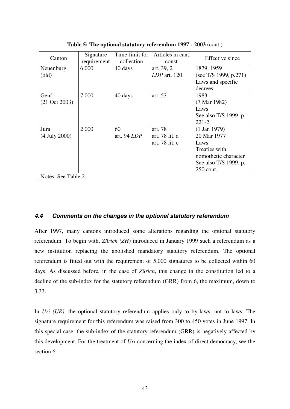| Canton                   | Signature<br>requirement | Time-limit for<br>collection | Articles in cant.<br>const. | Effective since         |
|--------------------------|--------------------------|------------------------------|-----------------------------|-------------------------|
| Neuenburg                | 6 0 0 0                  | 40 days                      | art. 39, 2                  | 1879, 1959              |
| $\text{(old)}$           |                          |                              | $LDP$ art. 120              | (see T/S 1999, p.271)   |
|                          |                          |                              |                             | Laws and specific       |
|                          |                          |                              |                             | decrees,                |
| Genf                     | 7 0 0 0                  | 40 days                      | art. 53                     | 1983                    |
| $(21 \text{ Oct } 2003)$ |                          |                              |                             | $(7 \text{ Mar } 1982)$ |
|                          |                          |                              |                             | Laws                    |
|                          |                          |                              |                             | See also T/S 1999, p.   |
|                          |                          |                              |                             | $221 - 2$               |
| Jura                     | 2 0 0 0                  | 60                           | art. 78                     | $(1$ Jan 1979)          |
| $(4$ July 2000)          |                          | art. 94 LDP                  | art. 78 lit. a              | 20 Mar 1977             |
|                          |                          |                              | art. 78 lit. c              | Laws                    |
|                          |                          |                              |                             | Treaties with           |
|                          |                          |                              |                             | nomothetic character    |
|                          |                          |                              |                             | See also T/S 1999, p.   |
|                          |                          |                              |                             | 250 cont.               |
| Notes: See Table 2.      |                          |                              |                             |                         |

**Table 5: The optional statutory referendum 1997 - 2003** (cont.)

## *4.4 Comments on the changes in the optional statutory referendum*

After 1997, many cantons introduced some alterations regarding the optional statutory referendum. To begin with, *Zürich (ZH)* introduced in January 1999 such a referendum as a new institution replacing the abolished mandatory statutory referendum. The optional referendum is fitted out with the requirement of 5,000 signatures to be collected within 60 days. As discussed before, in the case of *Zürich*, this change in the constitution led to a decline of the sub-index for the statutory referendum (GRR) from 6, the maximum, down to 3.33.

In *Uri (UR)*, the optional statutory referendum applies only to by-laws, not to laws. The signature requirement for this referendum was raised from 300 to 450 votes in June 1997. In this special case, the sub-index of the statutory referendum (GRR) is negatively affected by this development. For the treatment of *Uri* concerning the index of direct democracy, see the section 6.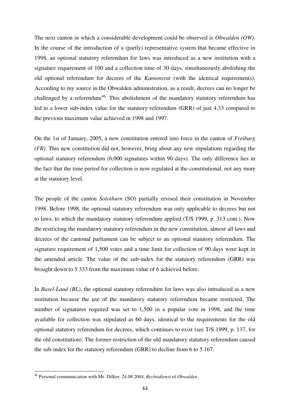The next canton in which a considerable development could be observed is *Obwalden (OW)*. In the course of the introduction of a (partly) representative system that became effective in 1998, an optional statutory referendum for laws was introduced as a new institution with a signature requirement of 100 and a collection time of 30 days, simultaneously abolishing the old optional referendum for decrees of the *Kantonsrat* (with the identical requirements). According to my source in the Obwalden administration, as a result, decrees can no longer be challenged by a referendum<sup>46</sup>. This abolishment of the mandatory statutory referendum has led to a lower sub-index value for the statutory referendum (GRR) of just 4.33 compared to the previous maximum value achieved in 1998 and 1997.

On the 1st of January, 2005, a new constitution entered into force in the canton of *Freiburg (FR)*. This new constitution did not, however, bring about any new stipulations regarding the optional statutory referendum (6,000 signatures within 90 days). The only difference lies in the fact that the time period for collection is now regulated at the constitutional, not any more at the statutory level.

The people of the canton *Solothurn* (SO) partially revised their constitution in November 1998. Before 1998, the optional statutory referendum was only applicable to decrees but not to laws, to which the mandatory statutory referendum applied (T/S 1999, p. 313 cont.). Now the restricting the mandatory statutory referendum in the new constitution, almost all laws and decrees of the cantonal parliament can be subject to an optional statutory referendum. The signature requirement of 1,500 votes and a time limit for collection of 90 days were kept in the amended article. The value of the sub-index for the statutory referendum (GRR) was brought down to 5.333 from the maximum value of 6 achieved before.

In *Basel-Land (BL)*, the optional statutory referendum for laws was also introduced as a new institution because the use of the mandatory statutory referendum became restricted. The number of signatures required was set to 1,500 in a popular vote in 1998, and the time available for collection was stipulated as 60 days, identical to the requirements for the old optional statutory referendum for decrees, which continues to exist (see T/S 1999, p. 137, for the old constitution). The former restriction of the old mandatory statutory referendum caused the sub-index for the statutory referendum (GRR) to decline from 6 to 5.167.

1

<sup>46</sup> Personal communication with Mr. Dillier, 24.08.2004, *Rechtsdienst* of *Obwalden*.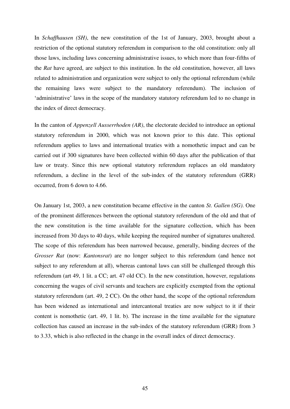In *Schaffhausen (SH)*, the new constitution of the 1st of January, 2003, brought about a restriction of the optional statutory referendum in comparison to the old constitution: only all those laws, including laws concerning administrative issues, to which more than four-fifths of the *Rat* have agreed, are subject to this institution. In the old constitution, however, all laws related to administration and organization were subject to only the optional referendum (while the remaining laws were subject to the mandatory referendum). The inclusion of 'administrative' laws in the scope of the mandatory statutory referendum led to no change in the index of direct democracy.

In the canton of *Appenzell Ausserrhoden (AR)*, the electorate decided to introduce an optional statutory referendum in 2000, which was not known prior to this date. This optional referendum applies to laws and international treaties with a nomothetic impact and can be carried out if 300 signatures have been collected within 60 days after the publication of that law or treaty. Since this new optional statutory referendum replaces an old mandatory referendum, a decline in the level of the sub-index of the statutory referendum (GRR) occurred, from 6 down to 4.66.

On January 1st, 2003, a new constitution became effective in the canton *St. Gallen (SG)*. One of the prominent differences between the optional statutory referendum of the old and that of the new constitution is the time available for the signature collection, which has been increased from 30 days to 40 days, while keeping the required number of signatures unaltered. The scope of this referendum has been narrowed because, generally, binding decrees of the *Grosser Rat* (now: *Kantonsrat*) are no longer subject to this referendum (and hence not subject to any referendum at all), whereas cantonal laws can still be challenged through this referendum (art 49, 1 lit. a CC; art. 47 old CC). In the new constitution, however, regulations concerning the wages of civil servants and teachers are explicitly exempted from the optional statutory referendum (art. 49, 2 CC). On the other hand, the scope of the optional referendum has been widened as international and intercantonal treaties are now subject to it if their content is nomothetic (art. 49, 1 lit. b). The increase in the time available for the signature collection has caused an increase in the sub-index of the statutory referendum (GRR) from 3 to 3.33, which is also reflected in the change in the overall index of direct democracy.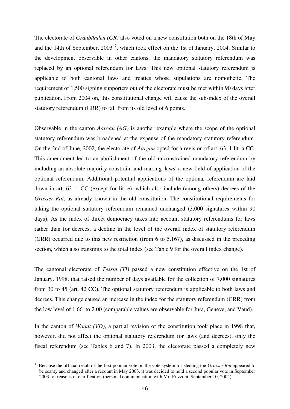The electorate of *Graubünden (GR)* also voted on a new constitution both on the 18th of May and the 14th of September,  $2003^{47}$ , which took effect on the 1st of January, 2004. Similar to the development observable in other cantons, the mandatory statutory referendum was replaced by an optional referendum for laws. This new optional statutory referendum is applicable to both cantonal laws and treaties whose stipulations are nomothetic. The requirement of 1,500 signing supporters out of the electorate must be met within 90 days after publication. From 2004 on, this constitutional change will cause the sub-index of the overall statutory referendum (GRR) to fall from its old level of 6 points.

Observable in the canton *Aargau (AG)* is another example where the scope of the optional statutory referendum was broadened at the expense of the mandatory statutory referendum. On the 2nd of June, 2002, the electorate of *Aargau* opted for a revision of art. 63, 1 lit. a CC. This amendment led to an abolishment of the old unconstrained mandatory referendum by including an absolute majority constraint and making 'laws' a new field of application of the optional referendum. Additional potential applications of the optional referendum are laid down in art. 63, 1 CC (except for lit. e), which also include (among others) decrees of the *Grosser Rat*, as already known in the old constitution. The constitutional requirements for taking the optional statutory referendum remained unchanged (3,000 signatures within 90 days). As the index of direct democracy takes into account statutory referendums for laws rather than for decrees, a decline in the level of the overall index of statutory referendum (GRR) occurred due to this new restriction (from 6 to 5.167), as discussed in the preceding section, which also transmits to the total index (see Table 9 for the overall index change).

The cantonal electorate of *Tessin (TI)* passed a new constitution effective on the 1st of January, 1998, that raised the number of days available for the collection of 7,000 signatures from 30 to 45 (art. 42 CC). The optional statutory referendum is applicable to both laws and decrees. This change caused an increase in the index for the statutory referendum (GRR) from the low level of 1.66 to 2.00 (comparable values are observable for Jura, Geneve, and Vaud).

In the canton of *Waadt (VD)*, a partial revision of the constitution took place in 1998 that, however, did not affect the optional statutory referendum for laws (and decrees), only the fiscal referendum (see Tables 6 and 7). In 2003, the electorate passed a completely new

<u>.</u>

<sup>47</sup> Because the official result of the first popular vote on the vote system for electing the *Grosser Rat* appeared to be scanty and changed after a recount in May 2003, it was decided to hold a second popular vote in September 2003 for reasons of clarification (personal communication with Mr. Frizzoni, September 10, 2004).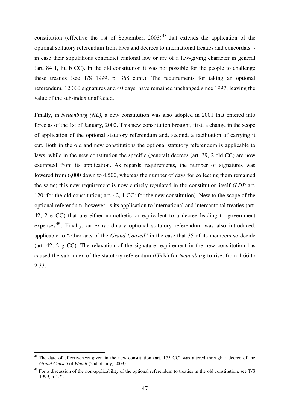constitution (effective the 1st of September,  $2003$ )<sup>48</sup> that extends the application of the optional statutory referendum from laws and decrees to international treaties and concordats in case their stipulations contradict cantonal law or are of a law-giving character in general (art. 84 1, lit. b CC). In the old constitution it was not possible for the people to challenge these treaties (see T/S 1999, p. 368 cont.). The requirements for taking an optional referendum, 12,000 signatures and 40 days, have remained unchanged since 1997, leaving the value of the sub-index unaffected.

Finally, in *Neuenburg (NE)*, a new constitution was also adopted in 2001 that entered into force as of the 1st of January, 2002. This new constitution brought, first, a change in the scope of application of the optional statutory referendum and, second, a facilitation of carrying it out. Both in the old and new constitutions the optional statutory referendum is applicable to laws, while in the new constitution the specific (general) decrees (art. 39, 2 old CC) are now exempted from its application. As regards requirements, the number of signatures was lowered from 6,000 down to 4,500, whereas the number of days for collecting them remained the same; this new requirement is now entirely regulated in the constitution itself (*LDP* art. 120: for the old constitution; art. 42, 1 CC: for the new constitution). New to the scope of the optional referendum, however, is its application to international and intercantonal treaties (art. 42, 2 e CC) that are either nomothetic or equivalent to a decree leading to government expenses<sup>49</sup>. Finally, an extraordinary optional statutory referendum was also introduced, applicable to "other acts of the *Grand Conseil*" in the case that 35 of its members so decide (art. 42, 2 g CC). The relaxation of the signature requirement in the new constitution has caused the sub-index of the statutory referendum (GRR) for *Neuenburg* to rise, from 1.66 to 2.33.

-

 $48$  The date of effectiveness given in the new constitution (art. 175 CC) was altered through a decree of the *Grand Conseil* of *Waadt* (2nd of July, 2003).

 $49$  For a discussion of the non-applicability of the optional referendum to treaties in the old constitution, see T/S 1999, p. 272.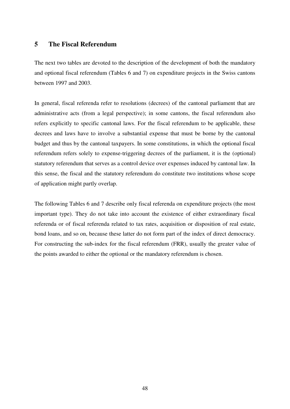## **5 The Fiscal Referendum**

The next two tables are devoted to the description of the development of both the mandatory and optional fiscal referendum (Tables 6 and 7) on expenditure projects in the Swiss cantons between 1997 and 2003.

In general, fiscal referenda refer to resolutions (decrees) of the cantonal parliament that are administrative acts (from a legal perspective); in some cantons, the fiscal referendum also refers explicitly to specific cantonal laws. For the fiscal referendum to be applicable, these decrees and laws have to involve a substantial expense that must be borne by the cantonal budget and thus by the cantonal taxpayers. In some constitutions, in which the optional fiscal referendum refers solely to expense-triggering decrees of the parliament, it is the (optional) statutory referendum that serves as a control device over expenses induced by cantonal law. In this sense, the fiscal and the statutory referendum do constitute two institutions whose scope of application might partly overlap.

The following Tables 6 and 7 describe only fiscal referenda on expenditure projects (the most important type). They do not take into account the existence of either extraordinary fiscal referenda or of fiscal referenda related to tax rates, acquisition or disposition of real estate, bond loans, and so on, because these latter do not form part of the index of direct democracy. For constructing the sub-index for the fiscal referendum (FRR), usually the greater value of the points awarded to either the optional or the mandatory referendum is chosen.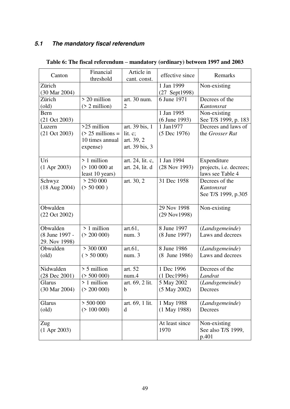## *5.1 The mandatory fiscal referendum*

| Canton                   | Financial<br>threshold  | Article in<br>cant. const. | effective since                       | Remarks                    |
|--------------------------|-------------------------|----------------------------|---------------------------------------|----------------------------|
| Zürich<br>(30 Mar 2004)  |                         |                            | 1 Jan 1999<br>$(27 \text{ Sept}1998)$ | Non-existing               |
| Zürich                   | $> 20$ million          | art. 30 num.               | 6 June 1971                           | Decrees of the             |
| $\text{(old)}$           | $($ 2 million $)$       | $\overline{2}$             |                                       | Kantonsrat                 |
| Bern                     |                         |                            | 1 Jan 1995                            | Non-existing               |
| $(21 \text{ Oct } 2003)$ |                         |                            | (6 June 1993)                         | See T/S 1999, p. 183       |
| Luzern                   | $>25$ million           | art. 39 bis, 1             | 1 Jan1977                             | Decrees and laws of        |
| $(21 \text{ Oct } 2003)$ | $(> 25$ millions =      | lit. c;                    | (5 Dec 1976)                          | the Grosser Rat            |
|                          | 10 times annual         | art. 39, 2                 |                                       |                            |
|                          | expense)                | art. 39 bis, 3             |                                       |                            |
| Uri                      | $>1$ million            | art. 24, lit. c,           | 1 Jan 1994                            | Expenditure                |
| $(1$ Apr 2003)           | $($ > 100 000 at        | art. 24, lit. d            | (28 Nov 1993)                         | projects, i.e. decrees;    |
|                          | least 10 years)         |                            |                                       | laws see Table 4           |
| Schwyz                   | > 250000                | art. 30, 2                 | 31 Dec 1958                           | Decrees of the             |
| $(18 \text{ Aug } 2004)$ | (> 50000)               |                            |                                       | Kantonsrat                 |
|                          |                         |                            |                                       | See T/S 1999, p.305        |
|                          |                         |                            |                                       |                            |
| Obwalden                 |                         |                            | 29 Nov 1998                           | Non-existing               |
| (22 Oct 2002)            |                         |                            | (29 Nov1998)                          |                            |
|                          |                         |                            |                                       |                            |
| Obwalden                 | $> 1$ million           | art.61,                    | 8 June 1997                           | (Landsgemeinde)            |
| (8 June 1997 -           | (> 200 000)             | num.3                      | (8 June 1997)                         | Laws and decrees           |
| 29. Nov 1998)            |                         |                            |                                       |                            |
| Obwalden                 | $>$ 300 000             | art.61,                    | 8 June 1986                           | (Landsgemeinde)            |
| $\text{(old)}$           | ( > 50 000)             | num.3                      | (8 June 1986)                         | Laws and decrees           |
|                          |                         |                            |                                       |                            |
| Nidwalden                | $> 5$ million           | art. 52                    | 1 Dec 1996                            | Decrees of the             |
| $(28$ Dec $2001)$        | (> 500 000)             | num.4                      | $(1$ Dec1996)                         | Landrat                    |
| Glarus                   | > 1 million             | art. 69, 2 lit.            | 5 May 2002                            | (Landsgemeinde)            |
| (30 Mar 2004)            | (> 200 000)             | $\mathbf b$                | $(5$ May 2002)                        | Decrees                    |
| Glarus                   |                         | art. 69, 1 lit.            |                                       |                            |
| $\text{(old)}$           | > 500000<br>(> 100 000) | d                          | 1 May 1988<br>$(1$ May 1988)          | (Landsgemeinde)<br>Decrees |
|                          |                         |                            |                                       |                            |
| Zug                      |                         |                            | At least since                        | Non-existing               |
| $(1$ Apr 2003)           |                         |                            | 1970                                  | See also T/S 1999,         |
|                          |                         |                            |                                       | p.401                      |

## **Table 6: The fiscal referendum – mandatory (ordinary) between 1997 and 2003**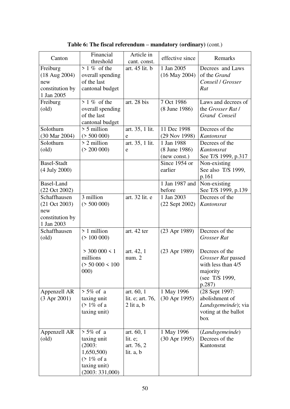| Canton                                                                           | Financial<br>threshold                                                                                    | Article in<br>cant. const.                            | effective since                             | Remarks                                                                                            |
|----------------------------------------------------------------------------------|-----------------------------------------------------------------------------------------------------------|-------------------------------------------------------|---------------------------------------------|----------------------------------------------------------------------------------------------------|
| Freiburg<br>$(18$ Aug 2004)<br>new<br>constitution by<br>1 Jan 2005              | $> 1\%$ of the<br>overall spending<br>of the last<br>cantonal budget                                      | art. 45 lit. b                                        | 1 Jan 2005<br>$(16$ May 2004)               | Decrees and Laws<br>of the Grand<br>Conseil / Grosser<br>Rat                                       |
| Freiburg<br>$\text{(old)}$                                                       | $\overline{>}$ 1 % of the<br>overall spending<br>of the last<br>cantonal budget                           | art. 28 bis                                           | 7 Oct 1986<br>(8 June 1986)                 | Laws and decrees of<br>the Grosser Rat /<br>Grand Conseil                                          |
| Solothurn<br>(30 Mar 2004)                                                       | $> 5$ million<br>(> 500 000)                                                                              | art. 35, 1 lit.<br>e                                  | 11 Dec 1998<br>(29 Nov 1998)                | Decrees of the<br>Kantonsrat                                                                       |
| Solothurn<br>$\text{(old)}$                                                      | > 2 million<br>(> 200 000)                                                                                | art. 35, 1 lit.<br>e                                  | 1 Jan 1988<br>(8 June 1986)<br>(new const.) | Decrees of the<br>Kantonsrat<br>See T/S 1999, p.317                                                |
| <b>Basel-Stadt</b><br>(4 July 2000)                                              |                                                                                                           |                                                       | Since 1954 or<br>earlier                    | Non-existing<br>See also T/S 1999,<br>p.161                                                        |
| Basel-Land<br>(22 Oct 2002)                                                      |                                                                                                           |                                                       | 1 Jan 1987 and<br>before                    | Non-existing<br>See T/S 1999, p.139                                                                |
| Schaffhausen<br>$(21 \text{ Oct } 2003)$<br>new<br>constitution by<br>1 Jan 2003 | 3 million<br>(> 500 000)                                                                                  | art. 32 lit. e                                        | 1 Jan 2003<br>$(22$ Sept $2002)$            | Decrees of the<br>Kantonsrat                                                                       |
| Schaffhausen<br>$\text{(old)}$                                                   | $> 1$ million<br>(> 100 000)                                                                              | art. 42 ter                                           | $(23$ Apr 1989)                             | Decrees of the<br>Grosser Rat                                                                      |
|                                                                                  | $>$ 300 000 < 1<br>millions<br>(> 50000 < 100<br>000)                                                     | art. 42, 1<br>num. 2                                  | $(23$ Apr 1989)                             | Decrees of the<br>Grosser Rat passed<br>with less than 4/5<br>majority<br>(see T/S 1999,<br>p.287) |
| Appenzell AR<br>$(3$ Apr 2001)                                                   | $> 5\%$ of a<br>taxing unit<br>$($ 1\% of a<br>taxing unit)                                               | art. 60, 1<br>lit. e; art. 76,<br>$2$ lit a, $b$      | 1 May 1996<br>$(30$ Apr 1995)               | (28 Sept 1997:<br>abolishment of<br>Landsgemeinde); via<br>voting at the ballot<br>box             |
| Appenzell AR<br>$\text{(old)}$                                                   | $> 5\%$ of a<br>taxing unit<br>$(2003)$ :<br>1,650,500)<br>$($ 1% of a<br>taxing unit)<br>(2003: 331,000) | art. 60, 1<br>lit. $e$ ;<br>art. 76, 2<br>lit. $a, b$ | 1 May 1996<br>$(30$ Apr 1995)               | (Landsgemeinde)<br>Decrees of the<br>Kantonsrat                                                    |

**Table 6: The fiscal referendum – mandatory (ordinary)** (cont.)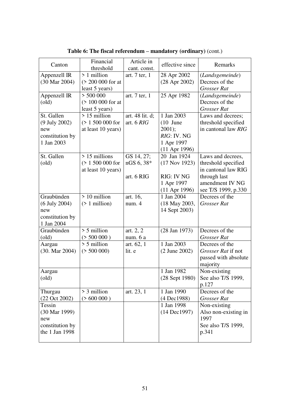| Canton                   | Financial<br>threshold    | Article in<br>cant. const. | effective since         | Remarks              |
|--------------------------|---------------------------|----------------------------|-------------------------|----------------------|
| Appenzell IR             | > 1 million               | art. 7 ter, 1              | 28 Apr 2002             | (Landsgemeinde)      |
| (30 Mar 2004)            | (> 200 000 for at         |                            | $(28$ Apr $2002)$       | Decrees of the       |
|                          | least 5 years)            |                            |                         | <b>Grosser Rat</b>   |
| Appenzell IR             | > 500000                  | art. 7 ter, 1              | 25 Apr 1982             | (Landsgemeinde)      |
| $\text{(old)}$           | $( > 100 000$ for at      |                            |                         | Decrees of the       |
|                          | least 5 years)            |                            |                         | <b>Grosser Rat</b>   |
| St. Gallen               | $\overline{>}$ 15 million | art. 48 lit. d;            | $\overline{1}$ Jan 2003 | Laws and decrees;    |
| (9 July 2002)            | $( > 1 500 000$ for       | art. $6$ $RIG$             | $(10$ June              | threshold specified  |
| new                      | at least 10 years)        |                            | 2001);                  | in cantonal law RIG  |
| constitution by          |                           |                            | RIG: IV. NG             |                      |
| 1 Jan 2003               |                           |                            | 1 Apr 1997              |                      |
|                          |                           |                            | $(11$ Apr 1996)         |                      |
| St. Gallen               | $> 15$ millions           | GS 14, 27;                 | 20 Jan 1924             | Laws and decrees,    |
| $\text{(old)}$           | $( > 1 500 000$ for       | nGS 6, 38*                 | $(17$ Nov 1923)         | threshold specified  |
|                          | at least 10 years)        |                            |                         | in cantonal law RIG  |
|                          |                           | art. 6 RIG                 | <b>RIG: IV NG</b>       | through last         |
|                          |                           |                            | 1 Apr 1997              | amendment IV NG      |
|                          |                           |                            | $(11$ Apr 1996)         | see T/S 1999, p.330  |
| Graubünden               | > 10 million              | art. 16,                   | 1 Jan 2004              | Decrees of the       |
| $(6$ July 2004)          | $($ 1 million $)$         | num. 4                     | (18 May 2003,           | <b>Grosser Rat</b>   |
| new                      |                           |                            | 14 Sept 2003)           |                      |
| constitution by          |                           |                            |                         |                      |
| 1 Jan 2004               |                           |                            |                         |                      |
| Graubünden               | $> 5$ million             | art. 2, 2                  | $(28$ Jan 1973)         | Decrees of the       |
| $\text{(old)}$           | (> 500 000)               | num. 6 a                   |                         | <b>Grosser Rat</b>   |
| Aargau                   | $\frac{1}{2}$ 5 million   | art. 62, 1                 | 1 Jan 2003              | Decrees of the       |
| $(30. \text{Mar } 2004)$ | (> 500 000)               | lit. e                     | (2 June 2002)           | Grosser Rat if not   |
|                          |                           |                            |                         | passed with absolute |
|                          |                           |                            |                         | majority             |
| Aargau                   |                           |                            | 1 Jan 1982              | Non-existing         |
| $\text{(old)}$           |                           |                            | (28 Sept 1980)          | See also T/S 1999,   |
|                          |                           |                            |                         | p.127                |
| Thurgau                  | $>$ 3 million             | art. 23, 1                 | 1 Jan 1990              | Decrees of the       |
| (22 Oct 2002)            | ( > 600 000 )             |                            | (4 Dec1988)             | Grosser Rat          |
| Tessin                   |                           |                            | 1 Jan 1998              | Non-existing         |
| (30 Mar 1999)            |                           |                            | $(14 \text{ Dec}1997)$  | Also non-existing in |
| new                      |                           |                            |                         | 1997                 |
| constitution by          |                           |                            |                         | See also T/S 1999,   |
| the 1 Jan 1998           |                           |                            |                         | p.341                |
|                          |                           |                            |                         |                      |

**Table 6: The fiscal referendum – mandatory (ordinary)** (cont.)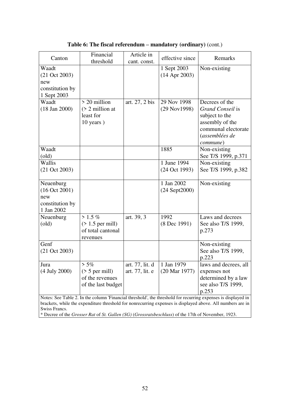| Canton                                                                                                     | Financial<br>threshold                                                      | Article in<br>cant. const.         | effective since                        | Remarks                                                                                                                                                                                                      |  |
|------------------------------------------------------------------------------------------------------------|-----------------------------------------------------------------------------|------------------------------------|----------------------------------------|--------------------------------------------------------------------------------------------------------------------------------------------------------------------------------------------------------------|--|
| Waadt<br>$(21 \text{ Oct } 2003)$<br>new<br>constitution by<br>1 Sept 2003                                 |                                                                             |                                    | 1 Sept 2003<br>$(14$ Apr 2003)         | Non-existing                                                                                                                                                                                                 |  |
| Waadt<br>$(18 \text{ Jan } 2000)$                                                                          | $> 20$ million<br>$($ 2 million at<br>least for<br>$10$ years)              | art. 27, 2 bis                     | 29 Nov 1998<br>(29 Nov1998)            | Decrees of the<br>Grand Conseil is<br>subject to the<br>assembly of the<br>communal electorate<br>(assemblées de<br>commune)                                                                                 |  |
| Waadt<br>$\text{(old)}$                                                                                    |                                                                             |                                    | 1885                                   | Non-existing<br>See T/S 1999, p.371                                                                                                                                                                          |  |
| Wallis<br>$(21 \text{ Oct } 2003)$                                                                         |                                                                             |                                    | 1 June 1994<br>(24 Oct 1993)           | Non-existing<br>See T/S 1999, p.382                                                                                                                                                                          |  |
| Neuenburg<br>(16 Oct 2001)<br>new<br>constitution by<br>1 Jan 2002                                         |                                                                             |                                    | 1 Jan 2002<br>$(24$ Sept $2000)$       | Non-existing                                                                                                                                                                                                 |  |
| Neuenburg<br>$\text{(old)}$                                                                                | $> 1.5 \%$<br>$($ 1.5 per mill)<br>of total cantonal<br>revenues            | art. 39, 3                         | 1992<br>$(8$ Dec 1991)                 | Laws and decrees<br>See also T/S 1999,<br>p.273                                                                                                                                                              |  |
| Genf<br>$(21 \text{ Oct } 2003)$                                                                           |                                                                             |                                    |                                        | Non-existing<br>See also T/S 1999,<br>p.223                                                                                                                                                                  |  |
| Jura<br>(4 July 2000)                                                                                      | $> 5\%$<br>$(55 \text{ per mill})$<br>of the revenues<br>of the last budget | art. 77, lit. d<br>art. 77, lit. e | 1 Jan 1979<br>$(20 \text{ Mar } 1977)$ | laws and decrees, all<br>expenses not<br>determined by a law<br>see also T/S 1999,<br>p.253<br>Notes: See Table 2. In the column 'Financial threshold', the threshold for recurring expenses is displayed in |  |
| brackets, while the expenditure threshold for nonrecurring expenses is displayed above. All numbers are in |                                                                             |                                    |                                        |                                                                                                                                                                                                              |  |

**Table 6: The fiscal referendum – mandatory (ordinary)** (cont.)

\* Decree of the *Grosser Rat* of *St. Gallen (SG)* (*Grossratsbeschluss*) of the 17th of November, 1923.

Swiss Francs.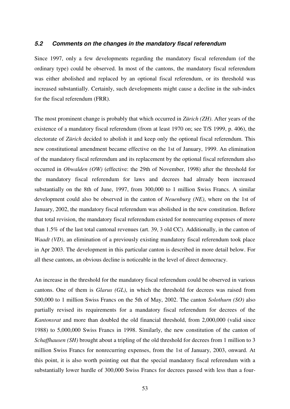#### *5.2 Comments on the changes in the mandatory fiscal referendum*

Since 1997, only a few developments regarding the mandatory fiscal referendum (of the ordinary type) could be observed. In most of the cantons, the mandatory fiscal referendum was either abolished and replaced by an optional fiscal referendum, or its threshold was increased substantially. Certainly, such developments might cause a decline in the sub-index for the fiscal referendum (FRR).

The most prominent change is probably that which occurred in *Zürich (ZH)*. After years of the existence of a mandatory fiscal referendum (from at least 1970 on; see T/S 1999, p. 406), the electorate of *Zürich* decided to abolish it and keep only the optional fiscal referendum. This new constitutional amendment became effective on the 1st of January, 1999. An elimination of the mandatory fiscal referendum and its replacement by the optional fiscal referendum also occurred in *Obwalden (OW)* (effective: the 29th of November, 1998) after the threshold for the mandatory fiscal referendum for laws and decrees had already been increased substantially on the 8th of June, 1997, from 300,000 to 1 million Swiss Francs. A similar development could also be observed in the canton of *Neuenburg (NE)*, where on the 1st of January, 2002, the mandatory fiscal referendum was abolished in the new constitution. Before that total revision, the mandatory fiscal referendum existed for nonrecurring expenses of more than 1.5% of the last total cantonal revenues (art. 39, 3 old CC). Additionally, in the canton of *Waadt (VD)*, an elimination of a previously existing mandatory fiscal referendum took place in Apr 2003. The development in this particular canton is described in more detail below. For all these cantons, an obvious decline is noticeable in the level of direct democracy.

An increase in the threshold for the mandatory fiscal referendum could be observed in various cantons. One of them is *Glarus (GL)*, in which the threshold for decrees was raised from 500,000 to 1 million Swiss Francs on the 5th of May, 2002. The canton *Solothurn (SO)* also partially revised its requirements for a mandatory fiscal referendum for decrees of the *Kantonsrat* and more than doubled the old financial threshold, from 2,000,000 (valid since 1988) to 5,000,000 Swiss Francs in 1998. Similarly, the new constitution of the canton of *Schaffhausen (SH)* brought about a tripling of the old threshold for decrees from 1 million to 3 million Swiss Francs for nonrecurring expenses, from the 1st of January, 2003, onward. At this point, it is also worth pointing out that the special mandatory fiscal referendum with a substantially lower hurdle of 300,000 Swiss Francs for decrees passed with less than a four-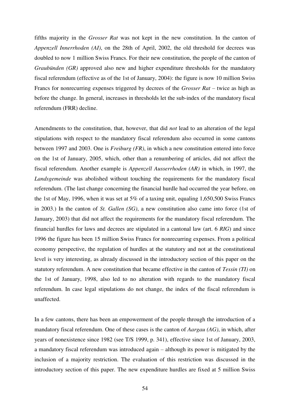fifths majority in the *Grosser Rat* was not kept in the new constitution. In the canton of *Appenzell Innerrhoden (AI)*, on the 28th of April, 2002, the old threshold for decrees was doubled to now 1 million Swiss Francs. For their new constitution, the people of the canton of *Graubünden (GR)* approved also new and higher expenditure thresholds for the mandatory fiscal referendum (effective as of the 1st of January, 2004): the figure is now 10 million Swiss Francs for nonrecurring expenses triggered by decrees of the *Grosser Rat* – twice as high as before the change. In general, increases in thresholds let the sub-index of the mandatory fiscal referendum (FRR) decline.

Amendments to the constitution, that, however, that did *not* lead to an alteration of the legal stipulations with respect to the mandatory fiscal referendum also occurred in some cantons between 1997 and 2003. One is *Freiburg (FR)*, in which a new constitution entered into force on the 1st of January, 2005, which, other than a renumbering of articles, did not affect the fiscal referendum. Another example is *Appenzell Ausserrhoden (AR)* in which, in 1997, the *Landsgemeinde* was abolished without touching the requirements for the mandatory fiscal referendum. (The last change concerning the financial hurdle had occurred the year before, on the 1st of May, 1996, when it was set at 5% of a taxing unit, equaling 1,650,500 Swiss Francs in 2003.) In the canton of *St. Gallen (SG)*, a new constitution also came into force (1st of January, 2003) that did not affect the requirements for the mandatory fiscal referendum. The financial hurdles for laws and decrees are stipulated in a cantonal law (art. 6 *RIG*) and since 1996 the figure has been 15 million Swiss Francs for nonrecurring expenses. From a political economy perspective, the regulation of hurdles at the statutory and not at the constitutional level is very interesting, as already discussed in the introductory section of this paper on the statutory referendum. A new constitution that became effective in the canton of *Tessin (TI)* on the 1st of January, 1998, also led to no alteration with regards to the mandatory fiscal referendum. In case legal stipulations do not change, the index of the fiscal referendum is unaffected.

In a few cantons, there has been an empowerment of the people through the introduction of a mandatory fiscal referendum. One of these cases is the canton of *Aargau (AG)*, in which, after years of nonexistence since 1982 (see T/S 1999, p. 341), effective since 1st of January, 2003, a mandatory fiscal referendum was introduced again – although its power is mitigated by the inclusion of a majority restriction. The evaluation of this restriction was discussed in the introductory section of this paper. The new expenditure hurdles are fixed at 5 million Swiss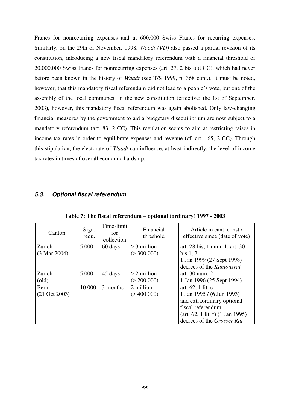Francs for nonrecurring expenses and at 600,000 Swiss Francs for recurring expenses. Similarly, on the 29th of November, 1998, *Waadt (VD)* also passed a partial revision of its constitution, introducing a new fiscal mandatory referendum with a financial threshold of 20,000,000 Swiss Francs for nonrecurring expenses (art. 27, 2 bis old CC), which had never before been known in the history of *Waadt* (see T/S 1999, p. 368 cont.). It must be noted, however, that this mandatory fiscal referendum did not lead to a people"s vote, but one of the assembly of the local communes. In the new constitution (effective: the 1st of September, 2003), however, this mandatory fiscal referendum was again abolished. Only law-changing financial measures by the government to aid a budgetary disequilibrium are now subject to a mandatory referendum (art. 83, 2 CC). This regulation seems to aim at restricting raises in income tax rates in order to equilibrate expenses and revenue (cf. art. 165, 2 CC). Through this stipulation, the electorate of *Waadt* can influence, at least indirectly, the level of income tax rates in times of overall economic hardship.

## *5.3. Optional fiscal referendum*

| Canton                   | Sign.<br>requ. | Time-limit<br>for<br>collection | Financial<br>threshold | Article in cant. const./<br>effective since (date of vote) |
|--------------------------|----------------|---------------------------------|------------------------|------------------------------------------------------------|
| Zürich                   | 5 0 0 0        | 60 days                         | $>$ 3 million          | art. 28 bis, 1 num. 1, art. 30                             |
| $(3 \text{ Mar } 2004)$  |                |                                 | (> 300 000)            | bis $1, 2$                                                 |
|                          |                |                                 |                        | 1 Jan 1999 (27 Sept 1998)                                  |
|                          |                |                                 |                        | decrees of the Kantonsrat                                  |
| Zürich                   | 5 0 0 0        | 45 days                         | $> 2$ million          | art. 30 num. 2                                             |
| $\text{(old)}$           |                |                                 | (> 200 000)            | 1 Jan 1996 (25 Sept 1994)                                  |
| Bern                     | 10 000         | 3 months                        | 2 million              | art. 62, 1 lit. c                                          |
| $(21 \text{ Oct } 2003)$ |                |                                 | ( > 400 000)           | 1 Jan 1995 / (6 Jun 1993)                                  |
|                          |                |                                 |                        | and extraordinary optional                                 |
|                          |                |                                 |                        | fiscal referendum                                          |
|                          |                |                                 |                        | $(\text{art. } 62, 1 \text{ lit. } f)$ (1 Jan 1995)        |
|                          |                |                                 |                        | decrees of the Grosser Rat                                 |

**Table 7: The fiscal referendum – optional (ordinary) 1997 - 2003**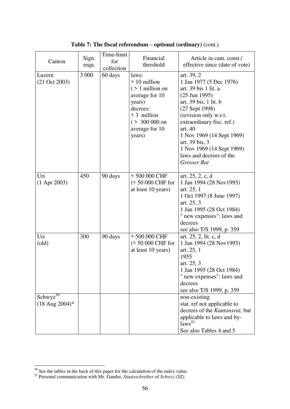| Canton                             | Sign.<br>requ. | Time-limit<br>for<br>collection | Financial<br>threshold                                                                                                                                 | Article in cant. const./<br>effective since (date of vote)                                                                                                                                                                                                                                                                         |
|------------------------------------|----------------|---------------------------------|--------------------------------------------------------------------------------------------------------------------------------------------------------|------------------------------------------------------------------------------------------------------------------------------------------------------------------------------------------------------------------------------------------------------------------------------------------------------------------------------------|
| Luzern<br>$(21 \text{ Oct } 2003)$ | 3 0 0 0        | 60 days                         | laws:<br>$> 10$ million<br>$($ > 1 million on<br>average for 10<br>years)<br>decrees:<br>$> 3$ million<br>$( > 300 000$ on<br>average for 10<br>years) | art. 39, 2<br>1 Jan 1977 (5 Dec 1976)<br>art. 39 bis 1 lit. a<br>$(25 \text{ Jun } 1995)$<br>art. 39 bis, 1 lit. b<br>(27 Sept 1998)<br>(revision only w.r.t.<br>extraordinary fisc. ref.)<br>art. 40<br>1 Nov 1969 (14 Sept 1969)<br>art. 39 bis, 3<br>1 Nov 1969 (14 Sept 1969)<br>laws and decrees of the<br><b>Grosser Rat</b> |
| Uri<br>$(1$ Apr 2003)              | 450            | 90 days                         | > 500 000 CHF<br>(> 50 000 CHF for<br>at least 10 years)                                                                                               | art. 25, 2, c, d<br>1 Jan 1994 (28 Nov1993)<br>art. 25, 1<br>1 Oct 1997 (8 June 1997)<br>art. 25, 3<br>1 Jan 1995 (28 Oct 1984)<br>" new expenses": laws and<br>decrees<br>see also T/S 1999, p. 359                                                                                                                               |
| Uri<br>$\text{(old)}$              | 300            | 90 days                         | > 500 000 CHF<br>(> 50 000 CHF for<br>at least 10 years)                                                                                               | art. 25, 2, lit. c, d<br>1 Jan 1994 (28 Nov1993)<br>art. 25, 1<br>1955<br>art. 25, 3<br>1 Jan 1995 (28 Oct 1984)<br>" new expenses": laws and<br>decrees<br>see also T/S 1999, p. 359                                                                                                                                              |
| $Schwyz^{50}$<br>(18 Aug 2004)*    |                |                                 |                                                                                                                                                        | non-existing<br>stat. ref not applicable to<br>decrees of the Kantonsrat, but<br>applicable to laws and by-<br>laws <sup>51</sup><br>See also Tables 4 and 5                                                                                                                                                                       |

**Table 7: The fiscal referendum – optional (ordinary)** (cont.)

-

 $50$  See the tables in the back of this paper for the calculation of the index value.

<sup>51</sup> Personal communication with Mr. Gander, *Staatsschreiber* of *Schwyz (SZ).*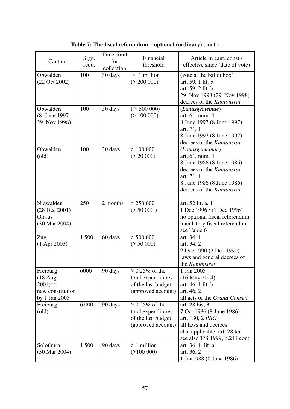| Canton                                                                                      | Sign.<br>requ. | Time-limit<br>for<br>collection | Financial<br>threshold                                                              | Article in cant. const./<br>effective since (date of vote)                                                                                                           |
|---------------------------------------------------------------------------------------------|----------------|---------------------------------|-------------------------------------------------------------------------------------|----------------------------------------------------------------------------------------------------------------------------------------------------------------------|
| Obwalden<br>(22 Oct 2002)                                                                   | 100            | 30 days                         | $>1$ million<br>(> 200 000)                                                         | (vote at the ballot box)<br>art. 59, 1 lit. b<br>art. 59, 2 lit. b<br>29 Nov 1998 (29 Nov 1998)<br>decrees of the Kantonsrat                                         |
| Obwalden<br>$(8$ June $1997 -$<br>29 Nov 1998)                                              | 100            | 30 days                         | ( > 500 000)<br>( > 100 000)                                                        | (Landsgemeinde)<br>art. 61, num. 4<br>8 June 1997 (8 June 1997)<br>art. 71, 1<br>8 June 1997 (8 June 1997)<br>decrees of the Kantonsrat                              |
| Obwalden<br>$\text{(old)}$                                                                  | 100            | 30 days                         | > 100000<br>(> 20 000)                                                              | (Landsgemeinde)<br>art. 61, num. 4<br>8 June 1986 (8 June 1986)<br>decrees of the Kantonsrat<br>art. 71, 1<br>8 June 1986 (8 June 1986)<br>decrees of the Kantonsrat |
| Nidwalden<br>$(28$ Dec $2001)$                                                              | 250            | 2 months                        | > 250000<br>(> 50000)                                                               | art. 52 lit. a, 1<br>1 Dec 1996 / (1 Dec 1996)                                                                                                                       |
| Glarus<br>(30 Mar 2004)                                                                     |                |                                 |                                                                                     | no optional fiscal referendum<br>mandatory fiscal referendum<br>see Table 6                                                                                          |
| Zug<br>$(1$ Apr 2003)                                                                       | 1 500          | 60 days                         | > 500000<br>(> 50 000)                                                              | art. 34. 1<br>art. 34, 2<br>2 Dec 1990 (2 Dec 1990)<br>laws and general decrees of<br>the Kantonsrat                                                                 |
| Freiburg<br>$(18 \text{ Aug})$<br>$2004$ <sup>**</sup><br>new constitution<br>by 1 Jan 2005 | 6000           | 90 days                         | $> 0.25\%$ of the<br>total expenditures<br>of the last budget<br>(approved account) | 1 Jan 2005<br>$(16$ May 2004)<br>art. 46, 1 lit. b<br>art. 46, 2<br>all acts of the Grand Conseil                                                                    |
| Freiburg<br>$\text{(old)}$                                                                  | 6 000          | 90 days                         | $> 0.25\%$ of the<br>total expenditures<br>of the last budget<br>(approved account) | art. 28 bis, 3<br>7 Oct 1986 (8 June 1986)<br>art. 130, 2 PRG<br>all laws and decrees<br>also applicable: art. 28 ter<br>see also T/S 1999, p.211 cont.              |
| Solothurn<br>(30 Mar 2004)                                                                  | 1500           | 90 days                         | > 1 million<br>(2100000)                                                            | art. 36, 1, lit. a<br>art. 36, 2<br>1 Jan1988 (8 June 1986)                                                                                                          |

**Table 7: The fiscal referendum – optional (ordinary)** (cont.)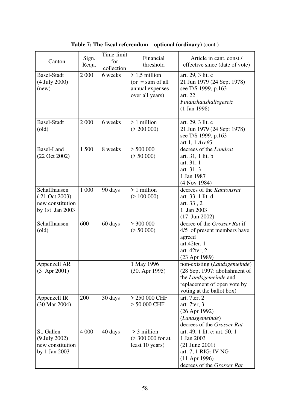| Canton                                                                            | Sign.<br>Requ. | Time-limit<br>for<br>collection | Financial<br>threshold                                                     | Article in cant. const./<br>effective since (date of vote)                                                                                         |
|-----------------------------------------------------------------------------------|----------------|---------------------------------|----------------------------------------------------------------------------|----------------------------------------------------------------------------------------------------------------------------------------------------|
| <b>Basel-Stadt</b><br>(4 July 2000)<br>(new)                                      | 2 0 0 0        | 6 weeks                         | $> 1,5$ million<br>$or = sum of all$<br>annual expenses<br>over all years) | art. 29, 3 lit. c<br>21 Jun 1979 (24 Sept 1978)<br>see T/S 1999, p.163<br>art. 22<br>Finanzhaushaltsgesetz<br>$(1$ Jan 1998)                       |
| <b>Basel-Stadt</b><br>$\text{(old)}$                                              | 2 0 0 0        | 6 weeks                         | > 1 million<br>(> 200 000)                                                 | art. 29, 3 lit. c<br>21 Jun 1979 (24 Sept 1978)<br>see T/S 1999, p.163<br>art 1, 1 $ArefG$                                                         |
| <b>Basel-Land</b><br>$(22 \text{ Oct } 2002)$                                     | 1 500          | 8 weeks                         | > 500000<br>(> 50 000)                                                     | decrees of the <i>Landrat</i><br>art. 31, 1 lit. b<br>art. 31, 1<br>art. 31, 3<br>1 Jan 1987<br>$(4$ Nov 1984)                                     |
| Schaffhausen<br>$(21 \text{ Oct } 2003)$<br>new constitution<br>by 1st Jan $2003$ | 1 000          | 90 days                         | $>1$ million<br>( > 100 000)                                               | decrees of the Kantonsrat<br>art. 33, 1 lit. d<br>art. 33, 2<br>1 Jan 2003<br>$(17$ Jun 2002)                                                      |
| Schaffhausen<br>$\text{(old)}$                                                    | 600            | 60 days                         | $>$ 300 000<br>(> 50 000)                                                  | decree of the <i>Grosser Rat</i> if<br>4/5 of present members have<br>agreed<br>art.42ter, 1<br>art. 42ter, 2<br>(23 Apr 1989)                     |
| Appenzell AR<br>$(3$ Apr 2001)                                                    |                |                                 | 1 May 1996<br>$(30.$ Apr $1995)$                                           | non-existing (Landsgemeinde)<br>(28 Sept 1997: abolishment of<br>the Landsgemeinde and<br>replacement of open vote by<br>voting at the ballot box) |
| Appenzell IR<br>(30 Mar 2004)                                                     | 200            | 30 days                         | > 250 000 CHF<br>> 50 000 CHF                                              | art. 7 $ter$ , 2<br>art. 7ter, 3<br>$(26$ Apr 1992)<br>(Landsgemeinde)<br>decrees of the Grosser Rat                                               |
| St. Gallen<br>(9 July 2002)<br>new constitution<br>by 1 Jan 2003                  | 4 0 0 0        | 40 days                         | > 3 million<br>(> 300 000 for at<br>least 10 years)                        | art. 49, 1 lit. c; art. 50, 1<br>1 Jan 2003<br>$(21$ June $2001)$<br>art. 7, 1 RIG: IV NG<br>$(11$ Apr 1996)<br>decrees of the Grosser Rat         |

**Table 7: The fiscal referendum – optional (ordinary)** (cont.)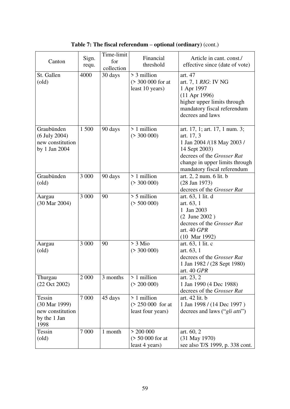| Canton                                                              | Sign.<br>requ. | Time-limit<br>for<br>collection | Financial<br>threshold                                   | Article in cant. const./<br>effective since (date of vote)                                                                                                                                 |
|---------------------------------------------------------------------|----------------|---------------------------------|----------------------------------------------------------|--------------------------------------------------------------------------------------------------------------------------------------------------------------------------------------------|
| St. Gallen<br>$\text{(old)}$                                        | 4000           | 30 days                         | > 3 million<br>(> 300 000 for at<br>least 10 years)      | art. 47<br>art. 7, 1 <i>RIG</i> : IV NG<br>1 Apr 1997<br>$(11$ Apr 1996)<br>higher upper limits through<br>mandatory fiscal referendum<br>decrees and laws                                 |
| Graubünden<br>(6 July 2004)<br>new constitution<br>by 1 Jan 2004    | 1 500          | 90 days                         | > 1 million<br>(> 300 000)                               | art. 17, 1; art. 17, 1 num. 3;<br>art. 17, 3<br>1 Jan 2004 /(18 May 2003 /<br>14 Sept 2003)<br>decrees of the Grosser Rat<br>change in upper limits through<br>mandatory fiscal referendum |
| Graubünden<br>$\text{(old)}$                                        | 3 000          | 90 days                         | > 1 million<br>( > 300 000)                              | art. 2, 2 num. 6 lit. b<br>$(28$ Jan 1973)<br>decrees of the Grosser Rat                                                                                                                   |
| Aargau<br>(30 Mar 2004)                                             | 3 000          | 90                              | $> 5$ million<br>(> 500 000)                             | art. 63, 1 lit. d<br>art. 63, 1<br>1 Jan 2003<br>(2 June 2002)<br>decrees of the Grosser Rat<br>art. 40 GPR<br>$(10 \text{ Mar } 1992)$                                                    |
| Aargau<br>$\text{(old)}$                                            | 3 000          | 90                              | $> 3$ Mio<br>( > 300 000)                                | art. 63, 1 lit. c<br>art. 63, 1<br>decrees of the Grosser Rat<br>1 Jan 1982 / (28 Sept 1980)<br>art. 40 GPR                                                                                |
| Thurgau<br>$(22 \text{ Oct } 2002)$                                 | 2 0 0 0        | 3 months                        | > 1 million<br>( > 200 000)                              | art. 23, 2<br>1 Jan 1990 (4 Dec 1988)<br>decrees of the Grosser Rat                                                                                                                        |
| Tessin<br>(30 Mar 1999)<br>new constitution<br>by the 1 Jan<br>1998 | 7 0 0 0        | 45 days                         | > 1 million<br>$( > 250 000$ for at<br>least four years) | art. 42 lit. b<br>1 Jan 1998 / (14 Dec 1997)<br>decrees and laws ("gli atti")                                                                                                              |
| Tessin<br>$\text{(old)}$                                            | 7 0 0 0        | 1 month                         | > 200000<br>$($ > 50 000 for at<br>least 4 years)        | art. 60, 2<br>(31 May 1970)<br>see also T/S 1999, p. 338 cont.                                                                                                                             |

**Table 7: The fiscal referendum – optional (ordinary)** (cont.)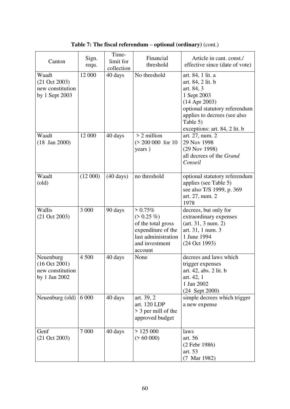| Canton                                                                  | Sign.<br>requ. | Time-<br>limit for<br>collection | Financial<br>threshold                                                                                                     | Article in cant. const./<br>effective since (date of vote)                                                                                                                                           |
|-------------------------------------------------------------------------|----------------|----------------------------------|----------------------------------------------------------------------------------------------------------------------------|------------------------------------------------------------------------------------------------------------------------------------------------------------------------------------------------------|
| Waadt<br>$(21 \text{ Oct } 2003)$<br>new constitution<br>by 1 Sept 2003 | 12 000         | 40 days                          | No threshold                                                                                                               | art. 84, 1 lit. a<br>art. 84, 2 lit. b<br>art. 84, 3<br>1 Sept 2003<br>$(14$ Apr 2003)<br>optional statutory referendum<br>applies to decrees (see also<br>Table 5)<br>exceptions: art. 84, 2 lit. b |
| Waadt<br>$(18 \text{ Jan } 2000)$                                       | 12 000         | 40 days                          | $> 2$ million<br>$( > 200 000$ for 10<br>years)                                                                            | art. 27, num. 2<br>29 Nov 1998<br>(29 Nov 1998)<br>all decrees of the Grand<br>Conseil                                                                                                               |
| Waadt<br>$\text{(old)}$                                                 | (12000)        | $(40 \text{ days})$              | no threshold                                                                                                               | optional statutory referendum<br>applies (see Table 5)<br>see also T/S 1999, p. 369<br>art. 27, num. 2<br>1978                                                                                       |
| Wallis<br>$(21 \text{ Oct } 2003)$                                      | 3 000          | 90 days                          | $> 0.75\%$<br>$(> 0.25\%)$<br>of the total gross<br>expenditure of the<br>last administration<br>and investment<br>account | decrees, but only for<br>extraordinary expenses<br>(art. 31, 3 num. 2)<br>art. 31, 1 num. 3<br>1 June 1994<br>(24 Oct 1993)                                                                          |
| Neuenburg<br>$(16$ Oct 2001)<br>new constitution<br>by 1 Jan 2002       | 4 500          | 40 days                          | None                                                                                                                       | decrees and laws which<br>trigger expenses<br>art. 42, abs. 2 lit. b<br>art. 42, 1<br>1 Jan 2002<br>(24 Sept 2000)                                                                                   |
| Neuenburg (old)                                                         | 6 0 0 0        | 40 days                          | art. 39, 2<br>art. 120 LDP<br>> 3 per mill of the<br>approved budget                                                       | simple decrees which trigger<br>a new expense                                                                                                                                                        |
| Genf<br>$(21 \text{ Oct } 2003)$                                        | 7 0 0 0        | 40 days                          | > 125000<br>( > 60 000)                                                                                                    | laws<br>art. 56<br>(2 Febr 1986)<br>art. 53<br>(7 Mar 1982)                                                                                                                                          |

**Table 7: The fiscal referendum – optional (ordinary)** (cont.)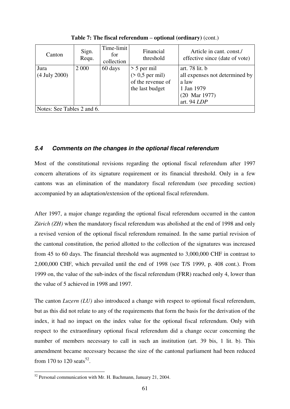| Canton                     | Sign.<br>Requ. | Time-limit<br>for<br>collection | Financial<br>threshold | Article in cant. const./<br>effective since (date of vote) |
|----------------------------|----------------|---------------------------------|------------------------|------------------------------------------------------------|
| Jura                       | 2 0 0 0        | 60 days                         | $> 5$ per mil          | art. 78 lit. b                                             |
| $(4$ July 2000)            |                |                                 | $($ > 0,5 per mil)     | all expenses not determined by                             |
|                            |                |                                 | of the revenue of      | a law                                                      |
|                            |                |                                 | the last budget        | 1 Jan 1979                                                 |
|                            |                |                                 |                        | $(20 \text{ Mar } 1977)$                                   |
|                            |                |                                 |                        | art. 94 LDP                                                |
| Notes: See Tables 2 and 6. |                |                                 |                        |                                                            |

**Table 7: The fiscal referendum – optional (ordinary)** (cont.)

## *5.4 Comments on the changes in the optional fiscal referendum*

Most of the constitutional revisions regarding the optional fiscal referendum after 1997 concern alterations of its signature requirement or its financial threshold. Only in a few cantons was an elimination of the mandatory fiscal referendum (see preceding section) accompanied by an adaptation/extension of the optional fiscal referendum.

After 1997, a major change regarding the optional fiscal referendum occurred in the canton *Zürich (ZH)* when the mandatory fiscal referendum was abolished at the end of 1998 and only a revised version of the optional fiscal referendum remained. In the same partial revision of the cantonal constitution, the period allotted to the collection of the signatures was increased from 45 to 60 days. The financial threshold was augmented to 3,000,000 CHF in contrast to 2,000,000 CHF, which prevailed until the end of 1998 (see T/S 1999, p. 408 cont.). From 1999 on, the value of the sub-index of the fiscal referendum (FRR) reached only 4, lower than the value of 5 achieved in 1998 and 1997.

The canton *Luzern (LU)* also introduced a change with respect to optional fiscal referendum, but as this did not relate to any of the requirements that form the basis for the derivation of the index, it had no impact on the index value for the optional fiscal referendum. Only with respect to the extraordinary optional fiscal referendum did a change occur concerning the number of members necessary to call in such an institution (art. 39 bis, 1 lit. b). This amendment became necessary because the size of the cantonal parliament had been reduced from 170 to 120 seats<sup>52</sup>.

-

 $52$  Personal communication with Mr. H. Bachmann, January 21, 2004.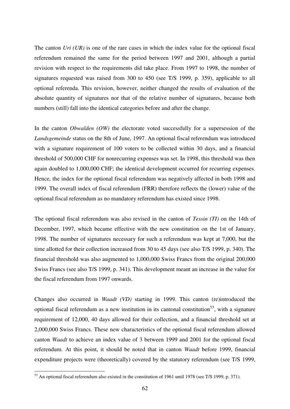The canton *Uri (UR)* is one of the rare cases in which the index value for the optional fiscal referendum remained the same for the period between 1997 and 2001, although a partial revision with respect to the requirements did take place. From 1997 to 1998, the number of signatures requested was raised from 300 to 450 (see T/S 1999, p. 359), applicable to all optional referenda. This revision, however, neither changed the results of evaluation of the absolute quantity of signatures nor that of the relative number of signatures, because both numbers (still) fall into the identical categories before and after the change.

In the canton *Obwalden (OW)* the electorate voted successfully for a supersession of the *Landsgemeinde* status on the 8th of June, 1997. An optional fiscal referendum was introduced with a signature requirement of 100 voters to be collected within 30 days, and a financial threshold of 500,000 CHF for nonrecurring expenses was set. In 1998, this threshold was then again doubled to 1,000,000 CHF; the identical development occurred for recurring expenses. Hence, the index for the optional fiscal referendum was negatively affected in both 1998 and 1999. The overall index of fiscal referendum (FRR) therefore reflects the (lower) value of the optional fiscal referendum as no mandatory referendum has existed since 1998.

The optional fiscal referendum was also revised in the canton of *Tessin (TI)* on the 14th of December, 1997, which became effective with the new constitution on the 1st of January, 1998. The number of signatures necessary for such a referendum was kept at 7,000, but the time allotted for their collection increased from 30 to 45 days (see also T/S 1999, p. 340). The financial threshold was also augmented to 1,000,000 Swiss Francs from the original 200,000 Swiss Francs (see also T/S 1999, p. 341). This development meant an increase in the value for the fiscal referendum from 1997 onwards.

Changes also occurred in *Waadt (VD)* starting in 1999. This canton (re)introduced the optional fiscal referendum as a new institution in its cantonal constitution<sup>53</sup>, with a signature requirement of 12,000, 40 days allowed for their collection, and a financial threshold set at 2,000,000 Swiss Francs. These new characteristics of the optional fiscal referendum allowed canton *Waadt* to achieve an index value of 3 between 1999 and 2001 for the optional fiscal referendum. At this point, it should be noted that in canton *Waadt* before 1999, financial expenditure projects were (theoretically) covered by the statutory referendum (see T/S 1999,

1

 $53$  An optional fiscal referendum also existed in the constitution of 1961 until 1978 (see T/S 1999, p. 371).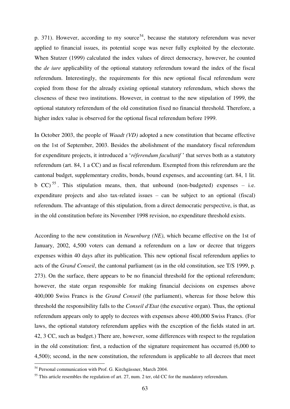p. 371). However, according to my source<sup>54</sup>, because the statutory referendum was never applied to financial issues, its potential scope was never fully exploited by the electorate. When Stutzer (1999) calculated the index values of direct democracy, however, he counted the *de iure* applicability of the optional statutory referendum toward the index of the fiscal referendum. Interestingly, the requirements for this new optional fiscal referendum were copied from those for the already existing optional statutory referendum, which shows the closeness of these two institutions. However, in contrast to the new stipulation of 1999, the optional statutory referendum of the old constitution fixed no financial threshold. Therefore, a higher index value is observed for the optional fiscal referendum before 1999.

In October 2003, the people of *Waadt (VD)* adopted a new constitution that became effective on the 1st of September, 2003. Besides the abolishment of the mandatory fiscal referendum for expenditure projects, it introduced a "*réferendum facultatif* " that serves both as a statutory referendum (art. 84, 1 a CC) and as fiscal referendum. Exempted from this referendum are the cantonal budget, supplementary credits, bonds, bound expenses, and accounting (art. 84, 1 lit. b CC)<sup>55</sup>. This stipulation means, then, that unbound (non-budgeted) expenses – i.e. expenditure projects and also tax-related issues – can be subject to an optional (fiscal) referendum. The advantage of this stipulation, from a direct democratic perspective, is that, as in the old constitution before its November 1998 revision, no expenditure threshold exists.

According to the new constitution in *Neuenburg (NE)*, which became effective on the 1st of January, 2002, 4,500 voters can demand a referendum on a law or decree that triggers expenses within 40 days after its publication. This new optional fiscal referendum applies to acts of the *Grand Conseil*, the cantonal parliament (as in the old constitution, see T/S 1999, p. 273). On the surface, there appears to be no financial threshold for the optional referendum; however, the state organ responsible for making financial decisions on expenses above 400,000 Swiss Francs is the *Grand Conseil* (the parliament), whereas for those below this threshold the responsibility falls to the *Conseil d'Etat* (the executive organ). Thus, the optional referendum appears only to apply to decrees with expenses above 400,000 Swiss Francs. (For laws, the optional statutory referendum applies with the exception of the fields stated in art. 42, 3 CC, such as budget.) There are, however, some differences with respect to the regulation in the old constitution: first, a reduction of the signature requirement has occurred (6,000 to 4,500); second, in the new constitution, the referendum is applicable to all decrees that meet

<u>.</u>

<sup>&</sup>lt;sup>54</sup> Personal communication with Prof. G. Kirchgässner, March 2004.

 $55$  This article resembles the regulation of art. 27, num. 2 ter, old CC for the mandatory referendum.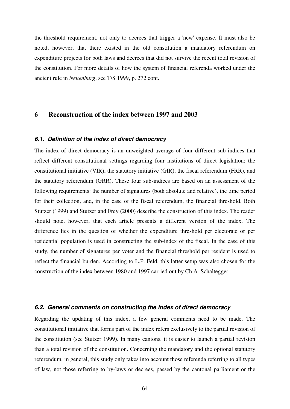the threshold requirement, not only to decrees that trigger a 'new' expense. It must also be noted, however, that there existed in the old constitution a mandatory referendum on expenditure projects for both laws and decrees that did not survive the recent total revision of the constitution. For more details of how the system of financial referenda worked under the ancient rule in *Neuenburg*, see T/S 1999, p. 272 cont.

### **6 Reconstruction of the index between 1997 and 2003**

#### *6.1. Definition of the index of direct democracy*

The index of direct democracy is an unweighted average of four different sub-indices that reflect different constitutional settings regarding four institutions of direct legislation: the constitutional initiative (VIR), the statutory initiative (GIR), the fiscal referendum (FRR), and the statutory referendum (GRR). These four sub-indices are based on an assessment of the following requirements: the number of signatures (both absolute and relative), the time period for their collection, and, in the case of the fiscal referendum, the financial threshold. Both Stutzer (1999) and Stutzer and Frey (2000) describe the construction of this index. The reader should note, however, that each article presents a different version of the index. The difference lies in the question of whether the expenditure threshold per electorate or per residential population is used in constructing the sub-index of the fiscal. In the case of this study, the number of signatures per voter and the financial threshold per resident is used to reflect the financial burden. According to L.P. Feld, this latter setup was also chosen for the construction of the index between 1980 and 1997 carried out by Ch.A. Schaltegger.

#### *6.2. General comments on constructing the index of direct democracy*

Regarding the updating of this index, a few general comments need to be made. The constitutional initiative that forms part of the index refers exclusively to the partial revision of the constitution (see Stutzer 1999). In many cantons, it is easier to launch a partial revision than a total revision of the constitution. Concerning the mandatory and the optional statutory referendum, in general, this study only takes into account those referenda referring to all types of law, not those referring to by-laws or decrees, passed by the cantonal parliament or the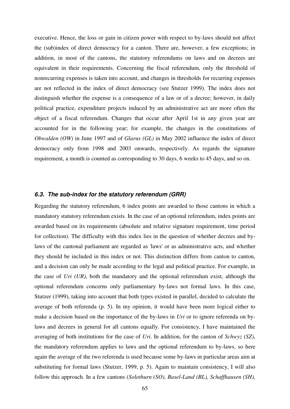executive. Hence, the loss or gain in citizen power with respect to by-laws should not affect the (sub)index of direct democracy for a canton. There are, however, a few exceptions; in addition, in most of the cantons, the statutory referendums on laws and on decrees are equivalent in their requirements. Concerning the fiscal referendum, only the threshold of nonrecurring expenses is taken into account, and changes in thresholds for recurring expenses are not reflected in the index of direct democracy (see Stutzer 1999). The index does not distinguish whether the expense is a consequence of a law or of a decree; however, in daily political practice, expenditure projects induced by an administrative act are more often the object of a fiscal referendum. Changes that occur after April 1st in any given year are accounted for in the following year; for example, the changes in the constitutions of *Obwalden (OW)* in June 1997 and of *Glarus (GL)* in May 2002 influence the index of direct democracy only from 1998 and 2003 onwards, respectively. As regards the signature requirement, a month is counted as corresponding to 30 days, 6 weeks to 45 days, and so on.

### *6.3. The sub-index for the statutory referendum (GRR)*

Regarding the statutory referendum, 6 index points are awarded to those cantons in which a mandatory statutory referendum exists. In the case of an optional referendum, index points are awarded based on its requirements (absolute and relative signature requirement, time period for collection). The difficulty with this index lies in the question of whether decrees and bylaws of the cantonal parliament are regarded as 'laws' or as administrative acts, and whether they should be included in this index or not. This distinction differs from canton to canton, and a decision can only be made according to the legal and political practice. For example, in the case of *Uri (UR)*, both the mandatory and the optional referendum exist, although the optional referendum concerns only parliamentary by-laws not formal laws. In this case, Stutzer (1999), taking into account that both types existed in parallel, decided to calculate the average of both referenda (p. 5). In my opinion, it would have been more logical either to make a decision based on the importance of the by-laws in *Uri* or to ignore referenda on bylaws and decrees in general for all cantons equally. For consistency, I have maintained the averaging of both institutions for the case of *Uri*. In addition, for the canton of *Schwyz (SZ)*, the mandatory referendum applies to laws and the optional referendum to by-laws, so here again the average of the two referenda is used because some by-laws in particular areas aim at substituting for formal laws (Stutzer, 1999, p. 5). Again to maintain consistency, I will also follow this approach. In a few cantons (*Solothurn (SO), Basel-Land (BL), Schaffhausen (SH),*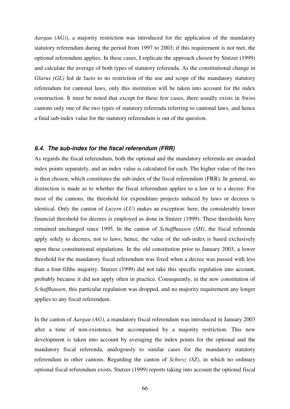*Aargau (AG)*), a majority restriction was introduced for the application of the mandatory statutory referendum during the period from 1997 to 2003; if this requirement is not met, the optional referendum applies. In these cases, I replicate the approach chosen by Stutzer (1999) and calculate the average of both types of statutory referenda. As the constitutional change in *Glarus (GL)* led de facto to no restriction of the use and scope of the mandatory statutory referendum for cantonal laws, only this institution will be taken into account for the index construction. It must be noted that except for these few cases, there usually exists in Swiss cantons only one of the two types of statutory referenda referring to cantonal laws, and hence a final sub-index value for the statutory referendum is out of the question.

#### *6.4. The sub-index for the fiscal referendum (FRR)*

As regards the fiscal referendum, both the optional and the mandatory referenda are awarded index points separately, and an index value is calculated for each. The higher value of the two is then chosen, which constitutes the sub-index of the fiscal referendum (FRR). In general, no distinction is made as to whether the fiscal referendum applies to a law or to a decree. For most of the cantons, the threshold for expenditure projects induced by laws or decrees is identical. Only the canton of *Luzern (LU)* makes an exception: here, the considerably lower financial threshold for decrees is employed as done in Stutzer (1999). These thresholds have remained unchanged since 1995. In the canton of *Schaffhausen (SH)*, the fiscal referenda apply solely to decrees, not to laws; hence, the value of the sub-index is based exclusively upon these constitutional stipulations. In the old constitution prior to January 2003, a lower threshold for the mandatory fiscal referendum was fixed when a decree was passed with less than a four-fifths majority. Stutzer (1999) did not take this specific regulation into account, probably because it did not apply often in practice. Consequently, in the new constitution of *Schaffhausen*, this particular regulation was dropped, and no majority requirement any longer applies to any fiscal referendum.

In the canton of *Aargau (AG)*, a mandatory fiscal referendum was introduced in January 2003 after a time of non-existence, but accompanied by a majority restriction. This new development is taken into account by averaging the index points for the optional and the mandatory fiscal referenda, analogously to similar cases for the mandatory statutory referendum in other cantons. Regarding the canton of *Schwyz (SZ)*, in which no ordinary optional fiscal referendum exists, Stutzer (1999) reports taking into account the optional fiscal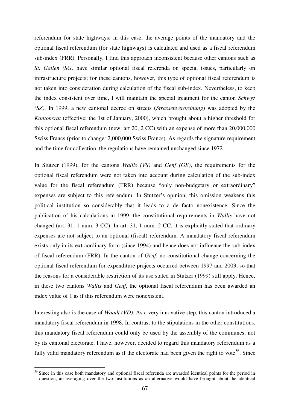referendum for state highways; in this case, the average points of the mandatory and the optional fiscal referendum (for state highways) is calculated and used as a fiscal referendum sub-index (FRR). Personally, I find this approach inconsistent because other cantons such as *St. Gallen (SG)* have similar optional fiscal referenda on special issues, particularly on infrastructure projects; for these cantons, however, this type of optional fiscal referendum is not taken into consideration during calculation of the fiscal sub-index. Nevertheless, to keep the index consistent over time, I will maintain the special treatment for the canton *Schwyz (SZ)*. In 1999, a new cantonal decree on streets (*Strassenverordnung*) was adopted by the *Kantonsrat* (effective: the 1st of January, 2000), which brought about a higher threshold for this optional fiscal referendum (new: art 20, 2 CC) with an expense of more than 20,000,000 Swiss Francs (prior to change: 2,000,000 Swiss Francs). As regards the signature requirement and the time for collection, the regulations have remained unchanged since 1972.

In Stutzer (1999), for the cantons *Wallis (VS)* and *Genf (GE)*, the requirements for the optional fiscal referendum were not taken into account during calculation of the sub-index value for the fiscal referendum (FRR) because "only non-budgetary or extraordinary" expenses are subject to this referendum. In Stutzer"s opinion, this omission weakens this political institution so considerably that it leads to a de facto nonexistence. Since the publication of his calculations in 1999, the constitutional requirements in *Wallis* have not changed (art. 31, 1 num. 3 CC). In art. 31, 1 num. 2 CC, it is explicitly stated that ordinary expenses are not subject to an optional (fiscal) referendum. A mandatory fiscal referendum exists only in its extraordinary form (since 1994) and hence does not influence the sub-index of fiscal referendum (FRR). In the canton of *Genf*, no constitutional change concerning the optional fiscal referendum for expenditure projects occurred between 1997 and 2003, so that the reasons for a considerable restriction of its use stated in Stutzer (1999) still apply. Hence, in these two cantons *Wallis* and *Genf*, the optional fiscal referendum has been awarded an index value of 1 as if this referendum were nonexistent.

Interesting also is the case of *Waadt (VD)*. As a very innovative step, this canton introduced a mandatory fiscal referendum in 1998. In contrast to the stipulations in the other constitutions, this mandatory fiscal referendum could only be used by the assembly of the communes, not by its cantonal electorate. I have, however, decided to regard this mandatory referendum as a fully valid mandatory referendum as if the electorate had been given the right to vote<sup>56</sup>. Since

-

<sup>&</sup>lt;sup>56</sup> Since in this case both mandatory and optional fiscal referenda are awarded identical points for the period in question, an averaging over the two institutions as an alternative would have brought about the identical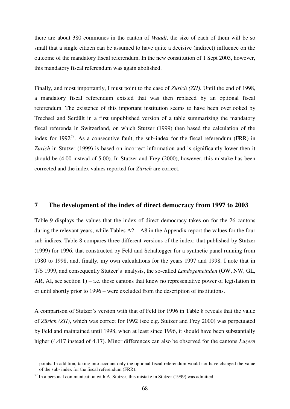there are about 380 communes in the canton of *Waadt*, the size of each of them will be so small that a single citizen can be assumed to have quite a decisive (indirect) influence on the outcome of the mandatory fiscal referendum. In the new constitution of 1 Sept 2003, however, this mandatory fiscal referendum was again abolished.

Finally, and most importantly, I must point to the case of *Zürich (ZH)*. Until the end of 1998, a mandatory fiscal referendum existed that was then replaced by an optional fiscal referendum. The existence of this important institution seems to have been overlooked by Trechsel and Serdült in a first unpublished version of a table summarizing the mandatory fiscal referenda in Switzerland, on which Stutzer (1999) then based the calculation of the index for 1992 $^{57}$ . As a consecutive fault, the sub-index for the fiscal referendum (FRR) in *Zürich* in Stutzer (1999) is based on incorrect information and is significantly lower then it should be (4.00 instead of 5.00). In Stutzer and Frey (2000), however, this mistake has been corrected and the index values reported for *Zürich* are correct.

### **7 The development of the index of direct democracy from 1997 to 2003**

Table 9 displays the values that the index of direct democracy takes on for the 26 cantons during the relevant years, while Tables A2 – A8 in the Appendix report the values for the four sub-indices. Table 8 compares three different versions of the index: that published by Stutzer (1999) for 1996, that constructed by Feld and Schaltegger for a synthetic panel running from 1980 to 1998, and, finally, my own calculations for the years 1997 and 1998. I note that in T/S 1999, and consequently Stutzer"s analysis, the so-called *Landsgemeinden* (OW, NW, GL, AR, AI, see section  $1$ ) – i.e. those cantons that knew no representative power of legislation in or until shortly prior to 1996 – were excluded from the description of institutions.

A comparison of Stutzer"s version with that of Feld for 1996 in Table 8 reveals that the value of *Zürich (ZH)*, which was correct for 1992 (see e.g. Stutzer and Frey 2000) was perpetuated by Feld and maintained until 1998, when at least since 1996, it should have been substantially higher (4.417 instead of 4.17). Minor differences can also be observed for the cantons *Luzern* 

 $\overline{a}$ 

points. In addition, taking into account only the optional fiscal referendum would not have changed the value of the sub- index for the fiscal referendum (FRR).

 $57$  In a personal communication with A. Stutzer, this mistake in Stutzer (1999) was admitted.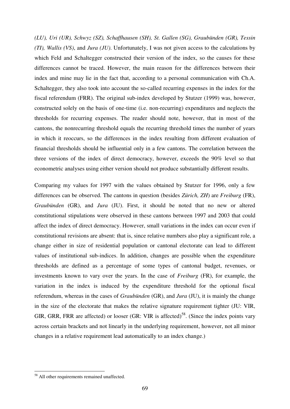*(LU), Uri (UR), Schwyz (SZ), Schaffhausen (SH), St. Gallen (SG), Graubünden (GR), Tessin (TI), Wallis (VS)*, and *Jura (JU)*. Unfortunately, I was not given access to the calculations by which Feld and Schaltegger constructed their version of the index, so the causes for these differences cannot be traced. However, the main reason for the differences between their index and mine may lie in the fact that, according to a personal communication with Ch.A. Schaltegger, they also took into account the so-called recurring expenses in the index for the fiscal referendum (FRR). The original sub-index developed by Stutzer (1999) was, however, constructed solely on the basis of one-time (i.e. non-recurring) expenditures and neglects the thresholds for recurring expenses. The reader should note, however, that in most of the cantons, the nonrecurring threshold equals the recurring threshold times the number of years in which it reoccurs, so the differences in the index resulting from different evaluation of financial thresholds should be influential only in a few cantons. The correlation between the three versions of the index of direct democracy, however, exceeds the 90% level so that econometric analyses using either version should not produce substantially different results.

Comparing my values for 1997 with the values obtained by Stutzer for 1996, only a few differences can be observed. The cantons in question (besides *Zürich, ZH*) are *Freiburg* (FR), *Graubünden* (GR), and *Jura* (JU). First, it should be noted that no new or altered constitutional stipulations were observed in these cantons between 1997 and 2003 that could affect the index of direct democracy. However, small variations in the index can occur even if constitutional revisions are absent: that is, since relative numbers also play a significant role, a change either in size of residential population or cantonal electorate can lead to different values of institutional sub-indices. In addition, changes are possible when the expenditure thresholds are defined as a percentage of some types of cantonal budget, revenues, or investments known to vary over the years. In the case of *Freiburg* (FR), for example, the variation in the index is induced by the expenditure threshold for the optional fiscal referendum, whereas in the cases of *Graubünden* (GR), and *Jura* (JU), it is mainly the change in the size of the electorate that makes the relative signature requirement tighter (JU: VIR, GIR, GRR, FRR are affected) or looser (GR: VIR is affected)<sup>58</sup>. (Since the index points vary across certain brackets and not linearly in the underlying requirement, however, not all minor changes in a relative requirement lead automatically to an index change.)

1

<sup>&</sup>lt;sup>58</sup> All other requirements remained unaffected.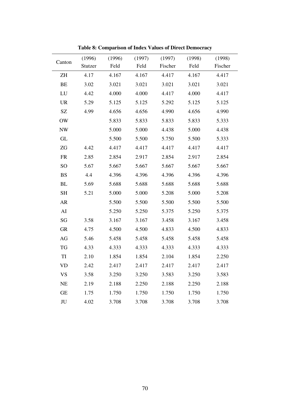|                            | (1996)  | (1996) | (1997) | (1997)  | (1998) | (1998)  |
|----------------------------|---------|--------|--------|---------|--------|---------|
| Canton                     | Stutzer | Feld   | Feld   | Fischer | Feld   | Fischer |
| ZH                         | 4.17    | 4.167  | 4.167  | 4.417   | 4.167  | 4.417   |
| $\rm BE$                   | 3.02    | 3.021  | 3.021  | 3.021   | 3.021  | 3.021   |
| LU                         | 4.42    | 4.000  | 4.000  | 4.417   | 4.000  | 4.417   |
| <b>UR</b>                  | 5.29    | 5.125  | 5.125  | 5.292   | 5.125  | 5.125   |
| $\ensuremath{\mathrm{SZ}}$ | 4.99    | 4.656  | 4.656  | 4.990   | 4.656  | 4.990   |
| <b>OW</b>                  |         | 5.833  | 5.833  | 5.833   | 5.833  | 5.333   |
| <b>NW</b>                  |         | 5.000  | 5.000  | 4.438   | 5.000  | 4.438   |
| GL                         |         | 5.500  | 5.500  | 5.750   | 5.500  | 5.333   |
| ZG                         | 4.42    | 4.417  | 4.417  | 4.417   | 4.417  | 4.417   |
| ${\sf FR}$                 | 2.85    | 2.854  | 2.917  | 2.854   | 2.917  | 2.854   |
| SO <sub>1</sub>            | 5.67    | 5.667  | 5.667  | 5.667   | 5.667  | 5.667   |
| <b>BS</b>                  | 4.4     | 4.396  | 4.396  | 4.396   | 4.396  | 4.396   |
| BL                         | 5.69    | 5.688  | 5.688  | 5.688   | 5.688  | 5.688   |
| $\operatorname{SH}$        | 5.21    | 5.000  | 5.000  | 5.208   | 5.000  | 5.208   |
| <b>AR</b>                  |         | 5.500  | 5.500  | 5.500   | 5.500  | 5.500   |
| AI                         |         | 5.250  | 5.250  | 5.375   | 5.250  | 5.375   |
| $\mathbf{S}\mathbf{G}$     | 3.58    | 3.167  | 3.167  | 3.458   | 3.167  | 3.458   |
| <b>GR</b>                  | 4.75    | 4.500  | 4.500  | 4.833   | 4.500  | 4.833   |
| AG                         | 5.46    | 5.458  | 5.458  | 5.458   | 5.458  | 5.458   |
| TG                         | 4.33    | 4.333  | 4.333  | 4.333   | 4.333  | 4.333   |
| $\mathop{\rm TI}$          | 2.10    | 1.854  | 1.854  | 2.104   | 1.854  | 2.250   |
| <b>VD</b>                  | 2.42    | 2.417  | 2.417  | 2.417   | 2.417  | 2.417   |
| <b>VS</b>                  | 3.58    | 3.250  | 3.250  | 3.583   | 3.250  | 3.583   |
| NE                         | 2.19    | 2.188  | 2.250  | 2.188   | 2.250  | 2.188   |
| <b>GE</b>                  | 1.75    | 1.750  | 1.750  | 1.750   | 1.750  | 1.750   |
| JU                         | 4.02    | 3.708  | 3.708  | 3.708   | 3.708  | 3.708   |

**Table 8: Comparison of Index Values of Direct Democracy**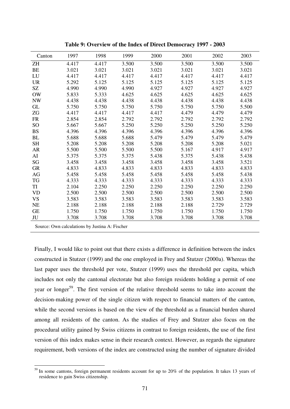| Canton          | 1997  | 1998  | 1999  | 2000  | 2001  | 2002  | 2003  |
|-----------------|-------|-------|-------|-------|-------|-------|-------|
| <b>ZH</b>       | 4.417 | 4.417 | 3.500 | 3.500 | 3.500 | 3.500 | 3.500 |
| <b>BE</b>       | 3.021 | 3.021 | 3.021 | 3.021 | 3.021 | 3.021 | 3.021 |
| LU              | 4.417 | 4.417 | 4.417 | 4.417 | 4.417 | 4.417 | 4.417 |
| <b>UR</b>       | 5.292 | 5.125 | 5.125 | 5.125 | 5.125 | 5.125 | 5.125 |
| SZ              | 4.990 | 4.990 | 4.990 | 4.927 | 4.927 | 4.927 | 4.927 |
| OW              | 5.833 | 5.333 | 4.625 | 4.625 | 4.625 | 4.625 | 4.625 |
| <b>NW</b>       | 4.438 | 4.438 | 4.438 | 4.438 | 4.438 | 4.438 | 4.438 |
| <b>GL</b>       | 5.750 | 5.750 | 5.750 | 5.750 | 5.750 | 5.750 | 5.500 |
| ZG              | 4.417 | 4.417 | 4.417 | 4.417 | 4.479 | 4.479 | 4.479 |
| <b>FR</b>       | 2.854 | 2.854 | 2.792 | 2.792 | 2.792 | 2.792 | 2.792 |
| SO <sub>1</sub> | 5.667 | 5.667 | 5.250 | 5.250 | 5.250 | 5.250 | 5.250 |
| <b>BS</b>       | 4.396 | 4.396 | 4.396 | 4.396 | 4.396 | 4.396 | 4.396 |
| <b>BL</b>       | 5.688 | 5.688 | 5.688 | 5.479 | 5.479 | 5.479 | 5.479 |
| <b>SH</b>       | 5.208 | 5.208 | 5.208 | 5.208 | 5.208 | 5.208 | 5.021 |
| <b>AR</b>       | 5.500 | 5.500 | 5.500 | 5.500 | 5.167 | 4.917 | 4.917 |
| AI              | 5.375 | 5.375 | 5.375 | 5.438 | 5.375 | 5.438 | 5.438 |
| SG              | 3.458 | 3.458 | 3.458 | 3.458 | 3.458 | 3.458 | 3.521 |
| <b>GR</b>       | 4.833 | 4.833 | 4.833 | 4.833 | 4.833 | 4.833 | 4.833 |
| AG              | 5.458 | 5.458 | 5.458 | 5.458 | 5.458 | 5.458 | 5.438 |
| <b>TG</b>       | 4.333 | 4.333 | 4.333 | 4.333 | 4.333 | 4.333 | 4.333 |
| TI              | 2.104 | 2.250 | 2.250 | 2.250 | 2.250 | 2.250 | 2.250 |
| <b>VD</b>       | 2.500 | 2.500 | 2.500 | 2.500 | 2.500 | 2.500 | 2.500 |
| <b>VS</b>       | 3.583 | 3.583 | 3.583 | 3.583 | 3.583 | 3.583 | 3.583 |
| <b>NE</b>       | 2.188 | 2.188 | 2.188 | 2.188 | 2.188 | 2.729 | 2.729 |
| <b>GE</b>       | 1.750 | 1.750 | 1.750 | 1.750 | 1.750 | 1.750 | 1.750 |
| JU              | 3.708 | 3.708 | 3.708 | 3.708 | 3.708 | 3.708 | 3.708 |
|                 |       |       |       |       |       |       |       |

**Table 9: Overview of the Index of Direct Democracy 1997 - 2003** 

Source: Own calculations by Justina A: Fischer

-

Finally, I would like to point out that there exists a difference in definition between the index constructed in Stutzer (1999) and the one employed in Frey and Stutzer (2000a). Whereas the last paper uses the threshold per vote, Stutzer (1999) uses the threshold per capita, which includes not only the cantonal electorate but also foreign residents holding a permit of one year or longer<sup>59</sup>. The first version of the relative threshold seems to take into account the decision-making power of the single citizen with respect to financial matters of the canton, while the second versions is based on the view of the threshold as a financial burden shared among all residents of the canton. As the studies of Frey and Stutzer also focus on the procedural utility gained by Swiss citizens in contrast to foreign residents, the use of the first version of this index makes sense in their research context. However, as regards the signature requirement, both versions of the index are constructed using the number of signature divided

<sup>&</sup>lt;sup>59</sup> In some cantons, foreign permanent residents account for up to 20% of the population. It takes 13 years of residence to gain Swiss citizenship.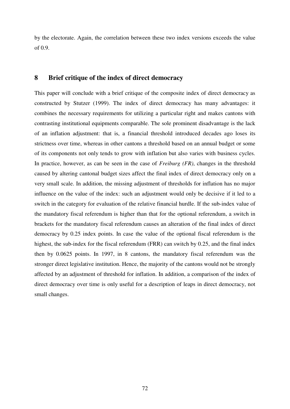by the electorate. Again, the correlation between these two index versions exceeds the value of 0.9.

#### **8 Brief critique of the index of direct democracy**

This paper will conclude with a brief critique of the composite index of direct democracy as constructed by Stutzer (1999). The index of direct democracy has many advantages: it combines the necessary requirements for utilizing a particular right and makes cantons with contrasting institutional equipments comparable. The sole prominent disadvantage is the lack of an inflation adjustment: that is, a financial threshold introduced decades ago loses its strictness over time, whereas in other cantons a threshold based on an annual budget or some of its components not only tends to grow with inflation but also varies with business cycles. In practice, however, as can be seen in the case of *Freiburg (FR)*, changes in the threshold caused by altering cantonal budget sizes affect the final index of direct democracy only on a very small scale. In addition, the missing adjustment of thresholds for inflation has no major influence on the value of the index: such an adjustment would only be decisive if it led to a switch in the category for evaluation of the relative financial hurdle. If the sub-index value of the mandatory fiscal referendum is higher than that for the optional referendum, a switch in brackets for the mandatory fiscal referendum causes an alteration of the final index of direct democracy by 0.25 index points. In case the value of the optional fiscal referendum is the highest, the sub-index for the fiscal referendum (FRR) can switch by 0.25, and the final index then by 0.0625 points. In 1997, in 8 cantons, the mandatory fiscal referendum was the stronger direct legislative institution. Hence, the majority of the cantons would not be strongly affected by an adjustment of threshold for inflation. In addition, a comparison of the index of direct democracy over time is only useful for a description of leaps in direct democracy, not small changes.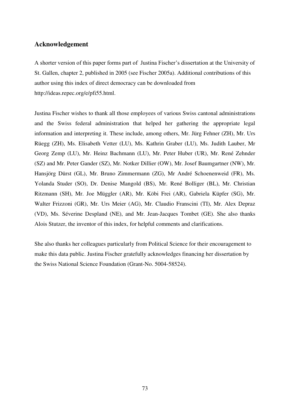#### **Acknowledgement**

A shorter version of this paper forms part of Justina Fischer"s dissertation at the University of St. Gallen, chapter 2, published in 2005 (see Fischer 2005a). Additional contributions of this author using this index of direct democracy can be downloaded from [http://ideas.repec.org/e/pfi55.html.](http://ideas.repec.org/e/pfi55.html)

Justina Fischer wishes to thank all those employees of various Swiss cantonal administrations and the Swiss federal administration that helped her gathering the appropriate legal information and interpreting it. These include, among others, Mr. Jürg Fehner (ZH), Mr. Urs Rüegg (ZH), Ms. Elisabeth Vetter (LU), Ms. Kathrin Graber (LU), Ms. Judith Lauber, Mr Georg Zemp (LU), Mr. Heinz Bachmann (LU), Mr. Peter Huber (UR), Mr. René Zehnder (SZ) and Mr. Peter Gander (SZ), Mr. Notker Dillier (OW), Mr. Josef Baumgartner (NW), Mr. Hansjörg Dürst (GL), Mr. Bruno Zimmermann (ZG), Mr André Schoenenweid (FR), Ms. Yolanda Studer (SO), Dr. Denise Mangold (BS), Mr. René Bolliger (BL), Mr. Christian Ritzmann (SH), Mr. Joe Müggler (AR), Mr. Köbi Frei (AR), Gabriela Küpfer (SG), Mr. Walter Frizzoni (GR), Mr. Urs Meier (AG), Mr. Claudio Franscini (TI), Mr. Alex Depraz (VD), Ms. Séverine Despland (NE), and Mr. Jean-Jacques Tombet (GE). She also thanks Alois Stutzer, the inventor of this index, for helpful comments and clarifications.

She also thanks her colleagues particularly from Political Science for their encouragement to make this data public. Justina Fischer gratefully acknowledges financing her dissertation by the Swiss National Science Foundation (Grant-No. 5004-58524).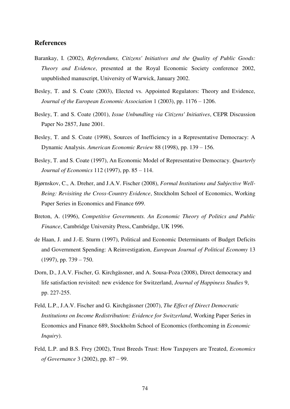#### **References**

- Barankay, I. (2002), *Referendums, Citizens' Initiatives and the Quality of Public Goods: Theory and Evidence*, presented at the Royal Economic Society conference 2002, unpublished manuscript, University of Warwick, January 2002.
- Besley, T. and S. Coate (2003), Elected vs. Appointed Regulators: Theory and Evidence, *Journal of the European Economic Association* 1 (2003), pp. 1176 – 1206.
- Besley, T. and S. Coate (2001), *Issue Unbundling via Citizens' Initiatives*, CEPR Discussion Paper No 2857, June 2001.
- Besley, T. and S. Coate (1998), Sources of Inefficiency in a Representative Democracy: A Dynamic Analysis. *American Economic Review* 88 (1998), pp. 139 – 156.
- Besley, T. and S. Coate (1997), An Economic Model of Representative Democracy. *Quarterly Journal of Economics* 112 (1997), pp. 85 – 114.
- Bjørnskov, C., A. Dreher, and J.A.V. Fischer (2008), *Formal Institutions and Subjective Well-Being: Revisiting the Cross-Country Evidence*, Stockholm School of Economics, Working Paper Series in Economics and Finance 699.
- Breton, A. (1996), *Competitive Governments. An Economic Theory of Politics and Public Finance*, Cambridge University Press, Cambridge, UK 1996.
- de Haan, J. and J.-E. Sturm (1997), Political and Economic Determinants of Budget Deficits and Government Spending: A Reinvestigation, *European Journal of Political Economy* 13 (1997), pp. 739 – 750.
- Dorn, D., J.A.V. Fischer, G. Kirchgässner, and A. Sousa-Poza (2008), Direct democracy and life satisfaction revisited: new evidence for Switzerland, *Journal of Happiness Studies* 9, pp. 227-255.
- Feld, L.P., J.A.V. Fischer and G. Kirchgässner (2007), *The Effect of Direct Democratic Institutions on Income Redistribution: Evidence for Switzerland*, Working Paper Series in Economics and Finance 689, Stockholm School of Economics (forthcoming in *Economic Inquiry*).
- Feld, L.P. and B.S. Frey (2002), Trust Breeds Trust: How Taxpayers are Treated, *Economics of Governance* 3 (2002), pp. 87 – 99.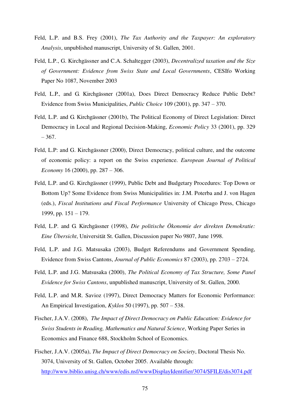- Feld, L.P. and B.S. Frey (2001), *The Tax Authority and the Taxpayer: An exploratory Analysis*, unpublished manuscript, University of St. Gallen, 2001.
- Feld, L.P., G. Kirchgässner and C.A. Schaltegger (2003), *Decentralized taxation and the Size of Government: Evidence from Swiss State and Local Governments*, CESIfo Working Paper No 1087, November 2003
- Feld, L.P., and G. Kirchgässner (2001a), Does Direct Democracy Reduce Public Debt? Evidence from Swiss Municipalities, *Public Choice* 109 (2001), pp. 347 – 370.
- Feld, L.P. and G. Kirchgässner (2001b), The Political Economy of Direct Legislation: Direct Democracy in Local and Regional Decision-Making, *Economic Policy* 33 (2001), pp. 329  $-367.$
- Feld, L.P: and G. Kirchgässner (2000), Direct Democracy, political culture, and the outcome of economic policy: a report on the Swiss experience. *European Journal of Political Economy* 16 (2000), pp. 287 – 306.
- Feld, L.P. and G. Kirchgässner (1999), Public Debt and Budgetary Procedures: Top Down or Bottom Up? Some Evidence from Swiss Municipalities in: J.M. Poterba and J. von Hagen (eds.), *Fiscal Institutions and Fiscal Performance* University of Chicago Press, Chicago 1999, pp. 151 – 179.
- Feld, L.P. and G. Kirchgässner (1998), *Die politische Ökonomie der direkten Demokratie: Eine Übersicht*, Universität St. Gallen, Discussion paper No 9807, June 1998.
- Feld, L.P. and J.G. Matsusaka (2003), Budget Referendums and Government Spending, Evidence from Swiss Cantons, *Journal of Public Economics* 87 (2003), pp. 2703 – 2724.
- Feld, L.P. and J.G. Matsusaka (2000), *The Political Economy of Tax Structure, Some Panel Evidence for Swiss Cantons*, unpublished manuscript, University of St. Gallen, 2000.
- Feld, L.P. and M.R. Savioz (1997), Direct Democracy Matters for Economic Performance: An Empirical Investigation, *Kyklos* 50 (1997), pp. 507 – 538.
- Fischer, J.A.V. (2008), *The Impact of Direct Democracy on Public Education: Evidence for Swiss Students in Reading, Mathematics and Natural Science*, Working Paper Series in Economics and Finance 688, Stockholm School of Economics.
- Fischer, J.A.V. (2005a), *The Impact of Direct Democracy on Society*, Doctoral Thesis No. 3074, University of St. Gallen, October 2005. Available through: [http://www.biblio.unisg.ch/www/edis.nsf/wwwDisplayIdentifier/3074/\\$FILE/dis3074.pdf](http://www.biblio.unisg.ch/www/edis.nsf/wwwDisplayIdentifier/3074/$FILE/dis3074.pdf)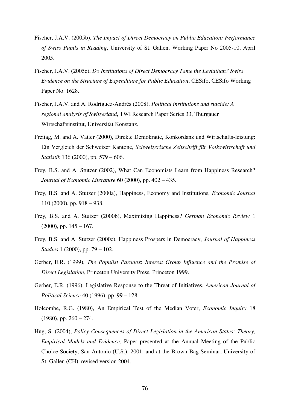- Fischer, J.A.V. (2005b), *The Impact of Direct Democracy on Public Education: Performance of Swiss Pupils in Reading*, University of St. Gallen, Working Paper No 2005-10, April 2005.
- Fischer, J.A.V. (2005c), *Do Institutions of Direct Democracy Tame the Leviathan? Swiss Evidence on the Structure of Expenditure for Public Education*, CESifo, CESifo Working Paper No. 1628.
- Fischer, J.A.V. and A. Rodriguez-Andrés (2008), *Political institutions and suicide: A regional analysis of Switzerland*, TWI Research Paper Series 33, Thurgauer Wirtschaftsinstitut, Universität Konstanz.
- Freitag, M. and A. Vatter (2000), Direkte Demokratie, Konkordanz und Wirtschafts-leistung: Ein Vergleich der Schweizer Kantone, *Schweizerische Zeitschrift für Volkswirtschaft und Statistik* 136 (2000), pp. 579 – 606.
- Frey, B.S. and A. Stutzer (2002), What Can Economists Learn from Happiness Research? *Journal of Economic Literature* 60 (2000), pp. 402 – 435.
- Frey, B.S. and A. Stutzer (2000a), Happiness, Economy and Institutions, *Economic Journal* 110 (2000), pp. 918 – 938.
- Frey, B.S. and A. Stutzer (2000b), Maximizing Happiness? *German Economic Review* 1  $(2000)$ , pp.  $145 - 167$ .
- Frey, B.S. and A. Stutzer (2000c), Happiness Prospers in Democracy, *Journal of Happiness Studies* 1 (2000), pp. 79 – 102.
- Gerber, E.R. (1999), *The Populist Paradox*: *Interest Group Influence and the Promise of Direct Legislation*, Princeton University Press, Princeton 1999.
- Gerber, E.R. (1996), Legislative Response to the Threat of Initiatives, *American Journal of Political Science* 40 (1996), pp. 99 – 128.
- Holcombe, R.G. (1980), An Empirical Test of the Median Voter, *Economic Inquiry* 18  $(1980)$ , pp.  $260 - 274$ .
- Hug, S. (2004), *Policy Consequences of Direct Legislation in the American States: Theory, Empirical Models and Evidence*, Paper presented at the Annual Meeting of the Public Choice Society, San Antonio (U.S.), 2001, and at the Brown Bag Seminar, University of St. Gallen (CH), revised version 2004.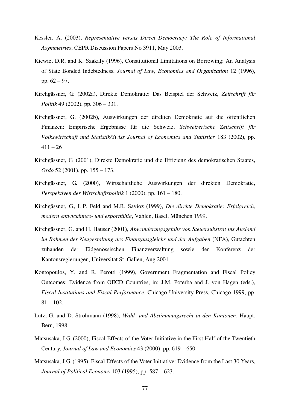- Kessler, A. (2003), *Representative versus Direct Democracy: The Role of Informational Asymmetries*; CEPR Discussion Papers No 3911, May 2003.
- Kiewiet D.R. and K. Szakaly (1996), Constitutional Limitations on Borrowing: An Analysis of State Bonded Indebtedness, *Journal of Law, Economics and Organization* 12 (1996), pp. 62 – 97.
- Kirchgässner, G. (2002a), Direkte Demokratie: Das Beispiel der Schweiz, *Zeitschrift für Politik* 49 (2002), pp. 306 – 331.
- Kirchgässner, G. (2002b), Auswirkungen der direkten Demokratie auf die öffentlichen Finanzen: Empirische Ergebnisse für die Schweiz, *Schweizerische Zeitschrift für Volkswirtschaft und Statistik/Swiss Journal of Economics and Statistics* 183 (2002), pp.  $411 - 26$
- Kirchgässner, G. (2001), Direkte Demokratie und die Effizienz des demokratischen Staates, *Ordo* 52 (2001), pp. 155 – 173.
- Kirchgässner, G. (2000), Wirtschaftliche Auswirkungen der direkten Demokratie, *Perspektiven der Wirtschaftspolitik* 1 (2000), pp. 161 – 180.
- Kirchgässner, G., L.P. Feld and M.R. Savioz (1999), *Die direkte Demokratie: Erfolgreich, modern entwicklungs- und exportfähig*, Vahlen, Basel, München 1999.
- Kirchgässner, G. and H. Hauser (2001), *Abwanderungsgefahr von Steuersubstrat ins Ausland im Rahmen der Neugestaltung des Finanzausgleichs und der Aufgaben* (NFA), Gutachten zuhanden der Eidgenössischen Finanzverwaltung sowie der Konferenz der Kantonsregierungen, Universität St. Gallen, Aug 2001.
- Kontopoulos, Y. and R. Perotti (1999), Government Fragmentation and Fiscal Policy Outcomes: Evidence from OECD Countries, in: J.M. Poterba and J. von Hagen (eds.), *Fiscal Institutions and Fiscal Performance*, Chicago University Press, Chicago 1999, pp.  $81 - 102$ .
- Lutz, G. and D. Strohmann (1998), *Wahl- und Abstimmungsrecht in den Kantonen*, Haupt, Bern, 1998.
- Matsusaka, J.G. (2000), Fiscal Effects of the Voter Initiative in the First Half of the Twentieth Century, *Journal of Law and Economics* 43 (2000), pp. 619 – 650.
- Matsusaka, J.G. (1995), Fiscal Effects of the Voter Initiative: Evidence from the Last 30 Years, *Journal of Political Economy* 103 (1995), pp. 587 – 623.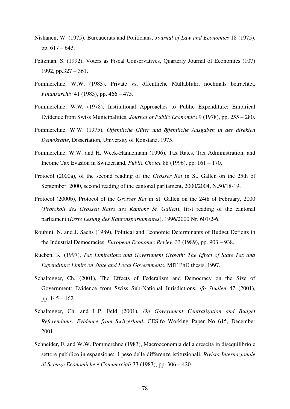- Niskanen, W. (1975), Bureaucrats and Politicians, *Journal of Law and Economics* 18 (1975), pp. 617 – 643.
- Peltzman, S. (1992), Voters as Fiscal Conservatives, Quarterly Journal of Economics (107) 1992, pp.327 – 361.
- Pommerehne, W.W. (1983), Private vs. öffentliche Müllabfuhr, nochmals betrachtet, *Finanzarchiv* 41 (1983), pp. 466 – 475.
- Pommerehne, W.W. (1978), Institutional Approaches to Public Expenditure: Empirical Evidence from Swiss Municipalities, *Journal of Public Economics* 9 (1978), pp. 255 – 280.
- Pommerehne, W.W. (1975), *Öffentliche Güter und öffentliche Ausgaben in der direkten Demokratie*, Dissertation, University of Konstanz, 1975.
- Pommerehne, W.W. and H. Weck-Hannemann (1996), Tax Rates, Tax Administration, and Income Tax Evasion in Switzerland, *Public Choice* 88 (1996), pp. 161 – 170.
- Protocol (2000a), of the second reading of the *Grosser Rat* in St. Gallen on the 25th of September, 2000, second reading of the cantonal parliament, 2000/2004, N.50/18-19.
- Protocol (2000b), Protocol of the *Grosser Rat* in St. Gallen on the 24th of February, 2000 (*Protokoll des Grossen Rates des Kantons St. Gallen*), first reading of the cantonal parliament (*Erste Lesung des Kantonsparlamentes*), 1996/2000 Nr. 601/2-6.
- Roubini, N. and J. Sachs (1989), Political and Economic Determinants of Budget Deficits in the Industrial Democracies, *European Economic Review* 33 (1989), pp. 903 – 938.
- Rueben, K. (1997), *Tax Limitations and Government Growth: The Effect of State Tax and Expenditure Limits on State and Local Governments*, MIT PhD thesis, 1997.
- Schaltegger, Ch. (2001), The Effects of Federalism and Democracy on the Size of Government: Evidence from Swiss Sub-National Jurisdictions, *ifo Studien* 47 (2001), pp. 145 – 162.
- Schaltegger, Ch. and L.P. Feld (2001), *On Government Centralization and Budget Referendums: Evidence from Switzerland*, CESifo Working Paper No 615, December 2001.
- Schneider, F. and W.W. Pommerehne (1983), Macroeconomia della crescita in disequilibrio e settore pubblico in espansione: il peso delle differenze istituzionali, *Rivista Internazionale di Scienze Economiche e Commerciali* 33 (1983), pp. 306 – 420.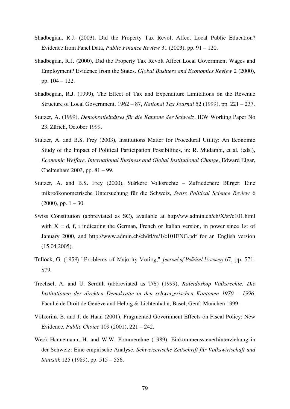- Shadbegian, R.J. (2003), Did the Property Tax Revolt Affect Local Public Education? Evidence from Panel Data, *Public Finance Review* 31 (2003), pp. 91 – 120.
- Shadbegian, R.J. (2000), Did the Property Tax Revolt Affect Local Government Wages and Employment? Evidence from the States, *Global Business and Economics Review* 2 (2000), pp. 104 – 122.
- Shadbegian, R.J. (1999), The Effect of Tax and Expenditure Limitations on the Revenue Structure of Local Government, 1962 – 87, *National Tax Journal* 52 (1999), pp. 221 – 237.
- Stutzer, A. (1999), *Demokratieindizes für die Kantone der Schweiz*, IEW Working Paper No 23, Zürich, October 1999.
- Stutzer, A. and B.S. Frey (2003), Institutions Matter for Procedural Utility: An Economic Study of the Impact of Political Participation Possibilities, in: R. Mudambi, et al. (eds.), *Economic Welfare, International Business and Global Institutional Change*, Edward Elgar, Cheltenham 2003, pp. 81 – 99.
- Stutzer, A. and B.S. Frey (2000), Stärkere Volksrechte Zufriedenere Bürger: Eine mikroökonometrische Untersuchung für die Schweiz, *Swiss Political Science Review* 6  $(2000)$ , pp.  $1 - 30$ .
- Swiss Constitution (abbreviated as SC), available at http//ww.admin.ch/ch/X/sr/c101.html with  $X = d$ , f, i indicating the German, French or Italian version, in power since 1st of January 2000, and http://www.admin.ch/ch/itl/rs/1/c101ENG.pdf for an English version (15.04.2005).
- Tullock, G. (1959) "Problems of Majority Voting," *Journal of Political Economy* 67, pp. 571- 579.
- Trechsel, A. and U. Serdült (abbreviated as T/S) (1999), *Kaleidoskop Volksrechte: Die Institutionen der direkten Demokratie in den schweizerischen Kantonen 1970 – 1996*, Faculté de Droit de Genève and Helbig & Lichtenhahn, Basel, Genf, München 1999.
- Volkerink B. and J. de Haan (2001), Fragmented Government Effects on Fiscal Policy: New Evidence, *Public Choice* 109 (2001), 221 – 242.
- Weck-Hannemann, H. and W.W. Pommerehne (1989), Einkommenssteuerhinterziehung in der Schweiz: Eine empirische Analyse, *Schweizerische Zeitschrift für Volkswirtschaft und Statistik* 125 (1989), pp. 515 – 556.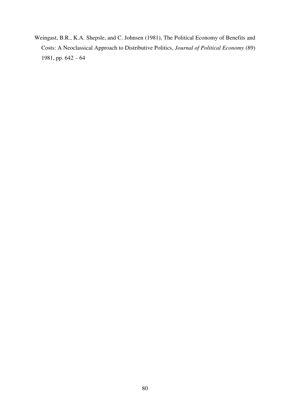Weingast, B.R., K.A. Shepsle, and C. Johnsen (1981), The Political Economy of Benefits and Costs: A Neoclassical Approach to Distributive Politics, *Journal of Political Economy* (89) 1981, pp. 642 – 64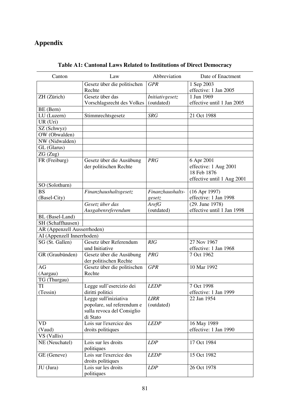# **Appendix**

| Canton                            | Law                         | Abbreviation     | Date of Enactment          |
|-----------------------------------|-----------------------------|------------------|----------------------------|
|                                   | Gesetz über die politischen | <b>GPR</b>       | 1 Sep 2003                 |
|                                   | Rechte                      |                  | effective: 1 Jan 2005      |
| ZH (Zürich)                       | Gesetz über das             | Initiativgesetz  | 1 Jun 1969                 |
|                                   | Vorschlagsrecht des Volkes  | (outdated)       | effective until 1 Jan 2005 |
| BE (Bern)                         |                             |                  |                            |
| LU (Luzern)                       | Stimmrechtsgesetz           | <b>SRG</b>       | 21 Oct 1988                |
| UR (Uri)                          |                             |                  |                            |
| SZ (Schwyz)                       |                             |                  |                            |
| $\overline{\text{OW}}$ (Obwalden) |                             |                  |                            |
| NW (Nidwalden)                    |                             |                  |                            |
| GL (Glarus)                       |                             |                  |                            |
|                                   |                             |                  |                            |
| ZG(Zug)                           |                             |                  |                            |
| FR (Freiburg)                     | Gesetz über die Ausübung    | <b>PRG</b>       | 6 Apr 2001                 |
|                                   | der politischen Rechte      |                  | effective: 1 Aug 2001      |
|                                   |                             |                  | 18 Feb 1876                |
|                                   |                             |                  | effective until 1 Aug 2001 |
| SO (Solothurn)                    |                             |                  |                            |
| <b>BS</b>                         | Finanzhaushaltsgesetz       | Finanzhaushalts- | (16 Apr 1997)              |
| (Basel-City)                      |                             | gesetz           | effective: 1 Jan 1998      |
|                                   | Gesetz über das             | ArefG            | (29. June 1978)            |
|                                   | Ausgabenreferendum          | (outdated)       | effective until 1 Jan 1998 |
| BL (Basel-Land)                   |                             |                  |                            |
| SH (Schaffhausen)                 |                             |                  |                            |
| AR (Appenzell Ausserrhoden)       |                             |                  |                            |
|                                   |                             |                  |                            |
| AI (Appenzell Innerrhoden)        |                             |                  |                            |
| SG (St. Gallen)                   | Gesetz über Referendum      | RIG              | 27 Nov 1967                |
|                                   | und Initiative              |                  | effective: 1 Jan 1968      |
| GR (Graubünden)                   | Gesetz über die Ausübung    | <b>PRG</b>       | 7 Oct 1962                 |
|                                   | der politischen Rechte      |                  |                            |
| AG                                | Gesetz über die politischen | <b>GPR</b>       | 10 Mar 1992                |
| (Aargau)                          | Rechte                      |                  |                            |
| TG (Thurgau)                      |                             |                  |                            |
| TI                                | Legge sull'esercizio dei    | <b>LEDP</b>      | 7 Oct 1998                 |
| (Tessin)                          | diritti politici            |                  | effective: 1 Jan 1999      |
|                                   | Legge sull'iniziativa       | <b>LIRR</b>      | 22 Jan 1954                |
|                                   | popolare, sul referendum e  | (outdated)       |                            |
|                                   | sulla revoca del Consiglio  |                  |                            |
|                                   | di Stato                    |                  |                            |
| VD                                | Lois sur l'exercice des     |                  |                            |
|                                   |                             | <b>LEDP</b>      | 16 May 1989                |
| (Vaud)                            | droits politiques           |                  | effective: 1 Jan 1990      |
| VS (Vallis)                       |                             |                  |                            |
| NE (Neuchatel)                    | Lois sur les droits         | LDP              | 17 Oct 1984                |
|                                   | politiques                  |                  |                            |
| GE (Geneve)                       | Lois sur l'exercice des     | <b>LEDP</b>      | 15 Oct 1982                |
|                                   | droits politiques           |                  |                            |
| JU (Jura)                         | Lois sur les droits         | LDP              | 26 Oct 1978                |
|                                   | politiques                  |                  |                            |

# **Table A1: Cantonal Laws Related to Institutions of Direct Democracy**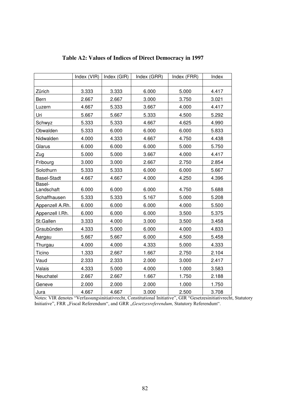|                      | Index (VIR) | Index (GIR) | Index (GRR) | Index (FRR) | Index |
|----------------------|-------------|-------------|-------------|-------------|-------|
|                      |             |             |             |             |       |
| Zürich               | 3.333       | 3.333       | 6.000       | 5.000       | 4.417 |
| Bern                 | 2.667       | 2.667       | 3.000       | 3.750       | 3.021 |
| Luzern               | 4.667       | 5.333       | 3.667       | 4.000       | 4.417 |
| Uri                  | 5.667       | 5.667       | 5.333       | 4.500       | 5.292 |
| Schwyz               | 5.333       | 5.333       | 4.667       | 4.625       | 4.990 |
| Obwalden             | 5.333       | 6.000       | 6.000       | 6.000       | 5.833 |
| Nidwalden            | 4.000       | 4.333       | 4.667       | 4.750       | 4.438 |
| Glarus               | 6.000       | 6.000       | 6.000       | 5.000       | 5.750 |
| Zug                  | 5.000       | 5.000       | 3.667       | 4.000       | 4.417 |
| Fribourg             | 3.000       | 3.000       | 2.667       | 2.750       | 2.854 |
| Solothurn            | 5.333       | 5.333       | 6.000       | 6.000       | 5.667 |
| Basel-Stadt          | 4.667       | 4.667       | 4.000       | 4.250       | 4.396 |
| Basel-<br>Landschaft | 6.000       | 6.000       | 6.000       | 4.750       | 5.688 |
| Schaffhausen         | 5.333       | 5.333       | 5.167       | 5.000       | 5.208 |
| Appenzell A.Rh.      | 6.000       | 6.000       | 6.000       | 4.000       | 5.500 |
| Appenzell I.Rh.      | 6.000       | 6.000       | 6.000       | 3.500       | 5.375 |
| St.Gallen            | 3.333       | 4.000       | 3.000       | 3.500       | 3.458 |
| Graubünden           | 4.333       | 5.000       | 6.000       | 4.000       | 4.833 |
| Aargau               | 5.667       | 5.667       | 6.000       | 4.500       | 5.458 |
| Thurgau              | 4.000       | 4.000       | 4.333       | 5.000       | 4.333 |
| Ticino               | 1.333       | 2.667       | 1.667       | 2.750       | 2.104 |
| Vaud                 | 2.333       | 2.333       | 2.000       | 3.000       | 2.417 |
| Valais               | 4.333       | 5.000       | 4.000       | 1.000       | 3.583 |
| Neuchatel            | 2.667       | 2.667       | 1.667       | 1.750       | 2.188 |
| Geneve               | 2.000       | 2.000       | 2.000       | 1.000       | 1.750 |
| Jura                 | 4.667       | 4.667       | 3.000       | 2.500       | 3.708 |

# **Table A2: Values of Indices of Direct Democracy in 1997**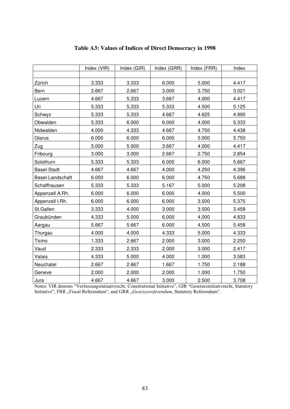|                    | Index (VIR) | Index (GIR) | Index (GRR) | Index (FRR) | Index |
|--------------------|-------------|-------------|-------------|-------------|-------|
|                    |             |             |             |             |       |
| Zürich             | 3.333       | 3.333       | 6.000       | 5.000       | 4.417 |
| Bern               | 2.667       | 2.667       | 3.000       | 3.750       | 3.021 |
| Luzern             | 4.667       | 5.333       | 3.667       | 4.000       | 4.417 |
| Uri                | 5.333       | 5.333       | 5.333       | 4.500       | 5.125 |
| Schwyz             | 5.333       | 5.333       | 4.667       | 4.625       | 4.990 |
| Obwalden           | 5.333       | 6.000       | 6.000       | 4.000       | 5.333 |
| Nidwalden          | 4.000       | 4.333       | 4.667       | 4.750       | 4.438 |
| Glarus             | 6.000       | 6.000       | 6.000       | 5.000       | 5.750 |
| Zug                | 5.000       | 5.000       | 3.667       | 4.000       | 4.417 |
| Fribourg           | 3.000       | 3.000       | 2.667       | 2.750       | 2.854 |
| Solothurn          | 5.333       | 5.333       | 6.000       | 6.000       | 5.667 |
| <b>Basel-Stadt</b> | 4.667       | 4.667       | 4.000       | 4.250       | 4.396 |
| Basel-Landschaft   | 6.000       | 6.000       | 6.000       | 4.750       | 5.688 |
| Schaffhausen       | 5.333       | 5.333       | 5.167       | 5.000       | 5.208 |
| Appenzell A.Rh.    | 6.000       | 6.000       | 6.000       | 4.000       | 5.500 |
| Appenzell I.Rh.    | 6.000       | 6.000       | 6.000       | 3.500       | 5.375 |
| St.Gallen          | 3.333       | 4.000       | 3.000       | 3.500       | 3.458 |
| Graubünden         | 4.333       | 5.000       | 6.000       | 4.000       | 4.833 |
| Aargau             | 5.667       | 5.667       | 6.000       | 4.500       | 5.458 |
| Thurgau            | 4.000       | 4.000       | 4.333       | 5.000       | 4.333 |
| Ticino             | 1.333       | 2.667       | 2.000       | 3.000       | 2.250 |
| Vaud               | 2.333       | 2.333       | 2.000       | 3.000       | 2.417 |
| Valais             | 4.333       | 5.000       | 4.000       | 1.000       | 3.583 |
| Neuchatel          | 2.667       | 2.667       | 1.667       | 1.750       | 2.188 |
| Geneve             | 2.000       | 2.000       | 2.000       | 1.000       | 1.750 |
| Jura               | 4.667       | 4.667       | 3.000       | 2.500       | 3.708 |

# **Table A3: Values of Indices of Direct Democracy in 1998**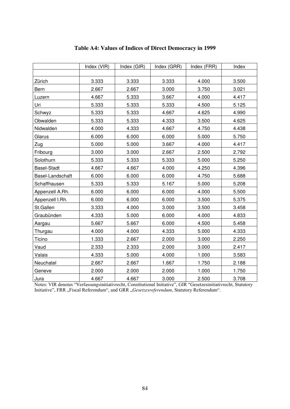|                    | Index (VIR) | Index (GIR) | Index (GRR) | Index (FRR) | Index |
|--------------------|-------------|-------------|-------------|-------------|-------|
|                    |             |             |             |             |       |
| Zürich             | 3.333       | 3.333       | 3.333       | 4.000       | 3.500 |
| Bern               | 2.667       | 2.667       | 3.000       | 3.750       | 3.021 |
| Luzern             | 4.667       | 5.333       | 3.667       | 4.000       | 4.417 |
| Uri                | 5.333       | 5.333       | 5.333       | 4.500       | 5.125 |
| Schwyz             | 5.333       | 5.333       | 4.667       | 4.625       | 4.990 |
| Obwalden           | 5.333       | 5.333       | 4.333       | 3.500       | 4.625 |
| Nidwalden          | 4.000       | 4.333       | 4.667       | 4.750       | 4.438 |
| Glarus             | 6.000       | 6.000       | 6.000       | 5.000       | 5.750 |
| Zug                | 5.000       | 5.000       | 3.667       | 4.000       | 4.417 |
| Fribourg           | 3.000       | 3.000       | 2.667       | 2.500       | 2.792 |
| Solothurn          | 5.333       | 5.333       | 5.333       | 5.000       | 5.250 |
| <b>Basel-Stadt</b> | 4.667       | 4.667       | 4.000       | 4.250       | 4.396 |
| Basel-Landschaft   | 6.000       | 6.000       | 6.000       | 4.750       | 5.688 |
| Schaffhausen       | 5.333       | 5.333       | 5.167       | 5.000       | 5.208 |
| Appenzell A.Rh.    | 6.000       | 6.000       | 6.000       | 4.000       | 5.500 |
| Appenzell I.Rh.    | 6.000       | 6.000       | 6.000       | 3.500       | 5.375 |
| St.Gallen          | 3.333       | 4.000       | 3.000       | 3.500       | 3.458 |
| Graubünden         | 4.333       | 5.000       | 6.000       | 4.000       | 4.833 |
| Aargau             | 5.667       | 5.667       | 6.000       | 4.500       | 5.458 |
| Thurgau            | 4.000       | 4.000       | 4.333       | 5.000       | 4.333 |
| Ticino             | 1.333       | 2.667       | 2.000       | 3.000       | 2.250 |
| Vaud               | 2.333       | 2.333       | 2.000       | 3.000       | 2.417 |
| Valais             | 4.333       | 5.000       | 4.000       | 1.000       | 3.583 |
| Neuchatel          | 2.667       | 2.667       | 1.667       | 1.750       | 2.188 |
| Geneve             | 2.000       | 2.000       | 2.000       | 1.000       | 1.750 |
| Jura               | 4.667       | 4.667       | 3.000       | 2.500       | 3.708 |

# **Table A4: Values of Indices of Direct Democracy in 1999**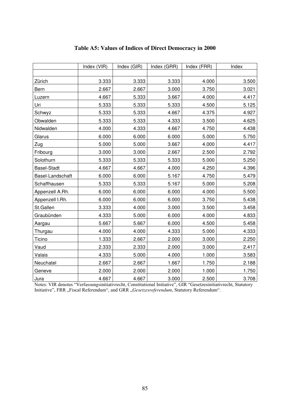|                    | Index (VIR) | Index (GIR) | Index (GRR) | Index (FRR) | Index |
|--------------------|-------------|-------------|-------------|-------------|-------|
|                    |             |             |             |             |       |
| Zürich             | 3.333       | 3.333       | 3.3333      | 4.000       | 3.500 |
| Bern               | 2.667       | 2.667       | 3.000       | 3.750       | 3.021 |
| Luzern             | 4.667       | 5.333       | 3.667       | 4.000       | 4.417 |
| Uri                | 5.333       | 5.333       | 5.333       | 4.500       | 5.125 |
| Schwyz             | 5.333       | 5.333       | 4.667       | 4.375       | 4.927 |
| Obwalden           | 5.333       | 5.333       | 4.333       | 3.500       | 4.625 |
| Nidwalden          | 4.000       | 4.333       | 4.667       | 4.750       | 4.438 |
| Glarus             | 6.000       | 6.000       | 6.000       | 5.000       | 5.750 |
| Zug                | 5.000       | 5.000       | 3.667       | 4.000       | 4.417 |
| Fribourg           | 3.000       | 3.000       | 2.667       | 2.500       | 2.792 |
| Solothurn          | 5.333       | 5.333       | 5.333       | 5.000       | 5.250 |
| <b>Basel-Stadt</b> | 4.667       | 4.667       | 4.000       | 4.250       | 4.396 |
| Basel-Landschaft   | 6.000       | 6.000       | 5.167       | 4.750       | 5.479 |
| Schaffhausen       | 5.333       | 5.333       | 5.167       | 5.000       | 5.208 |
| Appenzell A.Rh.    | 6.000       | 6.000       | 6.000       | 4.000       | 5.500 |
| Appenzell I.Rh.    | 6.000       | 6.000       | 6.000       | 3.750       | 5.438 |
| St.Gallen          | 3.333       | 4.000       | 3.000       | 3.500       | 3.458 |
| Graubünden         | 4.333       | 5.000       | 6.000       | 4.000       | 4.833 |
| Aargau             | 5.667       | 5.667       | 6.000       | 4.500       | 5.458 |
| Thurgau            | 4.000       | 4.000       | 4.333       | 5.000       | 4.333 |
| Ticino             | 1.333       | 2.667       | 2.000       | 3.000       | 2.250 |
| Vaud               | 2.333       | 2.333       | 2.000       | 3.000       | 2.417 |
| Valais             | 4.333       | 5.000       | 4.000       | 1.000       | 3.583 |
| Neuchatel          | 2.667       | 2.667       | 1.667       | 1.750       | 2.188 |
| Geneve             | 2.000       | 2.000       | 2.000       | 1.000       | 1.750 |
| Jura               | 4.667       | 4.667       | 3.000       | 2.500       | 3.708 |

### **Table A5: Values of Indices of Direct Democracy in 2000**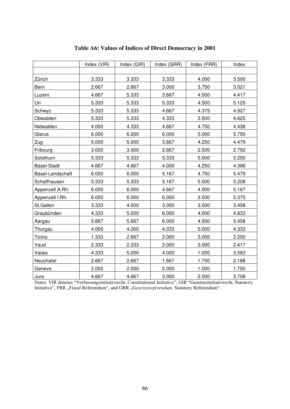|                    | Index (VIR) | Index (GIR) | Index (GRR) | Index (FRR) | Index |
|--------------------|-------------|-------------|-------------|-------------|-------|
|                    |             |             |             |             |       |
| Zürich             | 3.333       | 3.333       | 3.333       | 4.000       | 3.500 |
| Bern               | 2.667       | 2.667       | 3.000       | 3.750       | 3.021 |
| Luzern             | 4.667       | 5.333       | 3.667       | 4.000       | 4.417 |
| Uri                | 5.333       | 5.333       | 5.333       | 4.500       | 5.125 |
| Schwyz             | 5.333       | 5.333       | 4.667       | 4.375       | 4.927 |
| Obwalden           | 5.333       | 5.333       | 4.333       | 3.500       | 4.625 |
| Nidwalden          | 4.000       | 4.333       | 4.667       | 4.750       | 4.438 |
| Glarus             | 6.000       | 6.000       | 6.000       | 5.000       | 5.750 |
| Zug                | 5.000       | 5.000       | 3.667       | 4.250       | 4.479 |
| Fribourg           | 3.000       | 3.000       | 2.667       | 2.500       | 2.792 |
| Solothurn          | 5.333       | 5.333       | 5.333       | 5.000       | 5.250 |
| <b>Basel-Stadt</b> | 4.667       | 4.667       | 4.000       | 4.250       | 4.396 |
| Basel-Landschaft   | 6.000       | 6.000       | 5.167       | 4.750       | 5.479 |
| Schaffhausen       | 5.333       | 5.333       | 5.167       | 5.000       | 5.208 |
| Appenzell A.Rh.    | 6.000       | 6.000       | 4.667       | 4.000       | 5.167 |
| Appenzell I.Rh.    | 6.000       | 6.000       | 6.000       | 3.500       | 5.375 |
| St.Gallen          | 3.333       | 4.000       | 3.000       | 3.500       | 3.458 |
| Graubünden         | 4.333       | 5.000       | 6.000       | 4.000       | 4.833 |
| Aargau             | 5.667       | 5.667       | 6.000       | 4.500       | 5.458 |
| Thurgau            | 4.000       | 4.000       | 4.333       | 5.000       | 4.333 |
| Ticino             | 1.333       | 2.667       | 2.000       | 3.000       | 2.250 |
| Vaud               | 2.333       | 2.333       | 2.000       | 3.000       | 2.417 |
| Valais             | 4.333       | 5.000       | 4.000       | 1.000       | 3.583 |
| Neuchatel          | 2.667       | 2.667       | 1.667       | 1.750       | 2.188 |
| Geneve             | 2.000       | 2.000       | 2.000       | 1.000       | 1.750 |
| Jura               | 4.667       | 4.667       | 3.000       | 2.500       | 3.708 |

### **Table A6: Values of Indices of Direct Democracy in 2001**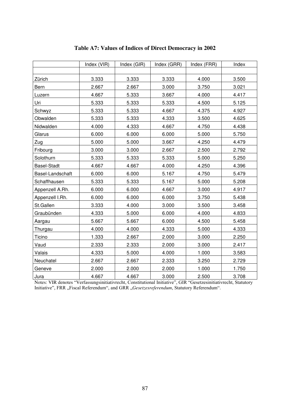|                    | Index (VIR) | Index (GIR) | Index (GRR) | Index (FRR) | Index |
|--------------------|-------------|-------------|-------------|-------------|-------|
|                    |             |             |             |             |       |
| Zürich             | 3.333       | 3.333       | 3.333       | 4.000       | 3.500 |
| Bern               | 2.667       | 2.667       | 3.000       | 3.750       | 3.021 |
| Luzern             | 4.667       | 5.333       | 3.667       | 4.000       | 4.417 |
| Uri                | 5.333       | 5.333       | 5.333       | 4.500       | 5.125 |
| Schwyz             | 5.333       | 5.333       | 4.667       | 4.375       | 4.927 |
| Obwalden           | 5.333       | 5.333       | 4.333       | 3.500       | 4.625 |
| Nidwalden          | 4.000       | 4.333       | 4.667       | 4.750       | 4.438 |
| Glarus             | 6.000       | 6.000       | 6.000       | 5.000       | 5.750 |
| Zug                | 5.000       | 5.000       | 3.667       | 4.250       | 4.479 |
| Fribourg           | 3.000       | 3.000       | 2.667       | 2.500       | 2.792 |
| Solothurn          | 5.333       | 5.333       | 5.333       | 5.000       | 5.250 |
| <b>Basel-Stadt</b> | 4.667       | 4.667       | 4.000       | 4.250       | 4.396 |
| Basel-Landschaft   | 6.000       | 6.000       | 5.167       | 4.750       | 5.479 |
| Schaffhausen       | 5.333       | 5.333       | 5.167       | 5.000       | 5.208 |
| Appenzell A.Rh.    | 6.000       | 6.000       | 4.667       | 3.000       | 4.917 |
| Appenzell I.Rh.    | 6.000       | 6.000       | 6.000       | 3.750       | 5.438 |
| St.Gallen          | 3.333       | 4.000       | 3.000       | 3.500       | 3.458 |
| Graubünden         | 4.333       | 5.000       | 6.000       | 4.000       | 4.833 |
| Aargau             | 5.667       | 5.667       | 6.000       | 4.500       | 5.458 |
| Thurgau            | 4.000       | 4.000       | 4.333       | 5.000       | 4.333 |
| Ticino             | 1.333       | 2.667       | 2.000       | 3.000       | 2.250 |
| Vaud               | 2.333       | 2.333       | 2.000       | 3.000       | 2.417 |
| Valais             | 4.333       | 5.000       | 4.000       | 1.000       | 3.583 |
| Neuchatel          | 2.667       | 2.667       | 2.333       | 3.250       | 2.729 |
| Geneve             | 2.000       | 2.000       | 2.000       | 1.000       | 1.750 |
| Jura               | 4.667       | 4.667       | 3.000       | 2.500       | 3.708 |

# **Table A7: Values of Indices of Direct Democracy in 2002**